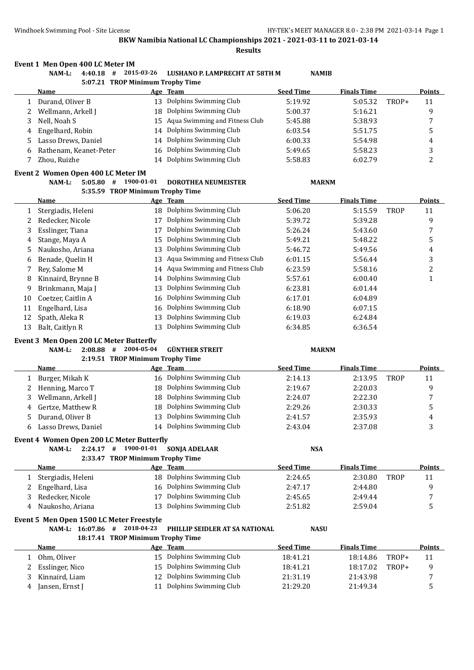**Results**

#### **Event 1 Men Open 400 LC Meter IM**

|   | NAM-L:<br>4:40.18<br># | 2015-03-26                       | LUSHANO P. LAMPRECHT AT 58TH M    | <b>NAMIB</b>     |                    |       |               |
|---|------------------------|----------------------------------|-----------------------------------|------------------|--------------------|-------|---------------|
|   |                        | 5:07.21 TROP Minimum Trophy Time |                                   |                  |                    |       |               |
|   | <b>Name</b>            |                                  | Age Team                          | <b>Seed Time</b> | <b>Finals Time</b> |       | <b>Points</b> |
|   | Durand, Oliver B       | 13                               | Dolphins Swimming Club            | 5:19.92          | 5:05.32            | TROP+ | 11            |
|   | Wellmann, Arkell J     | 18                               | Dolphins Swimming Club            | 5:00.37          | 5:16.21            |       | 9             |
| 3 | Nell, Noah S           |                                  | 15 Aqua Swimming and Fitness Club | 5:45.88          | 5:38.93            |       |               |
|   | 4 Engelhard, Robin     |                                  | 14 Dolphins Swimming Club         | 6:03.54          | 5:51.75            |       | 5             |
|   | 5 Lasso Drews, Daniel  |                                  | 14 Dolphins Swimming Club         | 6:00.33          | 5:54.98            |       | 4             |
| 6 | Rathenam, Keanet-Peter | 16                               | Dolphins Swimming Club            | 5:49.65          | 5:58.23            |       | 3             |
|   | Zhou, Ruizhe           | 14                               | Dolphins Swimming Club            | 5:58.83          | 6:02.79            |       | ∍             |

# **Event 2 Women Open 400 LC Meter IM**

|    | ent 2 women Open 400 LC meter im |                                  |                                |                  |                    |             |               |
|----|----------------------------------|----------------------------------|--------------------------------|------------------|--------------------|-------------|---------------|
|    | NAM-L:<br>5:05.80                | 1900-01-01<br>#                  | <b>DOROTHEA NEUMEISTER</b>     | <b>MARNM</b>     |                    |             |               |
|    |                                  | 5:35.59 TROP Minimum Trophy Time |                                |                  |                    |             |               |
|    | Name                             |                                  | Age Team                       | <b>Seed Time</b> | <b>Finals Time</b> |             | <b>Points</b> |
|    | Stergiadis, Heleni               | 18                               | Dolphins Swimming Club         | 5:06.20          | 5:15.59            | <b>TROP</b> | 11            |
|    | Redecker, Nicole                 | 17                               | Dolphins Swimming Club         | 5:39.72          | 5:39.28            |             | 9             |
| 3. | Esslinger, Tiana                 | 17                               | Dolphins Swimming Club         | 5:26.24          | 5:43.60            |             |               |
| 4  | Stange, Maya A                   | 15                               | Dolphins Swimming Club         | 5:49.21          | 5:48.22            |             | 5             |
| 5. | Naukosho, Ariana                 | 13                               | Dolphins Swimming Club         | 5:46.72          | 5:49.56            |             | 4             |
| 6  | Benade, Quelin H                 | 13                               | Aqua Swimming and Fitness Club | 6:01.15          | 5:56.44            |             | 3             |
|    | Rev. Salome M                    | 14                               | Aqua Swimming and Fitness Club | 6:23.59          | 5:58.16            |             | 2             |
| 8  | Kinnaird, Brynne B               | 14                               | Dolphins Swimming Club         | 5:57.61          | 6:00.40            |             | 1             |
| 9  | Brinkmann, Maja J                | 13                               | Dolphins Swimming Club         | 6:23.81          | 6:01.44            |             |               |
| 10 | Coetzer, Caitlin A               | 16                               | Dolphins Swimming Club         | 6:17.01          | 6:04.89            |             |               |
| 11 | Engelhard, Lisa                  | 16                               | Dolphins Swimming Club         | 6:18.90          | 6:07.15            |             |               |
| 12 | Spath, Aleka R                   | 13                               | Dolphins Swimming Club         | 6:19.03          | 6:24.84            |             |               |
| 13 | Balt, Caitlyn R                  | 13                               | Dolphins Swimming Club         | 6:34.85          | 6:36.54            |             |               |

#### **Event 3 Men Open 200 LC Meter Butterfly**

#### **NAM-L: 2:08.88 # 2004-05-04 GÜNTHER STREIT MARNM 2:19.51 TROP Minimum Trophy Time**

|    |                     | $\mathbf{L}$ . 1991 - FROI MINIMUM HODIIV HING |                           |                  |                    |             |               |
|----|---------------------|------------------------------------------------|---------------------------|------------------|--------------------|-------------|---------------|
|    | Name                |                                                | Age Team                  | <b>Seed Time</b> | <b>Finals Time</b> |             | <b>Points</b> |
|    | Burger, Mikah K     |                                                | 16 Dolphins Swimming Club | 2:14.13          | 2:13.95            | <b>TROP</b> | 11            |
|    | 2 Henning, Marco T  |                                                | 18 Dolphins Swimming Club | 2:19.67          | 2:20.03            |             |               |
|    | Wellmann, Arkell J  | 18.                                            | Dolphins Swimming Club    | 2:24.07          | 2:22.30            |             |               |
|    | 4 Gertze, Matthew R |                                                | 18 Dolphins Swimming Club | 2:29.26          | 2:30.33            |             |               |
| 5. | Durand. Oliver B    | 13.                                            | Dolphins Swimming Club    | 2:41.57          | 2:35.93            |             | 4             |
|    | Lasso Drews, Daniel | 14                                             | Dolphins Swimming Club    | 2:43.04          | 2:37.08            |             |               |

#### **Event 4 Women Open 200 LC Meter Butterfly**

#### **NAM-L: 2:24.17 # 1900-01-01 SONJA ADELAAR NSA 2:33.47 TROP Minimum Trophy Time**

|   |                    | 2:33.47 TROP Minimum Trophy Time |                           |                  |                    |             |               |
|---|--------------------|----------------------------------|---------------------------|------------------|--------------------|-------------|---------------|
|   | Name               |                                  | Age Team                  | <b>Seed Time</b> | <b>Finals Time</b> |             | <b>Points</b> |
|   | Stergiadis, Heleni |                                  | 18 Dolphins Swimming Club | 2:24.65          | 2:30.80            | <b>TROP</b> | 11            |
|   | Engelhard, Lisa    |                                  | 16 Dolphins Swimming Club | 2:47.17          | 2:44.80            |             |               |
|   | Redecker, Nicole   |                                  | Dolphins Swimming Club    | 2:45.65          | 2:49.44            |             |               |
| 4 | Naukosho. Ariana   |                                  | 13 Dolphins Swimming Club | 2:51.82          | 2:59.04            |             |               |

#### **Event 5 Men Open 1500 LC Meter Freestyle**

# **NAM-L: 16:07.86 # 2018-04-23 PHILLIP SEIDLER AT SA NATIONAL NASU**

|  | 18:17.41 TROP Minimum Trophy Time |  |
|--|-----------------------------------|--|
|  |                                   |  |

| <b>Name</b>     | Age | Team                      | <b>Seed Time</b> | <b>Finals Time</b> |       | <b>Points</b> |
|-----------------|-----|---------------------------|------------------|--------------------|-------|---------------|
| Ohm. Oliver     |     | 15 Dolphins Swimming Club | 18:41.21         | TROP+<br>18:14.86  |       | 11            |
| Esslinger, Nico |     | 15 Dolphins Swimming Club | 18:41.21         | 18:17.02           | TROP+ | q             |
| Kinnaird, Liam  |     | 12 Dolphins Swimming Club | 21:31.19         | 21:43.98           |       |               |
| Jansen, Ernst J |     | Dolphins Swimming Club    | 21:29.20         | 21:49.34           |       |               |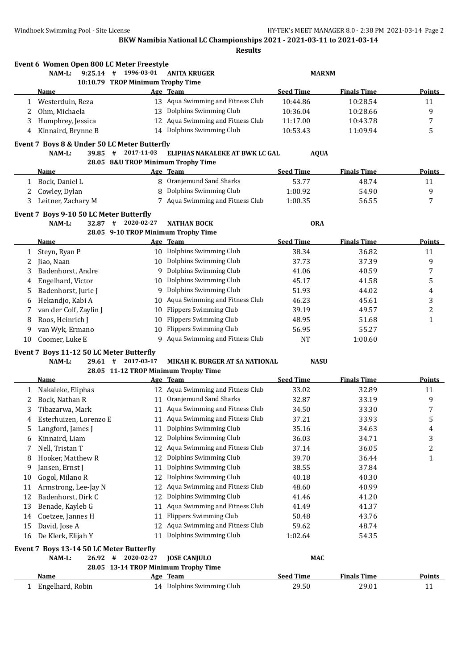Windhoek Swimming Pool - Site License **HY-TEK's MEET MANAGER 8.0 - 2:38 PM 2021-03-14** Page 2

**BKW Namibia National LC Championships 2021 - 2021-03-11 to 2021-03-14**

**Results**

|        | Event 6 Women Open 800 LC Meter Freestyle    |                                     |                                      |                  |                    |               |
|--------|----------------------------------------------|-------------------------------------|--------------------------------------|------------------|--------------------|---------------|
|        | $9:25.14$ #<br>NAM-L:                        | 1996-03-01                          | <b>ANITA KRUGER</b>                  | <b>MARNM</b>     |                    |               |
|        |                                              | 10:10.79 TROP Minimum Trophy Time   |                                      |                  |                    |               |
|        | Name                                         |                                     | Age Team                             | <b>Seed Time</b> | <b>Finals Time</b> | Points        |
|        | 1 Westerduin, Reza                           |                                     | 13 Aqua Swimming and Fitness Club    | 10:44.86         | 10:28.54           | 11            |
| 2      | Ohm, Michaela                                |                                     | 13 Dolphins Swimming Club            | 10:36.04         | 10:28.66           | 9             |
| 3      | Humphrey, Jessica                            |                                     | 12 Aqua Swimming and Fitness Club    | 11:17.00         | 10:43.78           | 7             |
| 4      | Kinnaird, Brynne B                           |                                     | 14 Dolphins Swimming Club            | 10:53.43         | 11:09.94           | 5             |
|        | Event 7 Boys 8 & Under 50 LC Meter Butterfly |                                     |                                      |                  |                    |               |
|        | 39.85 #<br>NAM-L:                            | 2017-11-03                          | ELIPHAS NAKALEKE AT BWK LC GAL       | <b>AQUA</b>      |                    |               |
|        |                                              | 28.05 8&U TROP Minimum Trophy Time  |                                      |                  |                    |               |
|        | <u>Name</u>                                  |                                     | Age Team                             | <b>Seed Time</b> | <b>Finals Time</b> | <b>Points</b> |
| 1      | Bock, Daniel L                               |                                     | 8 Oranjemund Sand Sharks             | 53.77            | 48.74              | 11            |
| 2      | Cowley, Dylan                                | 8                                   | Dolphins Swimming Club               | 1:00.92          | 54.90              | 9             |
| 3      | Leitner, Zachary M                           |                                     | 7 Aqua Swimming and Fitness Club     | 1:00.35          | 56.55              | 7             |
|        | Event 7 Boys 9-10 50 LC Meter Butterfly      |                                     |                                      |                  |                    |               |
|        | 32.87 #<br>NAM-L:                            | 2020-02-27                          | NATHAN BOCK                          | <b>ORA</b>       |                    |               |
|        |                                              | 28.05 9-10 TROP Minimum Trophy Time |                                      |                  |                    |               |
|        | Name                                         |                                     | Age Team                             | <b>Seed Time</b> | <b>Finals Time</b> | <b>Points</b> |
| 1      | Steyn, Ryan P                                |                                     | 10 Dolphins Swimming Club            | 38.34            | 36.82              | 11            |
| 2      | Jiao, Naan                                   |                                     | 10 Dolphins Swimming Club            | 37.73            | 37.39              | 9             |
| 3      | Badenhorst, Andre                            |                                     | 9 Dolphins Swimming Club             | 41.06            | 40.59              | 7             |
| 4      | Engelhard, Victor                            |                                     | 10 Dolphins Swimming Club            | 45.17            | 41.58              | 5             |
| 5      | Badenhorst, Jurie J                          |                                     | 9 Dolphins Swimming Club             | 51.93            | 44.02              | 4             |
| 6      | Hekandjo, Kabi A                             | 10                                  | Aqua Swimming and Fitness Club       | 46.23            | 45.61              | 3             |
| 7      | van der Colf, Zaylin J                       | 10                                  | <b>Flippers Swimming Club</b>        | 39.19            | 49.57              | 2             |
| 8      | Roos, Heinrich J                             | 10                                  | <b>Flippers Swimming Club</b>        | 48.95            | 51.68              | 1             |
| 9      | van Wyk, Ermano                              | 10                                  | <b>Flippers Swimming Club</b>        | 56.95            | 55.27              |               |
| 10     | Coomer, Luke E                               | 9.                                  | Aqua Swimming and Fitness Club       | NT               | 1:00.60            |               |
|        | Event 7 Boys 11-12 50 LC Meter Butterfly     |                                     |                                      |                  |                    |               |
|        | NAM-L:<br>29.61#                             | 2017-03-17                          | MIKAH K. BURGER AT SA NATIONAL       | <b>NASU</b>      |                    |               |
|        |                                              |                                     | 28.05 11-12 TROP Minimum Trophy Time |                  |                    |               |
|        | Name                                         |                                     | <u>Age Team</u>                      | <b>Seed Time</b> | <b>Finals Time</b> | Points        |
| 1      | Nakaleke, Eliphas                            |                                     | 12 Aqua Swimming and Fitness Club    | 33.02            | 32.89              | 11            |
| 2      | Bock, Nathan R                               |                                     | 11 Oranjemund Sand Sharks            | 32.87            | 33.19              | 9             |
| 3      | Tibazarwa, Mark                              |                                     | 11 Aqua Swimming and Fitness Club    | 34.50            | 33.30              | 7             |
| 4      | Esterhuizen, Lorenzo E                       |                                     | 11 Aqua Swimming and Fitness Club    | 37.21            | 33.93              | 5             |
| 5      | Langford, James J                            | 11                                  | Dolphins Swimming Club               | 35.16            | 34.63              | 4             |
| 6      | Kinnaird, Liam                               | 12                                  | Dolphins Swimming Club               | 36.03            | 34.71              | 3             |
| 7      | Nell, Tristan T                              | 12                                  | Aqua Swimming and Fitness Club       | 37.14            | 36.05              | 2             |
|        | Hooker, Matthew R                            | 12                                  | Dolphins Swimming Club               | 39.70            | 36.44              | 1             |
| 8<br>9 | Jansen, Ernst J                              | 11                                  | Dolphins Swimming Club               | 38.55            | 37.84              |               |
|        | Gogol, Milano R                              | 12                                  | Dolphins Swimming Club               |                  |                    |               |
| 10     |                                              |                                     | Aqua Swimming and Fitness Club       | 40.18            | 40.30              |               |
| 11     | Armstrong, Lee-Jay N                         | 12                                  | Dolphins Swimming Club               | 48.60            | 40.99              |               |
| 12     | Badenhorst, Dirk C                           | 12                                  | Aqua Swimming and Fitness Club       | 41.46            | 41.20              |               |
| 13     | Benade, Kayleb G                             | 11                                  |                                      | 41.49            | 41.37              |               |
| 14     | Coetzee, Jannes H                            | 11                                  | <b>Flippers Swimming Club</b>        | 50.48            | 43.76              |               |
| 15     | David, Jose A                                | 12                                  | Aqua Swimming and Fitness Club       | 59.62            | 48.74              |               |
| 16     | De Klerk, Elijah Y                           | 11                                  | Dolphins Swimming Club               | 1:02.64          | 54.35              |               |
|        | Event 7 Boys 13-14 50 LC Meter Butterfly     |                                     |                                      |                  |                    |               |
|        | NAM-L:<br>$26.92$ #                          | 2020-02-27                          | <b>JOSE CANJULO</b>                  | <b>MAC</b>       |                    |               |
|        |                                              |                                     | 28.05 13-14 TROP Minimum Trophy Time |                  |                    |               |
|        | <b>Name</b>                                  |                                     | Age Team                             | <b>Seed Time</b> | <b>Finals Time</b> | <b>Points</b> |

1 Engelhard, Robin 14 Dolphins Swimming Club 29.50 29.01 11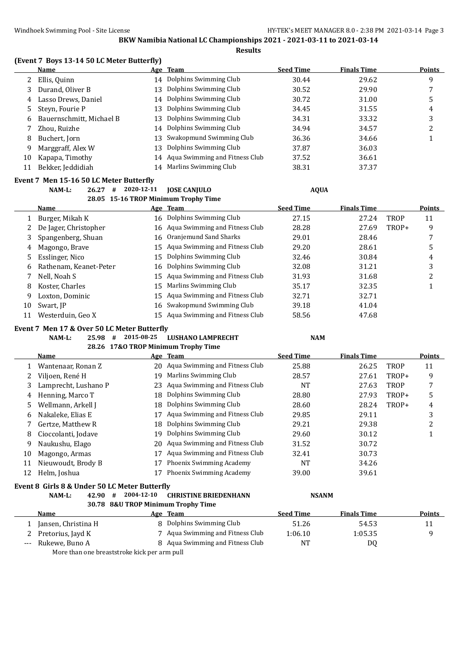**Results**

# **(Event 7 Boys 13-14 50 LC Meter Butterfly)**

|    | <b>Points</b> | Age Team                                              |  |
|----|---------------|-------------------------------------------------------|--|
|    | 9             | 14 Dolphins Swimming Club                             |  |
|    |               | Dolphins Swimming Club<br>Durand, Oliver B<br>13      |  |
| 4  | 5             | Dolphins Swimming Club<br>Lasso Drews, Daniel<br>14   |  |
| 5. | 4             | Dolphins Swimming Club<br>Steyn, Fourie P<br>13       |  |
| 6  | 3             | 13 Dolphins Swimming Club<br>Bauernschmitt, Michael B |  |
|    | ำ<br>▵        | 14 Dolphins Swimming Club                             |  |
| 8  |               | 13 Swakopmund Swimming Club                           |  |
| 9  |               | Dolphins Swimming Club<br>Marggraff, Alex W<br>13     |  |
| 10 |               | 14 Aqua Swimming and Fitness Club<br>Kapapa, Timothy  |  |
|    |               | 14 Marlins Swimming Club<br>Bekker, Jeddidiah         |  |
|    |               |                                                       |  |

#### **Event 7 Men 15-16 50 LC Meter Butterfly**

**NAM-L: 26.27 # 2020-12-11 JOSE CANJULO AQUA 28.05 15-16 TROP Minimum Trophy Time**

|    |                        |    | 28.05 15-16 TROP MINIMUM Trophy Time |                  |                    |             |               |
|----|------------------------|----|--------------------------------------|------------------|--------------------|-------------|---------------|
|    | Name                   |    | Age Team                             | <b>Seed Time</b> | <b>Finals Time</b> |             | <b>Points</b> |
|    | Burger, Mikah K        |    | 16 Dolphins Swimming Club            | 27.15            | 27.24              | <b>TROP</b> | 11            |
|    | De Jager, Christopher  |    | 16 Aqua Swimming and Fitness Club    | 28.28            | 27.69              | TROP+       | 9             |
| 3  | Spangenberg, Shuan     |    | 16 Oranjemund Sand Sharks            | 29.01            | 28.46              |             | 7             |
| 4  | Magongo, Brave         |    | 15 Agua Swimming and Fitness Club    | 29.20            | 28.61              |             | 5             |
| 5. | Esslinger, Nico        |    | 15 Dolphins Swimming Club            | 32.46            | 30.84              |             | 4             |
| 6  | Rathenam, Keanet-Peter |    | 16 Dolphins Swimming Club            | 32.08            | 31.21              |             | 3             |
|    | Nell, Noah S           |    | 15 Agua Swimming and Fitness Club    | 31.93            | 31.68              |             | ົ             |
| 8  | Koster, Charles        | 15 | Marlins Swimming Club                | 35.17            | 32.35              |             |               |
| 9  | Loxton, Dominic        |    | 15 Agua Swimming and Fitness Club    | 32.71            | 32.71              |             |               |
| 10 | Swart, JP              |    | 16 Swakopmund Swimming Club          | 39.18            | 41.04              |             |               |
|    | Westerduin, Geo X      |    | 15 Aqua Swimming and Fitness Club    | 58.56            | 47.68              |             |               |

#### **Event 7 Men 17 & Over 50 LC Meter Butterfly**

**NAM-L: 25.98 # 2015-08-25 LUSHANO LAMPRECHT NAM**

**28.26 17&O TROP Minimum Trophy Time**

|     | Name                                          |            | Age Team                           | <b>Seed Time</b> | <b>Finals Time</b> |       | <b>Points</b> |
|-----|-----------------------------------------------|------------|------------------------------------|------------------|--------------------|-------|---------------|
|     | Wantenaar, Ronan Z                            |            | 20 Aqua Swimming and Fitness Club  | 25.88            | 26.25              | TROP  | 11            |
|     | Viljoen, René H                               | 19         | Marlins Swimming Club              | 28.57            | 27.61              | TROP+ | 9             |
| 3   | Lamprecht, Lushano P                          | 23         | Aqua Swimming and Fitness Club     | <b>NT</b>        | 27.63              | TROP  | 7             |
| 4   | Henning, Marco T                              | 18         | Dolphins Swimming Club             | 28.80            | 27.93              | TROP+ | 5             |
| 5.  | Wellmann, Arkell J                            | 18         | Dolphins Swimming Club             | 28.60            | 28.24              | TROP+ | 4             |
| 6   | Nakaleke, Elias E                             |            | Aqua Swimming and Fitness Club     | 29.85            | 29.11              |       | 3             |
|     | Gertze, Matthew R                             | 18         | Dolphins Swimming Club             | 29.21            | 29.38              |       | 2             |
| 8   | Cioccolanti, Jodave                           | 19         | Dolphins Swimming Club             | 29.60            | 30.12              |       |               |
| 9   | Naukushu, Elago                               | 20         | Aqua Swimming and Fitness Club     | 31.52            | 30.72              |       |               |
| 10  | Magongo, Armas                                | 17         | Aqua Swimming and Fitness Club     | 32.41            | 30.73              |       |               |
| 11  | Nieuwoudt, Brody B                            | 17         | Phoenix Swimming Academy           | NT               | 34.26              |       |               |
| 12  | Helm, Joshua                                  |            | Phoenix Swimming Academy           | 39.00            | 39.61              |       |               |
|     | Event 8 Girls 8 & Under 50 LC Meter Butterfly |            |                                    |                  |                    |       |               |
|     | NAM-L:<br>42.90<br>#                          | 2004-12-10 | <b>CHRISTINE BRIEDENHANN</b>       | <b>NSANM</b>     |                    |       |               |
|     |                                               |            | 30.78 8&U TROP Minimum Trophy Time |                  |                    |       |               |
|     | Name                                          |            | Age Team                           | <b>Seed Time</b> | <b>Finals Time</b> |       | <b>Points</b> |
| 1   | Jansen, Christina H                           | 8          | Dolphins Swimming Club             | 51.26            | 54.53              |       | 11            |
|     | Pretorius, Jayd K                             |            | Aqua Swimming and Fitness Club     | 1:06.10          | 1:05.35            |       | 9             |
| --- | Rukewe, Buno A                                |            | 8 Aqua Swimming and Fitness Club   | <b>NT</b>        | DQ                 |       |               |

More than one breaststroke kick per arm pull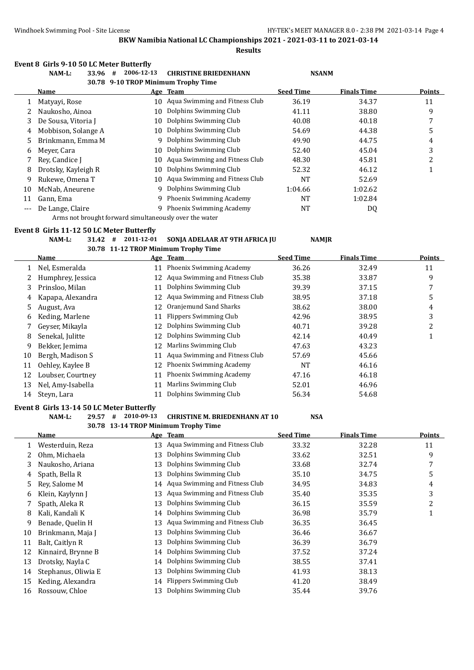|       | Event 8 Girls 9-10 50 LC Meter Butterfly<br>NAM-L:<br>33.96 # | 2006-12-13                                             | <b>CHRISTINE BRIEDENHANN</b>                      | <b>NSANM</b>     |                    |                |
|-------|---------------------------------------------------------------|--------------------------------------------------------|---------------------------------------------------|------------------|--------------------|----------------|
|       | Name                                                          | 30.78 9-10 TROP Minimum Trophy Time                    | Age Team                                          | <b>Seed Time</b> | <b>Finals Time</b> | Points         |
| 1     | Matyayi, Rose                                                 |                                                        | 10 Aqua Swimming and Fitness Club                 | 36.19            | 34.37              | 11             |
| 2     | Naukosho, Ainoa                                               | 10                                                     | Dolphins Swimming Club                            | 41.11            | 38.80              | 9              |
| 3     | De Sousa, Vitoria J                                           | 10                                                     | Dolphins Swimming Club                            | 40.08            | 40.18              | 7              |
| 4     | Mobbison, Solange A                                           | 10                                                     | Dolphins Swimming Club                            | 54.69            | 44.38              | 5              |
| 5     | Brinkmann, Emma M                                             | 9                                                      | Dolphins Swimming Club                            | 49.90            | 44.75              | 4              |
| 6     | Meyer, Cara                                                   | 10                                                     | Dolphins Swimming Club                            | 52.40            | 45.04              | 3              |
| 7     | Rey, Candice J                                                | 10                                                     | Aqua Swimming and Fitness Club                    | 48.30            | 45.81              | $\overline{c}$ |
| 8     | Drotsky, Kayleigh R                                           | 10                                                     | Dolphins Swimming Club                            | 52.32            | 46.12              | $\mathbf{1}$   |
| 9     | Rukewe, Omena T                                               | 10                                                     | Aqua Swimming and Fitness Club                    | NT               | 52.69              |                |
| 10    | McNab, Aneurene                                               | 9                                                      | Dolphins Swimming Club                            | 1:04.66          | 1:02.62            |                |
| 11    | Gann, Ema                                                     | 9                                                      | Phoenix Swimming Academy                          | NT               | 1:02.84            |                |
|       | De Lange, Claire                                              |                                                        | 9 Phoenix Swimming Academy                        | NT               | DQ                 |                |
| $---$ |                                                               | Arms not brought forward simultaneously over the water |                                                   |                  |                    |                |
|       | Event 8 Girls 11-12 50 LC Meter Butterfly                     |                                                        |                                                   |                  |                    |                |
|       | NAM-L:<br>$31.42$ #                                           | 2011-12-01                                             | SONJA ADELAAR AT 9TH AFRICA JU                    | <b>NAMJR</b>     |                    |                |
|       |                                                               |                                                        | 30.78 11-12 TROP Minimum Trophy Time              |                  |                    |                |
|       | <u>Name</u>                                                   |                                                        | Age Team                                          | <b>Seed Time</b> | <b>Finals Time</b> | <b>Points</b>  |
| 1     | Nel, Esmeralda                                                |                                                        | 11 Phoenix Swimming Academy                       | 36.26            | 32.49              | 11             |
| 2     | Humphrey, Jessica                                             |                                                        | 12 Aqua Swimming and Fitness Club                 | 35.38            | 33.87              | 9              |
| 3     | Prinsloo, Milan                                               |                                                        | 11 Dolphins Swimming Club                         | 39.39            | 37.15              | 7              |
| 4     | Kapapa, Alexandra                                             |                                                        | 12 Aqua Swimming and Fitness Club                 | 38.95            | 37.18              | 5              |
| 5     | August, Ava                                                   | 12                                                     | Oranjemund Sand Sharks                            | 38.62            | 38.00              | 4              |
| 6     | Keding, Marlene                                               |                                                        | 11 Flippers Swimming Club                         | 42.96            | 38.95              | 3              |
| 7     | Geyser, Mikayla                                               | 12                                                     | Dolphins Swimming Club                            | 40.71            | 39.28              | 2              |
| 8     | Senekal, Julitte                                              | 12                                                     | Dolphins Swimming Club                            | 42.14            | 40.49              | $\mathbf{1}$   |
| 9     | Bekker, Jemima                                                | 12                                                     | Marlins Swimming Club                             | 47.63            | 43.23              |                |
| 10    | Bergh, Madison S                                              | 11                                                     | Aqua Swimming and Fitness Club                    | 57.69            | 45.66              |                |
| 11    | Oehley, Kaylee B                                              | 12                                                     | Phoenix Swimming Academy                          | NT               | 46.16              |                |
| 12    | Loubser, Courtney                                             |                                                        | 11 Phoenix Swimming Academy                       | 47.16            | 46.18              |                |
| 13    | Nel, Amy-Isabella                                             | 11                                                     | Marlins Swimming Club                             | 52.01            | 46.96              |                |
| 14    | Steyn, Lara                                                   |                                                        | 11 Dolphins Swimming Club                         | 56.34            | 54.68              |                |
|       | Event 8 Girls 13-14 50 LC Meter Butterfly                     |                                                        |                                                   |                  |                    |                |
|       | NAM-L:                                                        |                                                        | 29.57 # 2010-09-13 CHRISTINE M. BRIEDENHANN AT 10 | <b>NSA</b>       |                    |                |
|       | <b>Name</b>                                                   |                                                        | 30.78 13-14 TROP Minimum Trophy Time<br>Age Team  | <b>Seed Time</b> | <b>Finals Time</b> | <b>Points</b>  |
| 1     | Westerduin, Reza                                              |                                                        | 13 Aqua Swimming and Fitness Club                 | 33.32            | 32.28              | 11             |
| 2     | Ohm, Michaela                                                 | 13                                                     | Dolphins Swimming Club                            | 33.62            | 32.51              | 9              |
| 3     | Naukosho, Ariana                                              | 13                                                     | Dolphins Swimming Club                            | 33.68            | 32.74              | 7              |
| 4     | Spath, Bella R                                                | 13                                                     | Dolphins Swimming Club                            | 35.10            | 34.75              | 5              |
| 5     | Rey, Salome M                                                 | 14                                                     | Aqua Swimming and Fitness Club                    | 34.95            | 34.83              | 4              |
| 6     | Klein, Kaylynn J                                              | 13                                                     | Aqua Swimming and Fitness Club                    | 35.40            | 35.35              | 3              |
| 7     | Spath, Aleka R                                                | 13                                                     | Dolphins Swimming Club                            | 36.15            | 35.59              | $\overline{c}$ |
| 8     | Kali, Kandali K                                               | 14                                                     | Dolphins Swimming Club                            | 36.98            | 35.79              | $\mathbf{1}$   |
| 9     | Benade, Quelin H                                              | 13                                                     | Aqua Swimming and Fitness Club                    | 36.35            | 36.45              |                |
| 10    | Brinkmann, Maja J                                             | 13                                                     | Dolphins Swimming Club                            | 36.46            | 36.67              |                |
| 11    | Balt, Caitlyn R                                               | 13                                                     | Dolphins Swimming Club                            | 36.39            | 36.79              |                |
| 12    | Kinnaird, Brynne B                                            | 14                                                     | Dolphins Swimming Club                            | 37.52            | 37.24              |                |
| 13    | Drotsky, Nayla C                                              | 14                                                     | Dolphins Swimming Club                            | 38.55            | 37.41              |                |
| 14    | Stephanus, Oliwia E                                           | 13                                                     | Dolphins Swimming Club                            | 41.93            | 38.13              |                |
| 15    | Keding, Alexandra                                             | 14                                                     | <b>Flippers Swimming Club</b>                     | 41.20            | 38.49              |                |
|       | Rossouw, Chloe                                                |                                                        | 13 Dolphins Swimming Club                         | 35.44            | 39.76              |                |
| 16    |                                                               |                                                        |                                                   |                  |                    |                |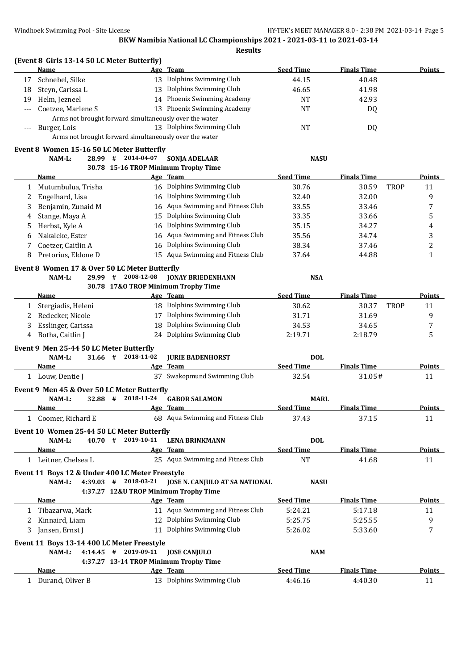|          | (Event 8 Girls 13-14 50 LC Meter Butterfly)<br><b>Name</b> |                        | Age Team                                               | <b>Seed Time</b> | <b>Finals Time</b>   | <u>Points</u>  |
|----------|------------------------------------------------------------|------------------------|--------------------------------------------------------|------------------|----------------------|----------------|
| 17       | Schnebel, Silke                                            |                        | 13 Dolphins Swimming Club                              | 44.15            | 40.48                |                |
|          |                                                            |                        | 13 Dolphins Swimming Club                              |                  |                      |                |
| 18<br>19 | Steyn, Carissa L<br>Helm, Jezneel                          |                        | 14 Phoenix Swimming Academy                            | 46.65<br>NT      | 41.98<br>42.93       |                |
|          | Coetzee, Marlene S                                         |                        | 13 Phoenix Swimming Academy                            | NT               |                      |                |
| ---      |                                                            |                        | Arms not brought forward simultaneously over the water |                  | DQ                   |                |
| ---      | Burger, Lois                                               |                        | 13 Dolphins Swimming Club                              | <b>NT</b>        | DQ                   |                |
|          |                                                            |                        | Arms not brought forward simultaneously over the water |                  |                      |                |
|          | Event 8 Women 15-16 50 LC Meter Butterfly                  |                        |                                                        |                  |                      |                |
|          | 28.99 #<br>NAM-L:                                          | 2014-04-07             | <b>SONJA ADELAAR</b>                                   | <b>NASU</b>      |                      |                |
|          |                                                            |                        | 30.78 15-16 TROP Minimum Trophy Time                   |                  |                      |                |
|          | Name                                                       |                        | Age Team                                               | <b>Seed Time</b> | <b>Finals Time</b>   | Points         |
| 1        | Mutumbulua, Trisha                                         |                        | 16 Dolphins Swimming Club                              | 30.76            | <b>TROP</b><br>30.59 | 11             |
| 2        | Engelhard, Lisa                                            |                        | 16 Dolphins Swimming Club                              | 32.40            | 32.00                | 9              |
| 3        | Benjamin, Zunaid M                                         |                        | 16 Aqua Swimming and Fitness Club                      | 33.55            | 33.46                | 7              |
| 4        | Stange, Maya A                                             | 15                     | Dolphins Swimming Club                                 | 33.35            | 33.66                | 5              |
| 5        | Herbst, Kyle A                                             | 16                     | Dolphins Swimming Club                                 | 35.15            | 34.27                | 4              |
| 6        | Nakaleke, Ester                                            | 16                     | Aqua Swimming and Fitness Club                         | 35.56            | 34.74                | 3              |
| 7        | Coetzer, Caitlin A                                         | 16                     | Dolphins Swimming Club                                 | 38.34            | 37.46                | $\overline{c}$ |
| 8        | Pretorius, Eldone D                                        |                        | 15 Aqua Swimming and Fitness Club                      | 37.64            | 44.88                | $\mathbf{1}$   |
|          | Event 8 Women 17 & Over 50 LC Meter Butterfly              |                        |                                                        |                  |                      |                |
|          | NAM-L:<br>29.99 #                                          | 2008-12-08             | <b>JONAY BRIEDENHANN</b>                               | <b>NSA</b>       |                      |                |
|          |                                                            |                        | 30.78 17&O TROP Minimum Trophy Time                    |                  |                      |                |
|          | Name                                                       |                        | Age Team                                               | <b>Seed Time</b> | <b>Finals Time</b>   | <b>Points</b>  |
| 1        | Stergiadis, Heleni                                         |                        | 18 Dolphins Swimming Club                              | 30.62            | 30.37<br><b>TROP</b> | 11             |
| 2        | Redecker, Nicole                                           | 17                     | Dolphins Swimming Club                                 | 31.71            | 31.69                | 9              |
| 3        | Esslinger, Carissa                                         | 18                     | Dolphins Swimming Club                                 | 34.53            | 34.65                | 7              |
| 4        | Botha, Caitlin J                                           |                        | 24 Dolphins Swimming Club                              | 2:19.71          | 2:18.79              | 5              |
|          | Event 9 Men 25-44 50 LC Meter Butterfly                    |                        |                                                        |                  |                      |                |
|          | NAM-L:                                                     | $31.66$ # 2018-11-02   | <b>JURIE BADENHORST</b>                                | <b>DOL</b>       |                      |                |
|          | Name                                                       |                        | Age Team                                               | <b>Seed Time</b> | <b>Finals Time</b>   | Points         |
|          | 1 Louw, Dentie J                                           |                        | 37 Swakopmund Swimming Club                            | 32.54            | 31.05#               | 11             |
|          | Event 9 Men 45 & Over 50 LC Meter Butterfly                |                        |                                                        |                  |                      |                |
|          | NAM-L:<br>32.88 #                                          | 2018-11-24             | <b>GABOR SALAMON</b>                                   | <b>MARL</b>      |                      |                |
|          | <u>Name</u>                                                |                        | Age Team                                               | <b>Seed Time</b> | <b>Finals Time</b>   | <u>Points</u>  |
|          | 1 Coomer, Richard E                                        |                        | 68 Aqua Swimming and Fitness Club                      | 37.43            | 37.15                | 11             |
|          | Event 10 Women 25-44 50 LC Meter Butterfly                 |                        |                                                        |                  |                      |                |
|          | NAM-L:                                                     | 40.70 # 2019-10-11     | <b>LENA BRINKMANN</b>                                  | <b>DOL</b>       |                      |                |
|          | Name                                                       |                        | Age Team                                               | <b>Seed Time</b> | <b>Finals Time</b>   | <b>Points</b>  |
|          | 1 Leitner, Chelsea L                                       |                        | 25 Aqua Swimming and Fitness Club                      | <b>NT</b>        | 41.68                | 11             |
|          | Event 11 Boys 12 & Under 400 LC Meter Freestyle            |                        |                                                        |                  |                      |                |
|          | NAM-L:                                                     | $4:39.03$ # 2018-03-21 | JOSE N. CANJULO AT SA NATIONAL                         | <b>NASU</b>      |                      |                |
|          |                                                            |                        | 4:37.27 12&U TROP Minimum Trophy Time                  |                  |                      |                |
|          | Name                                                       |                        | Age Team                                               | <b>Seed Time</b> | <b>Finals Time</b>   | Points         |
|          | 1 Tibazarwa, Mark                                          |                        | 11 Aqua Swimming and Fitness Club                      | 5:24.21          | 5:17.18              | 11             |
| 2        | Kinnaird, Liam                                             |                        | 12 Dolphins Swimming Club                              | 5:25.75          | 5:25.55              | 9              |
| 3        | Jansen, Ernst J                                            |                        | 11 Dolphins Swimming Club                              | 5:26.02          | 5:33.60              | 7              |
|          | Event 11 Boys 13-14 400 LC Meter Freestyle                 |                        |                                                        |                  |                      |                |
|          | NAM-L:                                                     | $4:14.45$ # 2019-09-11 | <b>JOSE CANJULO</b>                                    | <b>NAM</b>       |                      |                |
|          |                                                            |                        | 4:37.27 13-14 TROP Minimum Trophy Time                 |                  |                      |                |
|          | Name                                                       |                        | Age Team                                               | <b>Seed Time</b> | <b>Finals Time</b>   | <b>Points</b>  |
|          | 1 Durand, Oliver B                                         |                        | 13 Dolphins Swimming Club                              | 4:46.16          | 4:40.30              | 11             |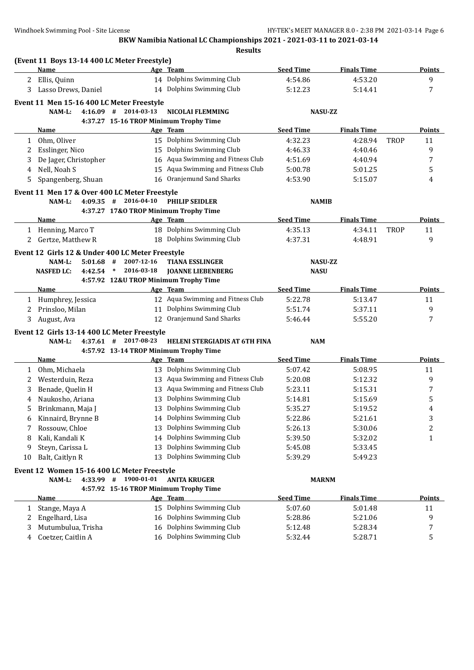| <b>Seed Time</b><br><b>Finals Time</b><br>Name<br>Age Team<br>14 Dolphins Swimming Club<br>9<br>Ellis, Quinn<br>4:54.86<br>4:53.20<br>2<br>14 Dolphins Swimming Club<br>7<br>Lasso Drews, Daniel<br>5:12.23<br>5:14.41<br>3<br>Event 11 Men 15-16 400 LC Meter Freestyle<br>$4:16.09$ # 2014-03-13<br><b>NICOLAI FLEMMING</b><br>NAM-L:<br><b>NASU-ZZ</b><br>4:37.27 15-16 TROP Minimum Trophy Time<br><b>Seed Time</b><br>Age Team<br><b>Finals Time</b><br><b>Points</b><br>Name<br>15 Dolphins Swimming Club<br>Ohm, Oliver<br>4:32.23<br>4:28.94<br><b>TROP</b><br>11<br>$\mathbf{1}$<br>15 Dolphins Swimming Club<br>9<br>Esslinger, Nico<br>4:46.33<br>4:40.46<br>2<br>16 Aqua Swimming and Fitness Club<br>De Jager, Christopher<br>4:51.69<br>7<br>3<br>4:40.94<br>Aqua Swimming and Fitness Club<br>Nell, Noah S<br>5<br>15<br>5:00.78<br>5:01.25<br>4<br>Oranjemund Sand Sharks<br>Spangenberg, Shuan<br>4:53.90<br>5<br>16<br>5:15.07<br>4<br>Event 11 Men 17 & Over 400 LC Meter Freestyle<br>2016-04-10<br>NAM-L:<br>4:09.35<br>#<br><b>PHILIP SEIDLER</b><br><b>NAMIB</b><br>4:37.27 17&O TROP Minimum Trophy Time<br><b>Seed Time</b><br>Name<br>Age Team<br><b>Finals Time</b><br>18 Dolphins Swimming Club<br>1 Henning, Marco T<br>4:35.13<br>4:34.11<br><b>TROP</b><br>11<br>2 Gertze, Matthew R<br>18 Dolphins Swimming Club<br>9<br>4:37.31<br>4:48.91<br>Event 12 Girls 12 & Under 400 LC Meter Freestyle<br>NAM-L:<br>5:01.68<br>#<br>2007-12-16<br><b>TIANA ESSLINGER</b><br><b>NASU-ZZ</b><br>2016-03-18<br><b>JOANNE LIEBENBERG</b><br><b>NASU</b><br><b>NASFED LC:</b><br>4:42.54<br>$\ast$<br>4:57.92 12&U TROP Minimum Trophy Time<br><b>Seed Time</b><br><b>Finals Time</b><br>Age Team<br>Name<br>12 Aqua Swimming and Fitness Club<br>5:22.78<br>11<br>Humphrey, Jessica<br>5:13.47<br>$\mathbf{1}$<br>11 Dolphins Swimming Club<br>9<br>Prinsloo, Milan<br>5:51.74<br>2<br>5:37.11<br>12 Oranjemund Sand Sharks<br>7<br>August, Ava<br>5:46.44<br>3<br>5:55.20<br>Event 12 Girls 13-14 400 LC Meter Freestyle<br>2017-08-23<br><b>HELENI STERGIADIS AT 6TH FINA</b><br>NAM-L:<br>$4:37.61$ #<br><b>NAM</b><br>4:57.92 13-14 TROP Minimum Trophy Time<br><b>Seed Time</b><br><b>Finals Time</b><br>Age Team<br>Name<br>13 Dolphins Swimming Club<br>Ohm, Michaela<br>5:07.42<br>5:08.95<br>11<br>1<br>13 Aqua Swimming and Fitness Club<br>9<br>Westerduin, Reza<br>5:20.08<br>2<br>5:12.32<br>13 Aqua Swimming and Fitness Club<br>Benade, Quelin H<br>5:23.11<br>7<br>3<br>5:15.31<br>13 Dolphins Swimming Club<br>5<br>Naukosho, Ariana<br>5:14.81<br>5:15.69<br>4<br>13 Dolphins Swimming Club<br>5:35.27<br>5<br>5:19.52<br>4<br>Brinkmann, Maja J<br>14 Dolphins Swimming Club<br>5:22.86<br>5:21.61<br>3<br>Kinnaird, Brynne B<br>6<br>Dolphins Swimming Club<br>Rossouw, Chloe<br>5:26.13<br>5:30.06<br>2<br>13<br>7<br>Dolphins Swimming Club<br>Kali, Kandali K<br>5:39.50<br>5:32.02<br>1<br>14<br>8<br>Dolphins Swimming Club<br>Steyn, Carissa L<br>5:33.45<br>13<br>5:45.08<br>9<br>Dolphins Swimming Club<br>Balt, Caitlyn R<br>13<br>5:39.29<br>5:49.23<br>10<br>Event 12 Women 15-16 400 LC Meter Freestyle<br>1900-01-01<br>4:33.99 #<br><b>ANITA KRUGER</b><br>NAM-L:<br><b>MARNM</b><br>4:57.92 15-16 TROP Minimum Trophy Time<br><b>Seed Time</b><br><b>Finals Time</b><br><b>Name</b><br>Age Team<br>15 Dolphins Swimming Club<br>Stange, Maya A<br>5:07.60<br>5:01.48<br>11<br>1<br>Dolphins Swimming Club<br>9<br>Engelhard, Lisa<br>16<br>5:28.86<br>5:21.06<br>2<br>Dolphins Swimming Club<br>Mutumbulua, Trisha<br>5:28.34<br>16<br>5:12.48<br>7<br>3<br>16 Dolphins Swimming Club<br>5<br>Coetzer, Caitlin A<br>5:32.44<br>5:28.71<br>4 | (Event 11 Boys 13-14 400 LC Meter Freestyle) |  |  |               |
|-----------------------------------------------------------------------------------------------------------------------------------------------------------------------------------------------------------------------------------------------------------------------------------------------------------------------------------------------------------------------------------------------------------------------------------------------------------------------------------------------------------------------------------------------------------------------------------------------------------------------------------------------------------------------------------------------------------------------------------------------------------------------------------------------------------------------------------------------------------------------------------------------------------------------------------------------------------------------------------------------------------------------------------------------------------------------------------------------------------------------------------------------------------------------------------------------------------------------------------------------------------------------------------------------------------------------------------------------------------------------------------------------------------------------------------------------------------------------------------------------------------------------------------------------------------------------------------------------------------------------------------------------------------------------------------------------------------------------------------------------------------------------------------------------------------------------------------------------------------------------------------------------------------------------------------------------------------------------------------------------------------------------------------------------------------------------------------------------------------------------------------------------------------------------------------------------------------------------------------------------------------------------------------------------------------------------------------------------------------------------------------------------------------------------------------------------------------------------------------------------------------------------------------------------------------------------------------------------------------------------------------------------------------------------------------------------------------------------------------------------------------------------------------------------------------------------------------------------------------------------------------------------------------------------------------------------------------------------------------------------------------------------------------------------------------------------------------------------------------------------------------------------------------------------------------------------------------------------------------------------------------------------------------------------------------------------------------------------------------------------------------------------------------------------------------------------------------------------------------------------------------------------------------------------------------------------------------------------------------------------------------------------------------------------------------------------------|----------------------------------------------|--|--|---------------|
|                                                                                                                                                                                                                                                                                                                                                                                                                                                                                                                                                                                                                                                                                                                                                                                                                                                                                                                                                                                                                                                                                                                                                                                                                                                                                                                                                                                                                                                                                                                                                                                                                                                                                                                                                                                                                                                                                                                                                                                                                                                                                                                                                                                                                                                                                                                                                                                                                                                                                                                                                                                                                                                                                                                                                                                                                                                                                                                                                                                                                                                                                                                                                                                                                                                                                                                                                                                                                                                                                                                                                                                                                                                                                                     |                                              |  |  | <b>Points</b> |
|                                                                                                                                                                                                                                                                                                                                                                                                                                                                                                                                                                                                                                                                                                                                                                                                                                                                                                                                                                                                                                                                                                                                                                                                                                                                                                                                                                                                                                                                                                                                                                                                                                                                                                                                                                                                                                                                                                                                                                                                                                                                                                                                                                                                                                                                                                                                                                                                                                                                                                                                                                                                                                                                                                                                                                                                                                                                                                                                                                                                                                                                                                                                                                                                                                                                                                                                                                                                                                                                                                                                                                                                                                                                                                     |                                              |  |  |               |
|                                                                                                                                                                                                                                                                                                                                                                                                                                                                                                                                                                                                                                                                                                                                                                                                                                                                                                                                                                                                                                                                                                                                                                                                                                                                                                                                                                                                                                                                                                                                                                                                                                                                                                                                                                                                                                                                                                                                                                                                                                                                                                                                                                                                                                                                                                                                                                                                                                                                                                                                                                                                                                                                                                                                                                                                                                                                                                                                                                                                                                                                                                                                                                                                                                                                                                                                                                                                                                                                                                                                                                                                                                                                                                     |                                              |  |  |               |
|                                                                                                                                                                                                                                                                                                                                                                                                                                                                                                                                                                                                                                                                                                                                                                                                                                                                                                                                                                                                                                                                                                                                                                                                                                                                                                                                                                                                                                                                                                                                                                                                                                                                                                                                                                                                                                                                                                                                                                                                                                                                                                                                                                                                                                                                                                                                                                                                                                                                                                                                                                                                                                                                                                                                                                                                                                                                                                                                                                                                                                                                                                                                                                                                                                                                                                                                                                                                                                                                                                                                                                                                                                                                                                     |                                              |  |  |               |
|                                                                                                                                                                                                                                                                                                                                                                                                                                                                                                                                                                                                                                                                                                                                                                                                                                                                                                                                                                                                                                                                                                                                                                                                                                                                                                                                                                                                                                                                                                                                                                                                                                                                                                                                                                                                                                                                                                                                                                                                                                                                                                                                                                                                                                                                                                                                                                                                                                                                                                                                                                                                                                                                                                                                                                                                                                                                                                                                                                                                                                                                                                                                                                                                                                                                                                                                                                                                                                                                                                                                                                                                                                                                                                     |                                              |  |  |               |
|                                                                                                                                                                                                                                                                                                                                                                                                                                                                                                                                                                                                                                                                                                                                                                                                                                                                                                                                                                                                                                                                                                                                                                                                                                                                                                                                                                                                                                                                                                                                                                                                                                                                                                                                                                                                                                                                                                                                                                                                                                                                                                                                                                                                                                                                                                                                                                                                                                                                                                                                                                                                                                                                                                                                                                                                                                                                                                                                                                                                                                                                                                                                                                                                                                                                                                                                                                                                                                                                                                                                                                                                                                                                                                     |                                              |  |  |               |
|                                                                                                                                                                                                                                                                                                                                                                                                                                                                                                                                                                                                                                                                                                                                                                                                                                                                                                                                                                                                                                                                                                                                                                                                                                                                                                                                                                                                                                                                                                                                                                                                                                                                                                                                                                                                                                                                                                                                                                                                                                                                                                                                                                                                                                                                                                                                                                                                                                                                                                                                                                                                                                                                                                                                                                                                                                                                                                                                                                                                                                                                                                                                                                                                                                                                                                                                                                                                                                                                                                                                                                                                                                                                                                     |                                              |  |  |               |
|                                                                                                                                                                                                                                                                                                                                                                                                                                                                                                                                                                                                                                                                                                                                                                                                                                                                                                                                                                                                                                                                                                                                                                                                                                                                                                                                                                                                                                                                                                                                                                                                                                                                                                                                                                                                                                                                                                                                                                                                                                                                                                                                                                                                                                                                                                                                                                                                                                                                                                                                                                                                                                                                                                                                                                                                                                                                                                                                                                                                                                                                                                                                                                                                                                                                                                                                                                                                                                                                                                                                                                                                                                                                                                     |                                              |  |  |               |
|                                                                                                                                                                                                                                                                                                                                                                                                                                                                                                                                                                                                                                                                                                                                                                                                                                                                                                                                                                                                                                                                                                                                                                                                                                                                                                                                                                                                                                                                                                                                                                                                                                                                                                                                                                                                                                                                                                                                                                                                                                                                                                                                                                                                                                                                                                                                                                                                                                                                                                                                                                                                                                                                                                                                                                                                                                                                                                                                                                                                                                                                                                                                                                                                                                                                                                                                                                                                                                                                                                                                                                                                                                                                                                     |                                              |  |  |               |
|                                                                                                                                                                                                                                                                                                                                                                                                                                                                                                                                                                                                                                                                                                                                                                                                                                                                                                                                                                                                                                                                                                                                                                                                                                                                                                                                                                                                                                                                                                                                                                                                                                                                                                                                                                                                                                                                                                                                                                                                                                                                                                                                                                                                                                                                                                                                                                                                                                                                                                                                                                                                                                                                                                                                                                                                                                                                                                                                                                                                                                                                                                                                                                                                                                                                                                                                                                                                                                                                                                                                                                                                                                                                                                     |                                              |  |  |               |
|                                                                                                                                                                                                                                                                                                                                                                                                                                                                                                                                                                                                                                                                                                                                                                                                                                                                                                                                                                                                                                                                                                                                                                                                                                                                                                                                                                                                                                                                                                                                                                                                                                                                                                                                                                                                                                                                                                                                                                                                                                                                                                                                                                                                                                                                                                                                                                                                                                                                                                                                                                                                                                                                                                                                                                                                                                                                                                                                                                                                                                                                                                                                                                                                                                                                                                                                                                                                                                                                                                                                                                                                                                                                                                     |                                              |  |  |               |
|                                                                                                                                                                                                                                                                                                                                                                                                                                                                                                                                                                                                                                                                                                                                                                                                                                                                                                                                                                                                                                                                                                                                                                                                                                                                                                                                                                                                                                                                                                                                                                                                                                                                                                                                                                                                                                                                                                                                                                                                                                                                                                                                                                                                                                                                                                                                                                                                                                                                                                                                                                                                                                                                                                                                                                                                                                                                                                                                                                                                                                                                                                                                                                                                                                                                                                                                                                                                                                                                                                                                                                                                                                                                                                     |                                              |  |  |               |
|                                                                                                                                                                                                                                                                                                                                                                                                                                                                                                                                                                                                                                                                                                                                                                                                                                                                                                                                                                                                                                                                                                                                                                                                                                                                                                                                                                                                                                                                                                                                                                                                                                                                                                                                                                                                                                                                                                                                                                                                                                                                                                                                                                                                                                                                                                                                                                                                                                                                                                                                                                                                                                                                                                                                                                                                                                                                                                                                                                                                                                                                                                                                                                                                                                                                                                                                                                                                                                                                                                                                                                                                                                                                                                     |                                              |  |  |               |
|                                                                                                                                                                                                                                                                                                                                                                                                                                                                                                                                                                                                                                                                                                                                                                                                                                                                                                                                                                                                                                                                                                                                                                                                                                                                                                                                                                                                                                                                                                                                                                                                                                                                                                                                                                                                                                                                                                                                                                                                                                                                                                                                                                                                                                                                                                                                                                                                                                                                                                                                                                                                                                                                                                                                                                                                                                                                                                                                                                                                                                                                                                                                                                                                                                                                                                                                                                                                                                                                                                                                                                                                                                                                                                     |                                              |  |  |               |
|                                                                                                                                                                                                                                                                                                                                                                                                                                                                                                                                                                                                                                                                                                                                                                                                                                                                                                                                                                                                                                                                                                                                                                                                                                                                                                                                                                                                                                                                                                                                                                                                                                                                                                                                                                                                                                                                                                                                                                                                                                                                                                                                                                                                                                                                                                                                                                                                                                                                                                                                                                                                                                                                                                                                                                                                                                                                                                                                                                                                                                                                                                                                                                                                                                                                                                                                                                                                                                                                                                                                                                                                                                                                                                     |                                              |  |  |               |
|                                                                                                                                                                                                                                                                                                                                                                                                                                                                                                                                                                                                                                                                                                                                                                                                                                                                                                                                                                                                                                                                                                                                                                                                                                                                                                                                                                                                                                                                                                                                                                                                                                                                                                                                                                                                                                                                                                                                                                                                                                                                                                                                                                                                                                                                                                                                                                                                                                                                                                                                                                                                                                                                                                                                                                                                                                                                                                                                                                                                                                                                                                                                                                                                                                                                                                                                                                                                                                                                                                                                                                                                                                                                                                     |                                              |  |  | Points        |
|                                                                                                                                                                                                                                                                                                                                                                                                                                                                                                                                                                                                                                                                                                                                                                                                                                                                                                                                                                                                                                                                                                                                                                                                                                                                                                                                                                                                                                                                                                                                                                                                                                                                                                                                                                                                                                                                                                                                                                                                                                                                                                                                                                                                                                                                                                                                                                                                                                                                                                                                                                                                                                                                                                                                                                                                                                                                                                                                                                                                                                                                                                                                                                                                                                                                                                                                                                                                                                                                                                                                                                                                                                                                                                     |                                              |  |  |               |
|                                                                                                                                                                                                                                                                                                                                                                                                                                                                                                                                                                                                                                                                                                                                                                                                                                                                                                                                                                                                                                                                                                                                                                                                                                                                                                                                                                                                                                                                                                                                                                                                                                                                                                                                                                                                                                                                                                                                                                                                                                                                                                                                                                                                                                                                                                                                                                                                                                                                                                                                                                                                                                                                                                                                                                                                                                                                                                                                                                                                                                                                                                                                                                                                                                                                                                                                                                                                                                                                                                                                                                                                                                                                                                     |                                              |  |  |               |
|                                                                                                                                                                                                                                                                                                                                                                                                                                                                                                                                                                                                                                                                                                                                                                                                                                                                                                                                                                                                                                                                                                                                                                                                                                                                                                                                                                                                                                                                                                                                                                                                                                                                                                                                                                                                                                                                                                                                                                                                                                                                                                                                                                                                                                                                                                                                                                                                                                                                                                                                                                                                                                                                                                                                                                                                                                                                                                                                                                                                                                                                                                                                                                                                                                                                                                                                                                                                                                                                                                                                                                                                                                                                                                     |                                              |  |  |               |
|                                                                                                                                                                                                                                                                                                                                                                                                                                                                                                                                                                                                                                                                                                                                                                                                                                                                                                                                                                                                                                                                                                                                                                                                                                                                                                                                                                                                                                                                                                                                                                                                                                                                                                                                                                                                                                                                                                                                                                                                                                                                                                                                                                                                                                                                                                                                                                                                                                                                                                                                                                                                                                                                                                                                                                                                                                                                                                                                                                                                                                                                                                                                                                                                                                                                                                                                                                                                                                                                                                                                                                                                                                                                                                     |                                              |  |  |               |
|                                                                                                                                                                                                                                                                                                                                                                                                                                                                                                                                                                                                                                                                                                                                                                                                                                                                                                                                                                                                                                                                                                                                                                                                                                                                                                                                                                                                                                                                                                                                                                                                                                                                                                                                                                                                                                                                                                                                                                                                                                                                                                                                                                                                                                                                                                                                                                                                                                                                                                                                                                                                                                                                                                                                                                                                                                                                                                                                                                                                                                                                                                                                                                                                                                                                                                                                                                                                                                                                                                                                                                                                                                                                                                     |                                              |  |  |               |
|                                                                                                                                                                                                                                                                                                                                                                                                                                                                                                                                                                                                                                                                                                                                                                                                                                                                                                                                                                                                                                                                                                                                                                                                                                                                                                                                                                                                                                                                                                                                                                                                                                                                                                                                                                                                                                                                                                                                                                                                                                                                                                                                                                                                                                                                                                                                                                                                                                                                                                                                                                                                                                                                                                                                                                                                                                                                                                                                                                                                                                                                                                                                                                                                                                                                                                                                                                                                                                                                                                                                                                                                                                                                                                     |                                              |  |  |               |
|                                                                                                                                                                                                                                                                                                                                                                                                                                                                                                                                                                                                                                                                                                                                                                                                                                                                                                                                                                                                                                                                                                                                                                                                                                                                                                                                                                                                                                                                                                                                                                                                                                                                                                                                                                                                                                                                                                                                                                                                                                                                                                                                                                                                                                                                                                                                                                                                                                                                                                                                                                                                                                                                                                                                                                                                                                                                                                                                                                                                                                                                                                                                                                                                                                                                                                                                                                                                                                                                                                                                                                                                                                                                                                     |                                              |  |  | Points        |
|                                                                                                                                                                                                                                                                                                                                                                                                                                                                                                                                                                                                                                                                                                                                                                                                                                                                                                                                                                                                                                                                                                                                                                                                                                                                                                                                                                                                                                                                                                                                                                                                                                                                                                                                                                                                                                                                                                                                                                                                                                                                                                                                                                                                                                                                                                                                                                                                                                                                                                                                                                                                                                                                                                                                                                                                                                                                                                                                                                                                                                                                                                                                                                                                                                                                                                                                                                                                                                                                                                                                                                                                                                                                                                     |                                              |  |  |               |
|                                                                                                                                                                                                                                                                                                                                                                                                                                                                                                                                                                                                                                                                                                                                                                                                                                                                                                                                                                                                                                                                                                                                                                                                                                                                                                                                                                                                                                                                                                                                                                                                                                                                                                                                                                                                                                                                                                                                                                                                                                                                                                                                                                                                                                                                                                                                                                                                                                                                                                                                                                                                                                                                                                                                                                                                                                                                                                                                                                                                                                                                                                                                                                                                                                                                                                                                                                                                                                                                                                                                                                                                                                                                                                     |                                              |  |  |               |
|                                                                                                                                                                                                                                                                                                                                                                                                                                                                                                                                                                                                                                                                                                                                                                                                                                                                                                                                                                                                                                                                                                                                                                                                                                                                                                                                                                                                                                                                                                                                                                                                                                                                                                                                                                                                                                                                                                                                                                                                                                                                                                                                                                                                                                                                                                                                                                                                                                                                                                                                                                                                                                                                                                                                                                                                                                                                                                                                                                                                                                                                                                                                                                                                                                                                                                                                                                                                                                                                                                                                                                                                                                                                                                     |                                              |  |  |               |
|                                                                                                                                                                                                                                                                                                                                                                                                                                                                                                                                                                                                                                                                                                                                                                                                                                                                                                                                                                                                                                                                                                                                                                                                                                                                                                                                                                                                                                                                                                                                                                                                                                                                                                                                                                                                                                                                                                                                                                                                                                                                                                                                                                                                                                                                                                                                                                                                                                                                                                                                                                                                                                                                                                                                                                                                                                                                                                                                                                                                                                                                                                                                                                                                                                                                                                                                                                                                                                                                                                                                                                                                                                                                                                     |                                              |  |  |               |
|                                                                                                                                                                                                                                                                                                                                                                                                                                                                                                                                                                                                                                                                                                                                                                                                                                                                                                                                                                                                                                                                                                                                                                                                                                                                                                                                                                                                                                                                                                                                                                                                                                                                                                                                                                                                                                                                                                                                                                                                                                                                                                                                                                                                                                                                                                                                                                                                                                                                                                                                                                                                                                                                                                                                                                                                                                                                                                                                                                                                                                                                                                                                                                                                                                                                                                                                                                                                                                                                                                                                                                                                                                                                                                     |                                              |  |  |               |
|                                                                                                                                                                                                                                                                                                                                                                                                                                                                                                                                                                                                                                                                                                                                                                                                                                                                                                                                                                                                                                                                                                                                                                                                                                                                                                                                                                                                                                                                                                                                                                                                                                                                                                                                                                                                                                                                                                                                                                                                                                                                                                                                                                                                                                                                                                                                                                                                                                                                                                                                                                                                                                                                                                                                                                                                                                                                                                                                                                                                                                                                                                                                                                                                                                                                                                                                                                                                                                                                                                                                                                                                                                                                                                     |                                              |  |  |               |
|                                                                                                                                                                                                                                                                                                                                                                                                                                                                                                                                                                                                                                                                                                                                                                                                                                                                                                                                                                                                                                                                                                                                                                                                                                                                                                                                                                                                                                                                                                                                                                                                                                                                                                                                                                                                                                                                                                                                                                                                                                                                                                                                                                                                                                                                                                                                                                                                                                                                                                                                                                                                                                                                                                                                                                                                                                                                                                                                                                                                                                                                                                                                                                                                                                                                                                                                                                                                                                                                                                                                                                                                                                                                                                     |                                              |  |  | Points        |
|                                                                                                                                                                                                                                                                                                                                                                                                                                                                                                                                                                                                                                                                                                                                                                                                                                                                                                                                                                                                                                                                                                                                                                                                                                                                                                                                                                                                                                                                                                                                                                                                                                                                                                                                                                                                                                                                                                                                                                                                                                                                                                                                                                                                                                                                                                                                                                                                                                                                                                                                                                                                                                                                                                                                                                                                                                                                                                                                                                                                                                                                                                                                                                                                                                                                                                                                                                                                                                                                                                                                                                                                                                                                                                     |                                              |  |  |               |
|                                                                                                                                                                                                                                                                                                                                                                                                                                                                                                                                                                                                                                                                                                                                                                                                                                                                                                                                                                                                                                                                                                                                                                                                                                                                                                                                                                                                                                                                                                                                                                                                                                                                                                                                                                                                                                                                                                                                                                                                                                                                                                                                                                                                                                                                                                                                                                                                                                                                                                                                                                                                                                                                                                                                                                                                                                                                                                                                                                                                                                                                                                                                                                                                                                                                                                                                                                                                                                                                                                                                                                                                                                                                                                     |                                              |  |  |               |
|                                                                                                                                                                                                                                                                                                                                                                                                                                                                                                                                                                                                                                                                                                                                                                                                                                                                                                                                                                                                                                                                                                                                                                                                                                                                                                                                                                                                                                                                                                                                                                                                                                                                                                                                                                                                                                                                                                                                                                                                                                                                                                                                                                                                                                                                                                                                                                                                                                                                                                                                                                                                                                                                                                                                                                                                                                                                                                                                                                                                                                                                                                                                                                                                                                                                                                                                                                                                                                                                                                                                                                                                                                                                                                     |                                              |  |  |               |
|                                                                                                                                                                                                                                                                                                                                                                                                                                                                                                                                                                                                                                                                                                                                                                                                                                                                                                                                                                                                                                                                                                                                                                                                                                                                                                                                                                                                                                                                                                                                                                                                                                                                                                                                                                                                                                                                                                                                                                                                                                                                                                                                                                                                                                                                                                                                                                                                                                                                                                                                                                                                                                                                                                                                                                                                                                                                                                                                                                                                                                                                                                                                                                                                                                                                                                                                                                                                                                                                                                                                                                                                                                                                                                     |                                              |  |  |               |
|                                                                                                                                                                                                                                                                                                                                                                                                                                                                                                                                                                                                                                                                                                                                                                                                                                                                                                                                                                                                                                                                                                                                                                                                                                                                                                                                                                                                                                                                                                                                                                                                                                                                                                                                                                                                                                                                                                                                                                                                                                                                                                                                                                                                                                                                                                                                                                                                                                                                                                                                                                                                                                                                                                                                                                                                                                                                                                                                                                                                                                                                                                                                                                                                                                                                                                                                                                                                                                                                                                                                                                                                                                                                                                     |                                              |  |  |               |
|                                                                                                                                                                                                                                                                                                                                                                                                                                                                                                                                                                                                                                                                                                                                                                                                                                                                                                                                                                                                                                                                                                                                                                                                                                                                                                                                                                                                                                                                                                                                                                                                                                                                                                                                                                                                                                                                                                                                                                                                                                                                                                                                                                                                                                                                                                                                                                                                                                                                                                                                                                                                                                                                                                                                                                                                                                                                                                                                                                                                                                                                                                                                                                                                                                                                                                                                                                                                                                                                                                                                                                                                                                                                                                     |                                              |  |  |               |
|                                                                                                                                                                                                                                                                                                                                                                                                                                                                                                                                                                                                                                                                                                                                                                                                                                                                                                                                                                                                                                                                                                                                                                                                                                                                                                                                                                                                                                                                                                                                                                                                                                                                                                                                                                                                                                                                                                                                                                                                                                                                                                                                                                                                                                                                                                                                                                                                                                                                                                                                                                                                                                                                                                                                                                                                                                                                                                                                                                                                                                                                                                                                                                                                                                                                                                                                                                                                                                                                                                                                                                                                                                                                                                     |                                              |  |  |               |
|                                                                                                                                                                                                                                                                                                                                                                                                                                                                                                                                                                                                                                                                                                                                                                                                                                                                                                                                                                                                                                                                                                                                                                                                                                                                                                                                                                                                                                                                                                                                                                                                                                                                                                                                                                                                                                                                                                                                                                                                                                                                                                                                                                                                                                                                                                                                                                                                                                                                                                                                                                                                                                                                                                                                                                                                                                                                                                                                                                                                                                                                                                                                                                                                                                                                                                                                                                                                                                                                                                                                                                                                                                                                                                     |                                              |  |  |               |
|                                                                                                                                                                                                                                                                                                                                                                                                                                                                                                                                                                                                                                                                                                                                                                                                                                                                                                                                                                                                                                                                                                                                                                                                                                                                                                                                                                                                                                                                                                                                                                                                                                                                                                                                                                                                                                                                                                                                                                                                                                                                                                                                                                                                                                                                                                                                                                                                                                                                                                                                                                                                                                                                                                                                                                                                                                                                                                                                                                                                                                                                                                                                                                                                                                                                                                                                                                                                                                                                                                                                                                                                                                                                                                     |                                              |  |  |               |
|                                                                                                                                                                                                                                                                                                                                                                                                                                                                                                                                                                                                                                                                                                                                                                                                                                                                                                                                                                                                                                                                                                                                                                                                                                                                                                                                                                                                                                                                                                                                                                                                                                                                                                                                                                                                                                                                                                                                                                                                                                                                                                                                                                                                                                                                                                                                                                                                                                                                                                                                                                                                                                                                                                                                                                                                                                                                                                                                                                                                                                                                                                                                                                                                                                                                                                                                                                                                                                                                                                                                                                                                                                                                                                     |                                              |  |  |               |
|                                                                                                                                                                                                                                                                                                                                                                                                                                                                                                                                                                                                                                                                                                                                                                                                                                                                                                                                                                                                                                                                                                                                                                                                                                                                                                                                                                                                                                                                                                                                                                                                                                                                                                                                                                                                                                                                                                                                                                                                                                                                                                                                                                                                                                                                                                                                                                                                                                                                                                                                                                                                                                                                                                                                                                                                                                                                                                                                                                                                                                                                                                                                                                                                                                                                                                                                                                                                                                                                                                                                                                                                                                                                                                     |                                              |  |  |               |
|                                                                                                                                                                                                                                                                                                                                                                                                                                                                                                                                                                                                                                                                                                                                                                                                                                                                                                                                                                                                                                                                                                                                                                                                                                                                                                                                                                                                                                                                                                                                                                                                                                                                                                                                                                                                                                                                                                                                                                                                                                                                                                                                                                                                                                                                                                                                                                                                                                                                                                                                                                                                                                                                                                                                                                                                                                                                                                                                                                                                                                                                                                                                                                                                                                                                                                                                                                                                                                                                                                                                                                                                                                                                                                     |                                              |  |  |               |
|                                                                                                                                                                                                                                                                                                                                                                                                                                                                                                                                                                                                                                                                                                                                                                                                                                                                                                                                                                                                                                                                                                                                                                                                                                                                                                                                                                                                                                                                                                                                                                                                                                                                                                                                                                                                                                                                                                                                                                                                                                                                                                                                                                                                                                                                                                                                                                                                                                                                                                                                                                                                                                                                                                                                                                                                                                                                                                                                                                                                                                                                                                                                                                                                                                                                                                                                                                                                                                                                                                                                                                                                                                                                                                     |                                              |  |  |               |
|                                                                                                                                                                                                                                                                                                                                                                                                                                                                                                                                                                                                                                                                                                                                                                                                                                                                                                                                                                                                                                                                                                                                                                                                                                                                                                                                                                                                                                                                                                                                                                                                                                                                                                                                                                                                                                                                                                                                                                                                                                                                                                                                                                                                                                                                                                                                                                                                                                                                                                                                                                                                                                                                                                                                                                                                                                                                                                                                                                                                                                                                                                                                                                                                                                                                                                                                                                                                                                                                                                                                                                                                                                                                                                     |                                              |  |  | <b>Points</b> |
|                                                                                                                                                                                                                                                                                                                                                                                                                                                                                                                                                                                                                                                                                                                                                                                                                                                                                                                                                                                                                                                                                                                                                                                                                                                                                                                                                                                                                                                                                                                                                                                                                                                                                                                                                                                                                                                                                                                                                                                                                                                                                                                                                                                                                                                                                                                                                                                                                                                                                                                                                                                                                                                                                                                                                                                                                                                                                                                                                                                                                                                                                                                                                                                                                                                                                                                                                                                                                                                                                                                                                                                                                                                                                                     |                                              |  |  |               |
|                                                                                                                                                                                                                                                                                                                                                                                                                                                                                                                                                                                                                                                                                                                                                                                                                                                                                                                                                                                                                                                                                                                                                                                                                                                                                                                                                                                                                                                                                                                                                                                                                                                                                                                                                                                                                                                                                                                                                                                                                                                                                                                                                                                                                                                                                                                                                                                                                                                                                                                                                                                                                                                                                                                                                                                                                                                                                                                                                                                                                                                                                                                                                                                                                                                                                                                                                                                                                                                                                                                                                                                                                                                                                                     |                                              |  |  |               |
|                                                                                                                                                                                                                                                                                                                                                                                                                                                                                                                                                                                                                                                                                                                                                                                                                                                                                                                                                                                                                                                                                                                                                                                                                                                                                                                                                                                                                                                                                                                                                                                                                                                                                                                                                                                                                                                                                                                                                                                                                                                                                                                                                                                                                                                                                                                                                                                                                                                                                                                                                                                                                                                                                                                                                                                                                                                                                                                                                                                                                                                                                                                                                                                                                                                                                                                                                                                                                                                                                                                                                                                                                                                                                                     |                                              |  |  |               |
|                                                                                                                                                                                                                                                                                                                                                                                                                                                                                                                                                                                                                                                                                                                                                                                                                                                                                                                                                                                                                                                                                                                                                                                                                                                                                                                                                                                                                                                                                                                                                                                                                                                                                                                                                                                                                                                                                                                                                                                                                                                                                                                                                                                                                                                                                                                                                                                                                                                                                                                                                                                                                                                                                                                                                                                                                                                                                                                                                                                                                                                                                                                                                                                                                                                                                                                                                                                                                                                                                                                                                                                                                                                                                                     |                                              |  |  |               |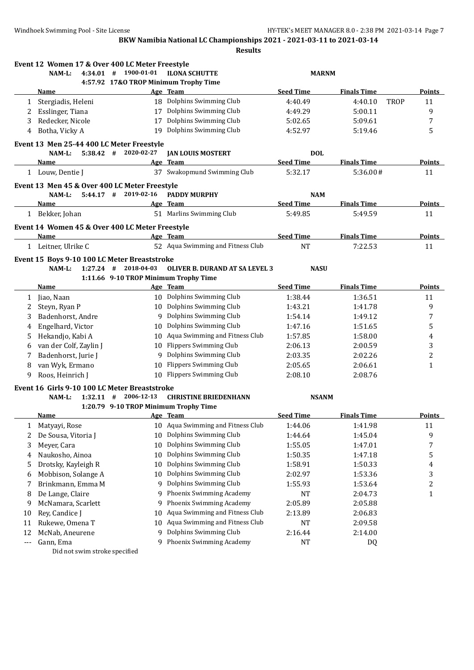|     | Event 12 Women 17 & Over 400 LC Meter Freestyle |                                       |                                       |                  |                        |                |
|-----|-------------------------------------------------|---------------------------------------|---------------------------------------|------------------|------------------------|----------------|
|     | NAM-L:<br>4:34.01 #                             | 1900-01-01                            | <b>ILONA SCHUTTE</b>                  | <b>MARNM</b>     |                        |                |
|     |                                                 |                                       | 4:57.92 17&O TROP Minimum Trophy Time |                  |                        |                |
|     | Name                                            |                                       | Age Team                              | <b>Seed Time</b> | <b>Finals Time</b>     | Points         |
| 1   | Stergiadis, Heleni                              |                                       | 18 Dolphins Swimming Club             | 4:40.49          | 4:40.10<br><b>TROP</b> | 11             |
| 2   | Esslinger, Tiana                                |                                       | 17 Dolphins Swimming Club             | 4:49.29          | 5:00.11                | 9              |
| 3   | Redecker, Nicole                                | 17                                    | Dolphins Swimming Club                | 5:02.65          | 5:09.61                | 7              |
| 4   | Botha, Vicky A                                  |                                       | 19 Dolphins Swimming Club             | 4:52.97          | 5:19.46                | 5              |
|     | Event 13 Men 25-44 400 LC Meter Freestyle       |                                       |                                       |                  |                        |                |
|     | NAM-L:                                          | $5:38.42$ # 2020-02-27                | <b>JAN LOUIS MOSTERT</b>              | <b>DOL</b>       |                        |                |
|     | Name                                            |                                       | Age Team                              | <b>Seed Time</b> | <b>Finals Time</b>     | Points         |
|     | 1 Louw, Dentie J                                |                                       | 37 Swakopmund Swimming Club           | 5:32.17          | 5:36.00#               | 11             |
|     | Event 13 Men 45 & Over 400 LC Meter Freestyle   |                                       |                                       |                  |                        |                |
|     | NAM-L:                                          | $5:44.17$ # 2019-02-16                | <b>PADDY MURPHY</b>                   | <b>NAM</b>       |                        |                |
|     | Name                                            |                                       | Age Team                              | <b>Seed Time</b> | <b>Finals Time</b>     | <b>Points</b>  |
|     | 1 Bekker, Johan                                 |                                       | 51 Marlins Swimming Club              | 5:49.85          | 5:49.59                | 11             |
|     | Event 14 Women 45 & Over 400 LC Meter Freestyle |                                       |                                       |                  |                        |                |
|     | Name                                            |                                       | Age Team                              | <b>Seed Time</b> | <b>Finals Time</b>     | Points         |
|     | 1 Leitner, Ulrike C                             |                                       | 52 Aqua Swimming and Fitness Club     | <b>NT</b>        | 7:22.53                | 11             |
|     | Event 15 Boys 9-10 100 LC Meter Breaststroke    |                                       |                                       |                  |                        |                |
|     | NAM-L:                                          | $1:27.24$ # 2018-04-03                | <b>OLIVER B. DURAND AT SA LEVEL 3</b> | <b>NASU</b>      |                        |                |
|     |                                                 | 1:11.66 9-10 TROP Minimum Trophy Time |                                       |                  |                        |                |
|     | <u>Name</u>                                     |                                       | Age Team                              | <b>Seed Time</b> | <b>Finals Time</b>     | <b>Points</b>  |
| 1   | Jiao, Naan                                      |                                       | 10 Dolphins Swimming Club             | 1:38.44          | 1:36.51                | 11             |
| 2   | Steyn, Ryan P                                   |                                       | 10 Dolphins Swimming Club             | 1:43.21          | 1:41.78                | 9              |
| 3   | Badenhorst, Andre                               |                                       | 9 Dolphins Swimming Club              | 1:54.14          | 1:49.12                | 7              |
| 4   | Engelhard, Victor                               | 10                                    | Dolphins Swimming Club                | 1:47.16          | 1:51.65                | 5              |
| 5   | Hekandjo, Kabi A                                | 10                                    | Aqua Swimming and Fitness Club        | 1:57.85          | 1:58.00                | 4              |
| 6   | van der Colf, Zaylin J                          |                                       | 10 Flippers Swimming Club             | 2:06.13          | 2:00.59                | 3              |
| 7   | Badenhorst, Jurie J                             | 9                                     | Dolphins Swimming Club                | 2:03.35          | 2:02.26                | $\overline{c}$ |
| 8   | van Wyk, Ermano                                 | 10                                    | <b>Flippers Swimming Club</b>         | 2:05.65          | 2:06.61                | 1              |
| 9   | Roos, Heinrich J                                |                                       | 10 Flippers Swimming Club             | 2:08.10          | 2:08.76                |                |
|     | Event 16 Girls 9-10 100 LC Meter Breaststroke   |                                       |                                       |                  |                        |                |
|     | 1:32.11<br>$NAM-L$ :                            | 2006-12-13<br>#                       | <b>CHRISTINE BRIEDENHANN</b>          | <b>NSANM</b>     |                        |                |
|     |                                                 | 1:20.79 9-10 TROP Minimum Trophy Time |                                       |                  |                        |                |
|     | <b>Name</b>                                     |                                       | Age Team                              | <b>Seed Time</b> | <b>Finals Time</b>     | <b>Points</b>  |
| 1   | Matyayi, Rose                                   |                                       | 10 Aqua Swimming and Fitness Club     | 1:44.06          | 1:41.98                | 11             |
| 2   | De Sousa, Vitoria J                             | 10                                    | Dolphins Swimming Club                | 1:44.64          | 1:45.04                | 9              |
| 3   | Meyer, Cara                                     | 10                                    | Dolphins Swimming Club                | 1:55.05          | 1:47.01                | 7              |
| 4   | Naukosho, Ainoa                                 | 10                                    | Dolphins Swimming Club                | 1:50.35          | 1:47.18                | 5              |
| 5   | Drotsky, Kayleigh R                             | 10                                    | Dolphins Swimming Club                | 1:58.91          | 1:50.33                | 4              |
| 6   | Mobbison, Solange A                             | 10                                    | Dolphins Swimming Club                | 2:02.97          | 1:53.36                | 3              |
| 7   | Brinkmann, Emma M                               | 9                                     | Dolphins Swimming Club                | 1:55.93          | 1:53.64                | $\overline{c}$ |
| 8   | De Lange, Claire                                | 9                                     | Phoenix Swimming Academy              | NT               | 2:04.73                | $\mathbf{1}$   |
| 9   | McNamara, Scarlett                              | 9                                     | Phoenix Swimming Academy              | 2:05.89          | 2:05.88                |                |
| 10  | Rey, Candice J                                  | 10                                    | Aqua Swimming and Fitness Club        | 2:13.89          | 2:06.83                |                |
| 11  | Rukewe, Omena T                                 | 10                                    | Aqua Swimming and Fitness Club        | NT               | 2:09.58                |                |
| 12  | McNab, Aneurene                                 | 9                                     | Dolphins Swimming Club                | 2:16.44          | 2:14.00                |                |
| --- | Gann, Ema                                       | 9                                     | Phoenix Swimming Academy              | NT               | DQ                     |                |
|     | Did not swim stroke specified                   |                                       |                                       |                  |                        |                |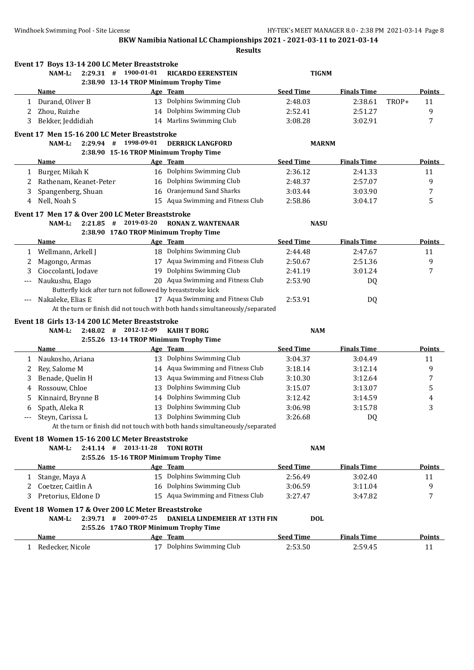|              | Event 17 Boys 13-14 200 LC Meter Breaststroke      |                                                             |                                                                              |                  |                    |       |               |
|--------------|----------------------------------------------------|-------------------------------------------------------------|------------------------------------------------------------------------------|------------------|--------------------|-------|---------------|
|              | NAM-L:<br>$2:29.31$ #                              | 1900-01-01                                                  | <b>RICARDO EERENSTEIN</b>                                                    | <b>TIGNM</b>     |                    |       |               |
|              |                                                    | 2:38.90 13-14 TROP Minimum Trophy Time                      |                                                                              |                  |                    |       |               |
|              | Name                                               |                                                             | Age Team                                                                     | <b>Seed Time</b> | <b>Finals Time</b> |       | Points        |
|              | 1 Durand, Oliver B                                 |                                                             | 13 Dolphins Swimming Club                                                    | 2:48.03          | 2:38.61            | TROP+ | 11            |
| 2            | Zhou, Ruizhe                                       |                                                             | 14 Dolphins Swimming Club                                                    | 2:52.41          | 2:51.27            |       | 9             |
| 3            | Bekker, Jeddidiah                                  |                                                             | 14 Marlins Swimming Club                                                     | 3:08.28          | 3:02.91            |       | 7             |
|              | Event 17 Men 15-16 200 LC Meter Breaststroke       |                                                             |                                                                              |                  |                    |       |               |
|              | $2:29.94$ #<br>NAM-L:                              | 1998-09-01                                                  | <b>DERRICK LANGFORD</b>                                                      | <b>MARNM</b>     |                    |       |               |
|              |                                                    | 2:38.90 15-16 TROP Minimum Trophy Time                      |                                                                              |                  |                    |       |               |
|              | Name                                               |                                                             | Age Team                                                                     | <b>Seed Time</b> | <b>Finals Time</b> |       | Points        |
| $\mathbf{1}$ | Burger, Mikah K                                    |                                                             | 16 Dolphins Swimming Club                                                    | 2:36.12          | 2:41.33            |       | 11            |
| 2            | Rathenam, Keanet-Peter                             | 16                                                          | Dolphins Swimming Club                                                       | 2:48.37          | 2:57.07            |       | 9             |
| 3            | Spangenberg, Shuan                                 | 16                                                          | Oranjemund Sand Sharks                                                       | 3:03.44          | 3:03.90            |       | 7             |
| 4            | Nell, Noah S                                       |                                                             | 15 Aqua Swimming and Fitness Club                                            | 2:58.86          | 3:04.17            |       | 5             |
|              | Event 17 Men 17 & Over 200 LC Meter Breaststroke   |                                                             |                                                                              |                  |                    |       |               |
|              | NAM-L:<br>2:21.85                                  | 2019-03-20<br>#                                             | <b>RONAN Z. WANTENAAR</b>                                                    | <b>NASU</b>      |                    |       |               |
|              |                                                    | 2:38.90 17&O TROP Minimum Trophy Time                       |                                                                              |                  |                    |       |               |
|              | Name                                               |                                                             | Age Team                                                                     | <b>Seed Time</b> | <b>Finals Time</b> |       | <b>Points</b> |
|              | 1 Wellmann, Arkell J                               |                                                             | 18 Dolphins Swimming Club                                                    | 2:44.48          | 2:47.67            |       | 11            |
| 2            | Magongo, Armas                                     |                                                             | 17 Aqua Swimming and Fitness Club                                            | 2:50.67          | 2:51.36            |       | 9             |
| 3            | Cioccolanti, Jodave                                |                                                             | 19 Dolphins Swimming Club                                                    | 2:41.19          | 3:01.24            |       | 7             |
| ---          | Naukushu, Elago                                    |                                                             | 20 Aqua Swimming and Fitness Club                                            | 2:53.90          | DQ                 |       |               |
|              |                                                    | Butterfly kick after turn not followed by breaststroke kick |                                                                              |                  |                    |       |               |
|              | Nakaleke, Elias E                                  |                                                             | 17 Aqua Swimming and Fitness Club                                            | 2:53.91          | DQ                 |       |               |
|              |                                                    |                                                             | At the turn or finish did not touch with both hands simultaneously/separated |                  |                    |       |               |
|              | Event 18 Girls 13-14 200 LC Meter Breaststroke     |                                                             |                                                                              |                  |                    |       |               |
|              | NAM-L:<br>$2:48.02$ #                              | 2012-12-09                                                  | <b>KAIH T BORG</b>                                                           | <b>NAM</b>       |                    |       |               |
|              |                                                    | 2:55.26 13-14 TROP Minimum Trophy Time                      |                                                                              |                  |                    |       |               |
|              | Name                                               |                                                             | Age Team                                                                     | <b>Seed Time</b> | <b>Finals Time</b> |       | <b>Points</b> |
| 1            | Naukosho, Ariana                                   |                                                             | 13 Dolphins Swimming Club                                                    | 3:04.37          | 3:04.49            |       | 11            |
| 2            | Rey, Salome M                                      |                                                             | 14 Aqua Swimming and Fitness Club                                            | 3:18.14          | 3:12.14            |       | 9             |
| 3            | Benade, Quelin H                                   |                                                             | 13 Aqua Swimming and Fitness Club                                            | 3:10.30          | 3:12.64            |       | 7             |
| 4            | Rossouw, Chloe                                     | 13                                                          | Dolphins Swimming Club                                                       | 3:15.07          | 3:13.07            |       | 5             |
| 5            | Kinnaird, Brynne B                                 |                                                             | 14 Dolphins Swimming Club                                                    | 3:12.42          | 3:14.59            |       | 4             |
| 6            | Spath, Aleka R                                     |                                                             | 13 Dolphins Swimming Club                                                    | 3:06.98          | 3:15.78            |       | 3             |
|              | Steyn, Carissa L                                   |                                                             | 13 Dolphins Swimming Club                                                    | 3:26.68          | DQ                 |       |               |
|              |                                                    |                                                             | At the turn or finish did not touch with both hands simultaneously/separated |                  |                    |       |               |
|              | Event 18 Women 15-16 200 LC Meter Breaststroke     |                                                             |                                                                              |                  |                    |       |               |
|              | $2:41.14$ #<br>NAM-L:                              | 2013-11-28                                                  | <b>TONI ROTH</b>                                                             | <b>NAM</b>       |                    |       |               |
|              |                                                    | 2:55.26 15-16 TROP Minimum Trophy Time                      |                                                                              |                  |                    |       |               |
|              | Name                                               |                                                             | Age Team                                                                     | <b>Seed Time</b> | <b>Finals Time</b> |       | <b>Points</b> |
|              | 1 Stange, Maya A                                   |                                                             | 15 Dolphins Swimming Club                                                    | 2:56.49          | 3:02.40            |       | 11            |
| 2            | Coetzer, Caitlin A                                 |                                                             | 16 Dolphins Swimming Club                                                    | 3:06.59          | 3:11.04            |       | 9             |
| 3.           | Pretorius, Eldone D                                |                                                             | 15 Aqua Swimming and Fitness Club                                            | 3:27.47          | 3:47.82            |       | 7             |
|              | Event 18 Women 17 & Over 200 LC Meter Breaststroke |                                                             |                                                                              |                  |                    |       |               |
|              | NAM-L:                                             | $2:39.71$ # 2009-07-25                                      | DANIELA LINDEMEIER AT 13TH FIN                                               | <b>DOL</b>       |                    |       |               |
|              |                                                    | 2:55.26 17&O TROP Minimum Trophy Time                       |                                                                              |                  |                    |       |               |
|              | <u>Name</u>                                        |                                                             | Age Team                                                                     | <b>Seed Time</b> | <b>Finals Time</b> |       | <b>Points</b> |
| 1            | Redecker, Nicole                                   |                                                             | 17 Dolphins Swimming Club                                                    | 2:53.50          | 2:59.45            |       | 11            |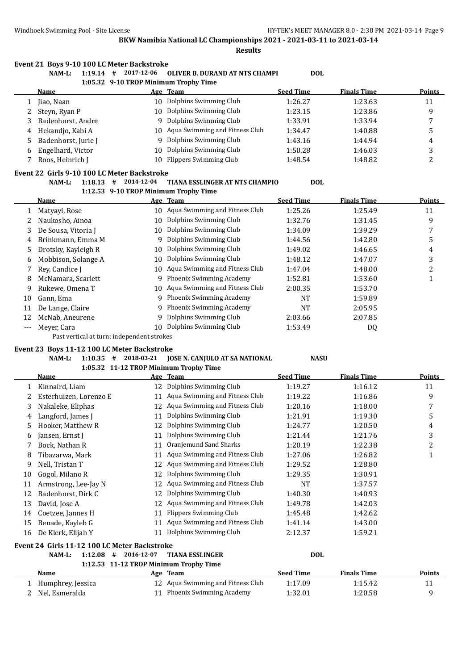**Results**

#### **Event 21 Boys 9-10 100 LC Meter Backstroke**

**NAM-L: 1:19.14 # 2017-12-06 OLIVER B. DURAND AT NTS CHAMPI DOL**

**1:05.32 9-10 TROP Minimum Trophy Time**

|   | Name                  |     | Age Team                       | <b>Seed Time</b> | <b>Finals Time</b> | <b>Points</b> |
|---|-----------------------|-----|--------------------------------|------------------|--------------------|---------------|
|   | Jiao, Naan            | 10  | Dolphins Swimming Club         | 1:26.27          | 1:23.63            | 11            |
|   | 2 Steyn, Ryan P       | 10  | Dolphins Swimming Club         | 1:23.15          | 1:23.86            | q             |
|   | 3 Badenhorst, Andre   |     | 9 Dolphins Swimming Club       | 1:33.91          | 1:33.94            |               |
|   | 4 Hekandjo, Kabi A    | 10. | Aqua Swimming and Fitness Club | 1:34.47          | 1:40.88            |               |
|   | 5 Badenhorst, Jurie J |     | 9 Dolphins Swimming Club       | 1:43.16          | 1:44.94            | 4             |
| 6 | Engelhard, Victor     | 10  | Dolphins Swimming Club         | 1:50.28          | 1:46.03            |               |
|   | Roos, Heinrich J      | 10. | Flippers Swimming Club         | 1:48.54          | 1:48.82            |               |

#### **Event 22 Girls 9-10 100 LC Meter Backstroke**

 $\overline{\phantom{a}}$ 

#### **NAM-L: 1:18.13 # 2014-12-04 TIANA ESSLINGER AT NTS CHAMPIO DOL 1:12.53 9-10 TROP Minimum Trophy Time**

|    |                     |    | 1114100 > 10 11101 PHIMMAN 110phy 11mc |                  |                    |               |
|----|---------------------|----|----------------------------------------|------------------|--------------------|---------------|
|    | Name                |    | Age Team                               | <b>Seed Time</b> | <b>Finals Time</b> | <b>Points</b> |
|    | Matyayi, Rose       | 10 | Aqua Swimming and Fitness Club         | 1:25.26          | 1:25.49            | 11            |
|    | Naukosho, Ainoa     | 10 | Dolphins Swimming Club                 | 1:32.76          | 1:31.45            | 9             |
| 3. | De Sousa, Vitoria J | 10 | Dolphins Swimming Club                 | 1:34.09          | 1:39.29            |               |
| 4  | Brinkmann, Emma M   |    | 9 Dolphins Swimming Club               | 1:44.56          | 1:42.80            | 5             |
| 5. | Drotsky, Kayleigh R | 10 | Dolphins Swimming Club                 | 1:49.02          | 1:46.65            | 4             |
| 6  | Mobbison, Solange A | 10 | Dolphins Swimming Club                 | 1:48.12          | 1:47.07            | 3             |
|    | Rev. Candice I      | 10 | Aqua Swimming and Fitness Club         | 1:47.04          | 1:48.00            | 2             |
| 8  | McNamara, Scarlett  |    | 9 Phoenix Swimming Academy             | 1:52.81          | 1:53.60            |               |
| 9  | Rukewe, Omena T     | 10 | Aqua Swimming and Fitness Club         | 2:00.35          | 1:53.70            |               |
| 10 | Gann, Ema           |    | 9 Phoenix Swimming Academy             | NT               | 1:59.89            |               |
| 11 | De Lange, Claire    |    | 9 Phoenix Swimming Academy             | NT               | 2:05.95            |               |
| 12 | McNab, Aneurene     |    | 9 Dolphins Swimming Club               | 2:03.66          | 2:07.85            |               |
|    | Meyer, Cara         | 10 | Dolphins Swimming Club                 | 1:53.49          | DQ                 |               |
|    |                     |    |                                        |                  |                    |               |

Past vertical at turn: independent strokes

## **Event 23 Boys 11-12 100 LC Meter Backstroke**

# **NAM-L: 1:10.35 # 2018-03-21 JOSE N. CANJULO AT SA NATIONAL NASU**

## **1:05.32 11-12 TROP Minimum Trophy Time**

|    | Name                                         |    | Age Team                       | <b>Seed Time</b> | <b>Finals Time</b> | <b>Points</b> |
|----|----------------------------------------------|----|--------------------------------|------------------|--------------------|---------------|
|    | Kinnaird, Liam                               | 12 | Dolphins Swimming Club         | 1:19.27          | 1:16.12            | 11            |
|    | Esterhuizen, Lorenzo E                       | 11 | Aqua Swimming and Fitness Club | 1:19.22          | 1:16.86            | 9             |
| 3  | Nakaleke, Eliphas                            | 12 | Aqua Swimming and Fitness Club | 1:20.16          | 1:18.00            | 7             |
| 4  | Langford, James J                            | 11 | Dolphins Swimming Club         | 1:21.91          | 1:19.30            | 5             |
| 5  | Hooker, Matthew R                            | 12 | Dolphins Swimming Club         | 1:24.77          | 1:20.50            | 4             |
| 6  | Jansen, Ernst J                              | 11 | Dolphins Swimming Club         | 1:21.44          | 1:21.76            | 3             |
|    | Bock, Nathan R                               | 11 | Oranjemund Sand Sharks         | 1:20.19          | 1:22.38            | 2             |
| 8  | Tibazarwa, Mark                              | 11 | Aqua Swimming and Fitness Club | 1:27.06          | 1:26.82            |               |
| 9  | Nell, Tristan T                              | 12 | Aqua Swimming and Fitness Club | 1:29.52          | 1:28.80            |               |
| 10 | Gogol, Milano R                              | 12 | Dolphins Swimming Club         | 1:29.35          | 1:30.91            |               |
| 11 | Armstrong, Lee-Jay N                         | 12 | Aqua Swimming and Fitness Club | <b>NT</b>        | 1:37.57            |               |
| 12 | Badenhorst, Dirk C                           | 12 | Dolphins Swimming Club         | 1:40.30          | 1:40.93            |               |
| 13 | David, Jose A                                | 12 | Aqua Swimming and Fitness Club | 1:49.78          | 1:42.03            |               |
| 14 | Coetzee, Jannes H                            | 11 | <b>Flippers Swimming Club</b>  | 1:45.48          | 1:42.62            |               |
| 15 | Benade, Kayleb G                             | 11 | Aqua Swimming and Fitness Club | 1:41.14          | 1:43.00            |               |
| 16 | De Klerk, Elijah Y                           | 11 | Dolphins Swimming Club         | 2:12.37          | 1:59.21            |               |
|    | Event 24 Girls 11-12 100 LC Meter Backstroke |    |                                |                  |                    |               |

**NAM-L: 1:12.08 # 2016-12-07 TIANA ESSLINGER DOL**

**1:12.53 11-12 TROP Minimum Trophy Time**

| Name                | Age Team                          | Seed Time | <b>Finals Time</b> | <b>Points</b> |
|---------------------|-----------------------------------|-----------|--------------------|---------------|
| ← Humphrey, Jessica | 12 Aqua Swimming and Fitness Club | 1:17.09   | 1:15.42            |               |
| 2 Nel. Esmeralda    | 11 Phoenix Swimming Academy       | 1:32.01   | 1:20.58            |               |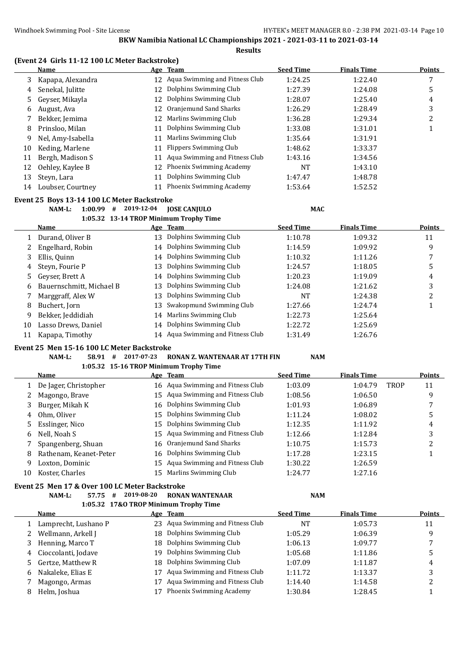#### **(Event 24 Girls 11-12 100 LC Meter Backstroke)**

|    | Name              |    | Age Team                          | <b>Seed Time</b> | <b>Finals Time</b> | <b>Points</b> |
|----|-------------------|----|-----------------------------------|------------------|--------------------|---------------|
| 3  | Kapapa, Alexandra |    | 12 Aqua Swimming and Fitness Club | 1:24.25          | 1:22.40            |               |
| 4  | Senekal, Julitte  | 12 | Dolphins Swimming Club            | 1:27.39          | 1:24.08            | 5             |
| 5. | Geyser, Mikayla   | 12 | Dolphins Swimming Club            | 1:28.07          | 1:25.40            | 4             |
| 6  | August, Ava       | 12 | Oranjemund Sand Sharks            | 1:26.29          | 1:28.49            | 3             |
|    | Bekker, Jemima    | 12 | Marlins Swimming Club             | 1:36.28          | 1:29.34            | ำ             |
| 8  | Prinsloo, Milan   | 11 | Dolphins Swimming Club            | 1:33.08          | 1:31.01            |               |
| 9  | Nel, Amy-Isabella | 11 | Marlins Swimming Club             | 1:35.64          | 1:31.91            |               |
| 10 | Keding, Marlene   | 11 | Flippers Swimming Club            | 1:48.62          | 1:33.37            |               |
| 11 | Bergh, Madison S  | 11 | Aqua Swimming and Fitness Club    | 1:43.16          | 1:34.56            |               |
| 12 | Oehley, Kaylee B  | 12 | Phoenix Swimming Academy          | NT               | 1:43.10            |               |
| 13 | Steyn, Lara       | 11 | Dolphins Swimming Club            | 1:47.47          | 1:48.78            |               |
| 14 | Loubser, Courtney | 11 | Phoenix Swimming Academy          | 1:53.64          | 1:52.52            |               |

## **Event 25 Boys 13-14 100 LC Meter Backstroke**

## **NAM-L: 1:00.99 # 2019-12-04 JOSE CANJULO MAC**

## **1:05.32 13-14 TROP Minimum Trophy Time**

|    | <b>Name</b>              |    | Age Team                          | <b>Seed Time</b> | <b>Finals Time</b> | <b>Points</b> |
|----|--------------------------|----|-----------------------------------|------------------|--------------------|---------------|
|    | Durand, Oliver B         | 13 | Dolphins Swimming Club            | 1:10.78          | 1:09.32            | 11            |
|    | Engelhard, Robin         |    | 14 Dolphins Swimming Club         | 1:14.59          | 1:09.92            | 9             |
| 3  | Ellis, Quinn             |    | 14 Dolphins Swimming Club         | 1:10.32          | 1:11.26            |               |
| 4  | Steyn, Fourie P          | 13 | Dolphins Swimming Club            | 1:24.57          | 1:18.05            | 5             |
| 5  | Gevser, Brett A          |    | 14 Dolphins Swimming Club         | 1:20.23          | 1:19.09            | 4             |
| 6  | Bauernschmitt, Michael B | 13 | Dolphins Swimming Club            | 1:24.08          | 1:21.62            | 3             |
|    | Marggraff, Alex W        | 13 | Dolphins Swimming Club            | NT               | 1:24.38            | ∠             |
| 8  | Buchert, Jorn            | 13 | Swakopmund Swimming Club          | 1:27.66          | 1:24.74            |               |
| 9  | Bekker, Jeddidiah        |    | 14 Marlins Swimming Club          | 1:22.73          | 1:25.64            |               |
| 10 | Lasso Drews, Daniel      |    | 14 Dolphins Swimming Club         | 1:22.72          | 1:25.69            |               |
| 11 | Kapapa, Timothy          |    | 14 Aqua Swimming and Fitness Club | 1:31.49          | 1:26.76            |               |

#### **Event 25 Men 15-16 100 LC Meter Backstroke**

#### **NAM-L: 58.91 # 2017-07-23 RONAN Z. WANTENAAR AT 17TH FIN NAM**

## **1:05.32 15-16 TROP Minimum Trophy Time**

|    | Name                   |    | Age Team                          | <b>Seed Time</b> | <b>Finals Time</b> |             | <b>Points</b> |
|----|------------------------|----|-----------------------------------|------------------|--------------------|-------------|---------------|
|    | De Jager, Christopher  |    | 16 Aqua Swimming and Fitness Club | 1:03.09          | 1:04.79            | <b>TROP</b> | 11            |
|    | Magongo, Brave         |    | 15 Aqua Swimming and Fitness Club | 1:08.56          | 1:06.50            |             | 9             |
|    | Burger, Mikah K        |    | 16 Dolphins Swimming Club         | 1:01.93          | 1:06.89            |             | 7             |
| 4  | Ohm, Oliver            | 15 | Dolphins Swimming Club            | 1:11.24          | 1:08.02            |             | ა             |
| 5. | Esslinger, Nico        |    | 15 Dolphins Swimming Club         | 1:12.35          | 1:11.92            |             | 4             |
| 6  | Nell, Noah S           |    | 15 Agua Swimming and Fitness Club | 1:12.66          | 1:12.84            |             | 3             |
|    | Spangenberg, Shuan     | 16 | Oranjemund Sand Sharks            | 1:10.75          | 1:15.73            |             | ∠             |
| 8  | Rathenam, Keanet-Peter |    | 16 Dolphins Swimming Club         | 1:17.28          | 1:23.15            |             |               |
| 9  | Loxton, Dominic        | 15 | Aqua Swimming and Fitness Club    | 1:30.22          | 1:26.59            |             |               |
| 10 | Koster, Charles        | 15 | Marlins Swimming Club             | 1:24.77          | 1:27.16            |             |               |

# **Event 25 Men 17 & Over 100 LC Meter Backstroke**

#### **NAM-L: 57.75 # 2019-08-20 RONAN WANTENAAR NAM 1:05.32 17&O TROP Minimum Trophy Time**

|   | $10000 = 1000$ $1001$ $01000$ $1000$ |     |                                   |                  |                    |               |
|---|--------------------------------------|-----|-----------------------------------|------------------|--------------------|---------------|
|   | Name                                 |     | Age Team                          | <b>Seed Time</b> | <b>Finals Time</b> | <b>Points</b> |
|   | Lamprecht, Lushano P                 |     | 23 Agua Swimming and Fitness Club | NT               | 1:05.73            | 11            |
|   | 2 Wellmann, Arkell J                 |     | 18 Dolphins Swimming Club         | 1:05.29          | 1:06.39            | 9             |
|   | Henning, Marco T                     |     | 18 Dolphins Swimming Club         | 1:06.13          | 1:09.77            |               |
|   | 4 Cioccolanti, Jodave                | 19. | Dolphins Swimming Club            | 1:05.68          | 1:11.86            |               |
|   | 5 Gertze, Matthew R                  |     | 18 Dolphins Swimming Club         | 1:07.09          | 1:11.87            | 4             |
| 6 | Nakaleke, Elias E                    | 17  | Aqua Swimming and Fitness Club    | 1:11.72          | 1:13.37            |               |
|   | Magongo, Armas                       | 17  | Aqua Swimming and Fitness Club    | 1:14.40          | 1:14.58            |               |
| 8 | Helm, Joshua                         | 17  | Phoenix Swimming Academy          | 1:30.84          | 1:28.45            |               |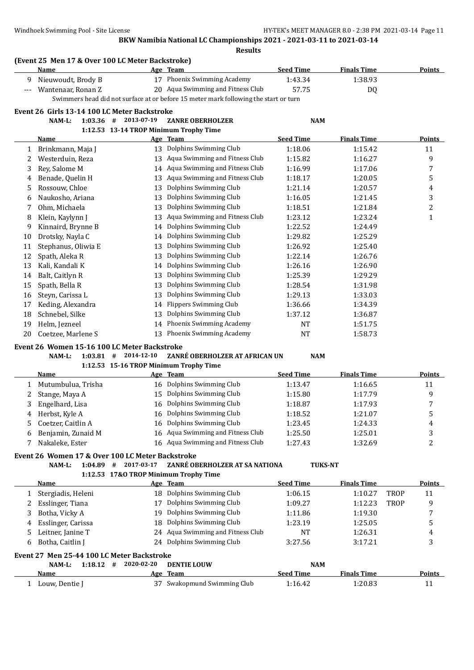| Name                                             | (Event 25 Men 17 & Over 100 LC Meter Backstroke) | Age Team                                                     | <b>Seed Time</b>                                                                                                                                                                                                                                                                                                                                                                                                                                                                                                                                                                                                                                 | <b>Finals Time</b>                                                                                                     |                          | <b>Points</b>  |
|--------------------------------------------------|--------------------------------------------------|--------------------------------------------------------------|--------------------------------------------------------------------------------------------------------------------------------------------------------------------------------------------------------------------------------------------------------------------------------------------------------------------------------------------------------------------------------------------------------------------------------------------------------------------------------------------------------------------------------------------------------------------------------------------------------------------------------------------------|------------------------------------------------------------------------------------------------------------------------|--------------------------|----------------|
| Nieuwoudt, Brody B                               |                                                  | 17 Phoenix Swimming Academy                                  | 1:43.34                                                                                                                                                                                                                                                                                                                                                                                                                                                                                                                                                                                                                                          | 1:38.93                                                                                                                |                          |                |
| Wantenaar, Ronan Z                               |                                                  | 20 Aqua Swimming and Fitness Club                            | 57.75                                                                                                                                                                                                                                                                                                                                                                                                                                                                                                                                                                                                                                            | DQ                                                                                                                     |                          |                |
|                                                  |                                                  |                                                              |                                                                                                                                                                                                                                                                                                                                                                                                                                                                                                                                                                                                                                                  |                                                                                                                        |                          |                |
|                                                  |                                                  |                                                              |                                                                                                                                                                                                                                                                                                                                                                                                                                                                                                                                                                                                                                                  |                                                                                                                        |                          |                |
| $1:03.36$ #<br>NAM-L:                            |                                                  | <b>ZANRE OBERHOLZER</b>                                      |                                                                                                                                                                                                                                                                                                                                                                                                                                                                                                                                                                                                                                                  |                                                                                                                        |                          |                |
|                                                  |                                                  |                                                              |                                                                                                                                                                                                                                                                                                                                                                                                                                                                                                                                                                                                                                                  |                                                                                                                        |                          |                |
| <u>Name</u>                                      |                                                  |                                                              | <b>Seed Time</b>                                                                                                                                                                                                                                                                                                                                                                                                                                                                                                                                                                                                                                 | <b>Finals Time</b>                                                                                                     |                          | <b>Points</b>  |
| Brinkmann, Maja J                                |                                                  |                                                              | 1:18.06                                                                                                                                                                                                                                                                                                                                                                                                                                                                                                                                                                                                                                          | 1:15.42                                                                                                                |                          | 11             |
| Westerduin, Reza                                 |                                                  |                                                              | 1:15.82                                                                                                                                                                                                                                                                                                                                                                                                                                                                                                                                                                                                                                          | 1:16.27                                                                                                                |                          | 9              |
| Rey, Salome M                                    |                                                  |                                                              | 1:16.99                                                                                                                                                                                                                                                                                                                                                                                                                                                                                                                                                                                                                                          | 1:17.06                                                                                                                |                          | 7              |
| Benade, Quelin H                                 |                                                  |                                                              | 1:18.17                                                                                                                                                                                                                                                                                                                                                                                                                                                                                                                                                                                                                                          | 1:20.05                                                                                                                |                          | 5              |
| Rossouw, Chloe                                   |                                                  |                                                              | 1:21.14                                                                                                                                                                                                                                                                                                                                                                                                                                                                                                                                                                                                                                          | 1:20.57                                                                                                                |                          | 4              |
| Naukosho, Ariana                                 | 13                                               |                                                              | 1:16.05                                                                                                                                                                                                                                                                                                                                                                                                                                                                                                                                                                                                                                          | 1:21.45                                                                                                                |                          | 3              |
| Ohm, Michaela                                    | 13                                               | Dolphins Swimming Club                                       | 1:18.51                                                                                                                                                                                                                                                                                                                                                                                                                                                                                                                                                                                                                                          | 1:21.84                                                                                                                |                          | $\overline{c}$ |
| Klein, Kaylynn J                                 | 13                                               |                                                              | 1:23.12                                                                                                                                                                                                                                                                                                                                                                                                                                                                                                                                                                                                                                          | 1:23.24                                                                                                                |                          | $\mathbf{1}$   |
| Kinnaird, Brynne B                               |                                                  | Dolphins Swimming Club                                       | 1:22.52                                                                                                                                                                                                                                                                                                                                                                                                                                                                                                                                                                                                                                          | 1:24.49                                                                                                                |                          |                |
| Drotsky, Nayla C                                 | 14                                               | Dolphins Swimming Club                                       | 1:29.82                                                                                                                                                                                                                                                                                                                                                                                                                                                                                                                                                                                                                                          | 1:25.29                                                                                                                |                          |                |
| Stephanus, Oliwia E                              | 13                                               | Dolphins Swimming Club                                       | 1:26.92                                                                                                                                                                                                                                                                                                                                                                                                                                                                                                                                                                                                                                          | 1:25.40                                                                                                                |                          |                |
| Spath, Aleka R                                   | 13                                               | Dolphins Swimming Club                                       | 1:22.14                                                                                                                                                                                                                                                                                                                                                                                                                                                                                                                                                                                                                                          | 1:26.76                                                                                                                |                          |                |
| Kali, Kandali K                                  |                                                  |                                                              | 1:26.16                                                                                                                                                                                                                                                                                                                                                                                                                                                                                                                                                                                                                                          | 1:26.90                                                                                                                |                          |                |
| Balt, Caitlyn R                                  | 13                                               | Dolphins Swimming Club                                       | 1:25.39                                                                                                                                                                                                                                                                                                                                                                                                                                                                                                                                                                                                                                          | 1:29.29                                                                                                                |                          |                |
| Spath, Bella R                                   |                                                  | Dolphins Swimming Club                                       | 1:28.54                                                                                                                                                                                                                                                                                                                                                                                                                                                                                                                                                                                                                                          | 1:31.98                                                                                                                |                          |                |
| Steyn, Carissa L                                 | 13                                               | Dolphins Swimming Club                                       | 1:29.13                                                                                                                                                                                                                                                                                                                                                                                                                                                                                                                                                                                                                                          | 1:33.03                                                                                                                |                          |                |
| Keding, Alexandra                                |                                                  |                                                              | 1:36.66                                                                                                                                                                                                                                                                                                                                                                                                                                                                                                                                                                                                                                          | 1:34.39                                                                                                                |                          |                |
| Schnebel, Silke                                  | 13                                               | Dolphins Swimming Club                                       | 1:37.12                                                                                                                                                                                                                                                                                                                                                                                                                                                                                                                                                                                                                                          | 1:36.87                                                                                                                |                          |                |
| Helm, Jezneel                                    |                                                  |                                                              | NT                                                                                                                                                                                                                                                                                                                                                                                                                                                                                                                                                                                                                                               | 1:51.75                                                                                                                |                          |                |
| Coetzee, Marlene S                               |                                                  |                                                              | <b>NT</b>                                                                                                                                                                                                                                                                                                                                                                                                                                                                                                                                                                                                                                        | 1:58.73                                                                                                                |                          |                |
|                                                  |                                                  |                                                              |                                                                                                                                                                                                                                                                                                                                                                                                                                                                                                                                                                                                                                                  |                                                                                                                        |                          |                |
| NAM-L:                                           |                                                  |                                                              |                                                                                                                                                                                                                                                                                                                                                                                                                                                                                                                                                                                                                                                  |                                                                                                                        |                          |                |
|                                                  |                                                  |                                                              |                                                                                                                                                                                                                                                                                                                                                                                                                                                                                                                                                                                                                                                  |                                                                                                                        |                          |                |
| Name                                             |                                                  |                                                              | <b>Seed Time</b>                                                                                                                                                                                                                                                                                                                                                                                                                                                                                                                                                                                                                                 | <b>Finals Time</b>                                                                                                     |                          | <b>Points</b>  |
| Mutumbulua, Trisha                               |                                                  |                                                              | 1:13.47                                                                                                                                                                                                                                                                                                                                                                                                                                                                                                                                                                                                                                          | 1:16.65                                                                                                                |                          | 11             |
| Stange, Maya A                                   |                                                  |                                                              | 1:15.80                                                                                                                                                                                                                                                                                                                                                                                                                                                                                                                                                                                                                                          | 1:17.79                                                                                                                |                          | 9              |
| Engelhard, Lisa                                  |                                                  |                                                              | 1:18.87                                                                                                                                                                                                                                                                                                                                                                                                                                                                                                                                                                                                                                          | 1:17.93                                                                                                                |                          |                |
| Herbst, Kyle A                                   |                                                  |                                                              |                                                                                                                                                                                                                                                                                                                                                                                                                                                                                                                                                                                                                                                  |                                                                                                                        |                          | 7              |
|                                                  |                                                  | 6 Dolphins Swimming Club                                     | 1:18.52                                                                                                                                                                                                                                                                                                                                                                                                                                                                                                                                                                                                                                          | 1:21.07                                                                                                                |                          | 5              |
| Coetzer, Caitlin A                               | 16                                               | Dolphins Swimming Club                                       | 1:23.45                                                                                                                                                                                                                                                                                                                                                                                                                                                                                                                                                                                                                                          | 1:24.33                                                                                                                |                          | 4              |
| Benjamin, Zunaid M                               | 16                                               | Aqua Swimming and Fitness Club                               | 1:25.50                                                                                                                                                                                                                                                                                                                                                                                                                                                                                                                                                                                                                                          | 1:25.01                                                                                                                |                          | 3              |
| Nakaleke, Ester                                  |                                                  | 16 Aqua Swimming and Fitness Club                            | 1:27.43                                                                                                                                                                                                                                                                                                                                                                                                                                                                                                                                                                                                                                          | 1:32.69                                                                                                                |                          | 2              |
|                                                  |                                                  |                                                              |                                                                                                                                                                                                                                                                                                                                                                                                                                                                                                                                                                                                                                                  |                                                                                                                        |                          |                |
| Event 26 Women 17 & Over 100 LC Meter Backstroke | 2017-03-17                                       |                                                              |                                                                                                                                                                                                                                                                                                                                                                                                                                                                                                                                                                                                                                                  |                                                                                                                        |                          |                |
| $1:04.89$ #<br>NAM-L:                            |                                                  | ZANRÉ OBERHOLZER AT SA NATIONA                               | <b>TUKS-NT</b>                                                                                                                                                                                                                                                                                                                                                                                                                                                                                                                                                                                                                                   |                                                                                                                        |                          |                |
| <b>Name</b>                                      |                                                  | 1:12.53 17&O TROP Minimum Trophy Time                        | <b>Seed Time</b>                                                                                                                                                                                                                                                                                                                                                                                                                                                                                                                                                                                                                                 | <b>Finals Time</b>                                                                                                     |                          |                |
|                                                  |                                                  | Age Team<br>18 Dolphins Swimming Club                        | 1:06.15                                                                                                                                                                                                                                                                                                                                                                                                                                                                                                                                                                                                                                          | 1:10.27                                                                                                                |                          | 11             |
| Stergiadis, Heleni                               | 17                                               |                                                              |                                                                                                                                                                                                                                                                                                                                                                                                                                                                                                                                                                                                                                                  |                                                                                                                        | <b>TROP</b>              |                |
| Esslinger, Tiana                                 | 19                                               | Dolphins Swimming Club                                       | 1:09.27                                                                                                                                                                                                                                                                                                                                                                                                                                                                                                                                                                                                                                          | 1:12.23                                                                                                                | TROP                     | 9              |
| Botha, Vicky A                                   |                                                  | Dolphins Swimming Club                                       | 1:11.86                                                                                                                                                                                                                                                                                                                                                                                                                                                                                                                                                                                                                                          | 1:19.30                                                                                                                |                          | 7              |
| Esslinger, Carissa                               | 18                                               | Dolphins Swimming Club                                       | 1:23.19                                                                                                                                                                                                                                                                                                                                                                                                                                                                                                                                                                                                                                          | 1:25.05                                                                                                                |                          | 5              |
| Leitner, Janine T                                | 24<br>24                                         | Aqua Swimming and Fitness Club<br>Dolphins Swimming Club     | NT                                                                                                                                                                                                                                                                                                                                                                                                                                                                                                                                                                                                                                               | 1:26.31                                                                                                                |                          | 4<br>3         |
| Botha, Caitlin J                                 |                                                  |                                                              | 3:27.56                                                                                                                                                                                                                                                                                                                                                                                                                                                                                                                                                                                                                                          | 3:17.21                                                                                                                |                          |                |
| Event 27 Men 25-44 100 LC Meter Backstroke       |                                                  |                                                              |                                                                                                                                                                                                                                                                                                                                                                                                                                                                                                                                                                                                                                                  |                                                                                                                        |                          | <b>Points</b>  |
| $1:18.12$ #<br>NAM-L:<br><u>Name</u>             | 2020-02-20                                       | <b>DENTIE LOUW</b><br>Age Team                               | <b>NAM</b><br><b>Seed Time</b>                                                                                                                                                                                                                                                                                                                                                                                                                                                                                                                                                                                                                   | <b>Finals Time</b>                                                                                                     |                          | <b>Points</b>  |
|                                                  | $1:03.81$ #                                      | 2013-07-19<br>13<br>13<br>13<br>14<br>14<br>13<br>2014-12-10 | Event 26 Girls 13-14 100 LC Meter Backstroke<br>1:12.53 13-14 TROP Minimum Trophy Time<br>Age Team<br>13 Dolphins Swimming Club<br>Aqua Swimming and Fitness Club<br>14 Aqua Swimming and Fitness Club<br>Aqua Swimming and Fitness Club<br>Dolphins Swimming Club<br>Dolphins Swimming Club<br>Aqua Swimming and Fitness Club<br>Dolphins Swimming Club<br>14 Flippers Swimming Club<br>14 Phoenix Swimming Academy<br>13 Phoenix Swimming Academy<br>Event 26 Women 15-16 100 LC Meter Backstroke<br>1:12.53 15-16 TROP Minimum Trophy Time<br>Age Team<br>16 Dolphins Swimming Club<br>15 Dolphins Swimming Club<br>16 Dolphins Swimming Club | Swimmers head did not surface at or before 15 meter mark following the start or turn<br>ZANRÉ OBERHOLZER AT AFRICAN UN | <b>NAM</b><br><b>NAM</b> |                |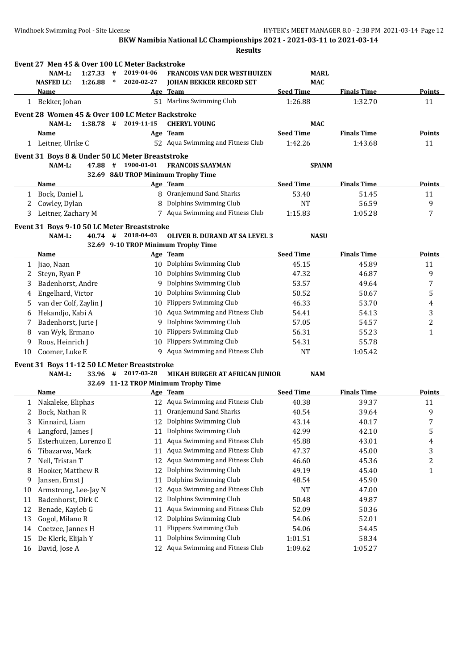|    | Event 27 Men 45 & Over 100 LC Meter Backstroke   |            |                                       |                  |                    |                |
|----|--------------------------------------------------|------------|---------------------------------------|------------------|--------------------|----------------|
|    | NAM-L:<br>1:27.33<br>#                           | 2019-04-06 | <b>FRANCOIS VAN DER WESTHUIZEN</b>    | MARL             |                    |                |
|    | <b>NASFED LC:</b><br>1:26.88<br>$\ast$           | 2020-02-27 | <b>JOHAN BEKKER RECORD SET</b>        | <b>MAC</b>       |                    |                |
|    | Name                                             |            | Age Team                              | <b>Seed Time</b> | <b>Finals Time</b> | Points         |
|    | 1 Bekker, Johan                                  |            | 51 Marlins Swimming Club              | 1:26.88          | 1:32.70            | 11             |
|    | Event 28 Women 45 & Over 100 LC Meter Backstroke |            |                                       |                  |                    |                |
|    | NAM-L:<br>$1:38.78$ #                            | 2019-11-15 | <b>CHERYL YOUNG</b>                   | <b>MAC</b>       |                    |                |
|    | Name                                             |            | Age Team                              | <b>Seed Time</b> | <b>Finals Time</b> | <b>Points</b>  |
|    | 1 Leitner, Ulrike C                              |            | 52 Aqua Swimming and Fitness Club     | 1:42.26          | 1:43.68            | 11             |
|    | Event 31 Boys 8 & Under 50 LC Meter Breaststroke |            |                                       |                  |                    |                |
|    | 47.88 #<br>$NAM-L$ :                             | 1900-01-01 | <b>FRANCOIS SAAYMAN</b>               | <b>SPANM</b>     |                    |                |
|    |                                                  |            | 32.69 8&U TROP Minimum Trophy Time    |                  |                    |                |
|    | <b>Name</b>                                      |            | Age Team                              | <b>Seed Time</b> | <b>Finals Time</b> | <b>Points</b>  |
| 1  | Bock, Daniel L                                   | 8          | Oranjemund Sand Sharks                | 53.40            | 51.45              | 11             |
| 2  | Cowley, Dylan                                    | 8          | Dolphins Swimming Club                | NT               | 56.59              | 9              |
| 3  | Leitner, Zachary M                               |            | 7 Aqua Swimming and Fitness Club      | 1:15.83          | 1:05.28            | 7              |
|    | Event 31 Boys 9-10 50 LC Meter Breaststroke      |            |                                       |                  |                    |                |
|    | NAM-L:<br>40.74#                                 | 2018-04-03 | <b>OLIVER B. DURAND AT SA LEVEL 3</b> | <b>NASU</b>      |                    |                |
|    |                                                  |            | 32.69 9-10 TROP Minimum Trophy Time   |                  |                    |                |
|    | Name                                             |            | Age Team                              | <b>Seed Time</b> | <b>Finals Time</b> | <b>Points</b>  |
| 1  | Jiao, Naan                                       |            | 10 Dolphins Swimming Club             | 45.15            | 45.89              | 11             |
| 2  | Steyn, Ryan P                                    |            | 10 Dolphins Swimming Club             | 47.32            | 46.87              | 9              |
| 3  | Badenhorst, Andre                                | 9          | Dolphins Swimming Club                | 53.57            | 49.64              | 7              |
| 4  | Engelhard, Victor                                | 10         | Dolphins Swimming Club                | 50.52            | 50.67              | 5              |
| 5  | van der Colf, Zaylin J                           | 10         | <b>Flippers Swimming Club</b>         | 46.33            | 53.70              | 4              |
| 6  | Hekandjo, Kabi A                                 | 10         | Aqua Swimming and Fitness Club        | 54.41            | 54.13              | 3              |
| 7  | Badenhorst, Jurie J                              | 9          | Dolphins Swimming Club                | 57.05            | 54.57              | $\overline{c}$ |
| 8  | van Wyk, Ermano                                  | 10         | <b>Flippers Swimming Club</b>         | 56.31            | 55.23              | $\mathbf{1}$   |
| 9  | Roos, Heinrich J                                 | 10         | <b>Flippers Swimming Club</b>         | 54.31            | 55.78              |                |
| 10 | Coomer, Luke E                                   |            | 9 Aqua Swimming and Fitness Club      | <b>NT</b>        | 1:05.42            |                |
|    | Event 31 Boys 11-12 50 LC Meter Breaststroke     |            |                                       |                  |                    |                |
|    | NAM-L:<br>33.96 #                                | 2017-03-28 | MIKAH BURGER AT AFRICAN JUNIOR        | <b>NAM</b>       |                    |                |
|    |                                                  |            | 32.69 11-12 TROP Minimum Trophy Time  |                  |                    |                |
|    | <b>Name</b>                                      |            | Age Team                              | <b>Seed Time</b> | <b>Finals Time</b> | <b>Points</b>  |
|    | 1 Nakaleke, Eliphas                              |            | 12 Aqua Swimming and Fitness Club     | 40.38            | 39.37              | 11             |
| 2  | Bock, Nathan R                                   |            | 11 Oranjemund Sand Sharks             | 40.54            | 39.64              | 9              |
| 3  | Kinnaird, Liam                                   | 12         | Dolphins Swimming Club                | 43.14            | 40.17              | 7              |
| 4  | Langford, James J                                | 11         | Dolphins Swimming Club                | 42.99            | 42.10              | 5              |
| 5  | Esterhuizen, Lorenzo E                           | 11         | Aqua Swimming and Fitness Club        | 45.88            | 43.01              | 4              |
| 6  | Tibazarwa, Mark                                  | 11         | Aqua Swimming and Fitness Club        | 47.37            | 45.00              | 3              |
| 7  | Nell, Tristan T                                  | 12         | Aqua Swimming and Fitness Club        | 46.60            | 45.36              | 2              |
| 8  | Hooker, Matthew R                                | 12         | Dolphins Swimming Club                | 49.19            | 45.40              | 1              |
| 9  | Jansen, Ernst J                                  | 11         | Dolphins Swimming Club                | 48.54            | 45.90              |                |
| 10 | Armstrong, Lee-Jay N                             | 12         | Aqua Swimming and Fitness Club        | NT               | 47.00              |                |
| 11 | Badenhorst, Dirk C                               | 12         | Dolphins Swimming Club                | 50.48            | 49.87              |                |
| 12 | Benade, Kayleb G                                 | 11         | Aqua Swimming and Fitness Club        | 52.09            | 50.36              |                |
| 13 | Gogol, Milano R                                  | 12         | Dolphins Swimming Club                | 54.06            | 52.01              |                |
| 14 | Coetzee, Jannes H                                | 11         | <b>Flippers Swimming Club</b>         | 54.06            | 54.45              |                |
| 15 | De Klerk, Elijah Y                               | 11         | Dolphins Swimming Club                | 1:01.51          | 58.34              |                |
| 16 | David, Jose A                                    | 12         | Aqua Swimming and Fitness Club        | 1:09.62          | 1:05.27            |                |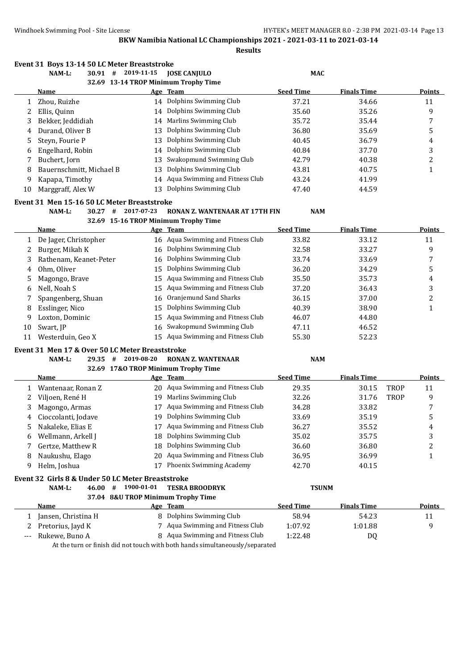|              | Event 31 Boys 13-14 50 LC Meter Breaststroke      |            |                                                                              |                  |                    |             |               |
|--------------|---------------------------------------------------|------------|------------------------------------------------------------------------------|------------------|--------------------|-------------|---------------|
|              | $30.91$ #<br>NAM-L:                               | 2019-11-15 | <b>JOSE CANJULO</b>                                                          | <b>MAC</b>       |                    |             |               |
|              |                                                   |            | 32.69 13-14 TROP Minimum Trophy Time                                         |                  |                    |             |               |
|              | Name                                              |            | Age Team                                                                     | <b>Seed Time</b> | <b>Finals Time</b> |             | Points        |
| $\mathbf{1}$ | Zhou, Ruizhe                                      |            | 14 Dolphins Swimming Club                                                    | 37.21            | 34.66              |             | 11            |
| 2            | Ellis, Quinn                                      | 14         | Dolphins Swimming Club                                                       | 35.60            | 35.26              |             | 9             |
| 3            | Bekker, Jeddidiah                                 | 14         | Marlins Swimming Club                                                        | 35.72            | 35.44              |             | 7             |
| 4            | Durand, Oliver B                                  | 13         | Dolphins Swimming Club                                                       | 36.80            | 35.69              |             | 5             |
| 5            | Steyn, Fourie P                                   | 13         | Dolphins Swimming Club                                                       | 40.45            | 36.79              |             | 4             |
| 6            | Engelhard, Robin                                  | 14         | Dolphins Swimming Club                                                       | 40.84            | 37.70              |             | 3             |
| 7            | Buchert, Jorn                                     | 13         | Swakopmund Swimming Club                                                     | 42.79            | 40.38              |             | 2             |
| 8            | Bauernschmitt, Michael B                          | 13         | Dolphins Swimming Club                                                       | 43.81            | 40.75              |             | $\mathbf{1}$  |
| 9            | Kapapa, Timothy                                   | 14         | Aqua Swimming and Fitness Club                                               | 43.24            | 41.99              |             |               |
| 10           | Marggraff, Alex W                                 |            | 13 Dolphins Swimming Club                                                    | 47.40            | 44.59              |             |               |
|              | Event 31 Men 15-16 50 LC Meter Breaststroke       |            |                                                                              |                  |                    |             |               |
|              | $30.27$ #<br>NAM-L:                               | 2017-07-23 | RONAN Z. WANTENAAR AT 17TH FIN                                               | <b>NAM</b>       |                    |             |               |
|              |                                                   |            | 32.69 15-16 TROP Minimum Trophy Time                                         |                  |                    |             |               |
|              | <u>Name</u>                                       |            | Age Team                                                                     | <b>Seed Time</b> | <b>Finals Time</b> |             | Points        |
| 1            | De Jager, Christopher                             |            | 16 Aqua Swimming and Fitness Club                                            | 33.82            | 33.12              |             | 11            |
| 2            | Burger, Mikah K                                   | 16         | Dolphins Swimming Club                                                       | 32.58            | 33.27              |             | 9             |
| 3            | Rathenam, Keanet-Peter                            | 16         | Dolphins Swimming Club                                                       | 33.74            | 33.69              |             | 7             |
| 4            | Ohm, Oliver                                       | 15         | Dolphins Swimming Club                                                       | 36.20            | 34.29              |             | 5             |
| 5            | Magongo, Brave                                    | 15         | Aqua Swimming and Fitness Club                                               | 35.50            | 35.73              |             | 4             |
| 6            | Nell, Noah S                                      | 15         | Aqua Swimming and Fitness Club                                               | 37.20            | 36.43              |             | 3             |
| 7            | Spangenberg, Shuan                                | 16         | Oranjemund Sand Sharks                                                       | 36.15            | 37.00              |             | 2             |
| 8            | Esslinger, Nico                                   | 15         | Dolphins Swimming Club                                                       | 40.39            | 38.90              |             | $\mathbf{1}$  |
| 9            | Loxton, Dominic                                   | 15         | Aqua Swimming and Fitness Club                                               | 46.07            | 44.80              |             |               |
| 10           | Swart, JP                                         | 16         | Swakopmund Swimming Club                                                     | 47.11            | 46.52              |             |               |
| 11           | Westerduin, Geo X                                 | 15         | Aqua Swimming and Fitness Club                                               | 55.30            | 52.23              |             |               |
|              | Event 31 Men 17 & Over 50 LC Meter Breaststroke   |            |                                                                              |                  |                    |             |               |
|              | NAM-L:<br>#<br>29.35                              | 2019-08-20 | <b>RONAN Z. WANTENAAR</b>                                                    | <b>NAM</b>       |                    |             |               |
|              |                                                   |            | 32.69 17&O TROP Minimum Trophy Time                                          |                  |                    |             |               |
|              | Name                                              |            | Age Team                                                                     | <b>Seed Time</b> | <b>Finals Time</b> |             | Points        |
| 1            | Wantenaar, Ronan Z                                |            | 20 Aqua Swimming and Fitness Club                                            | 29.35            | 30.15              | <b>TROP</b> | 11            |
| 2            | Viljoen, René H                                   |            | 19 Marlins Swimming Club                                                     | 32.26            | 31.76              | <b>TROP</b> | 9             |
| 3            | Magongo, Armas                                    |            | 17 Aqua Swimming and Fitness Club                                            | 34.28            | 33.82              |             | 7             |
|              | 4 Cioccolanti, Jodave                             |            | 19 Dolphins Swimming Club                                                    | 33.69            | 35.19              |             | 5             |
| 5            | Nakaleke, Elias E                                 |            | 17 Aqua Swimming and Fitness Club                                            | 36.27            | 35.52              |             | 4             |
| 6            | Wellmann, Arkell J                                | 18         | Dolphins Swimming Club                                                       | 35.02            | 35.75              |             | 3             |
| 7            | Gertze, Matthew R                                 | 18         | Dolphins Swimming Club                                                       | 36.60            | 36.80              |             | 2             |
| 8            | Naukushu, Elago                                   | 20         | Aqua Swimming and Fitness Club                                               | 36.95            | 36.99              |             | 1             |
| 9            | Helm, Joshua                                      | 17         | Phoenix Swimming Academy                                                     | 42.70            | 40.15              |             |               |
|              | Event 32 Girls 8 & Under 50 LC Meter Breaststroke |            |                                                                              |                  |                    |             |               |
|              | 46.00 #<br>NAM-L:                                 | 1900-01-01 | <b>TESRA BROODRYK</b>                                                        | <b>TSUNM</b>     |                    |             |               |
|              |                                                   |            | 37.04 8&U TROP Minimum Trophy Time                                           |                  |                    |             |               |
|              | <b>Name</b>                                       |            | Age Team                                                                     | <b>Seed Time</b> | <b>Finals Time</b> |             | <b>Points</b> |
| 1            | Jansen, Christina H                               |            | 8 Dolphins Swimming Club                                                     | 58.94            | 54.23              |             | 11            |
| 2            | Pretorius, Jayd K                                 |            | 7 Aqua Swimming and Fitness Club                                             | 1:07.92          | 1:01.88            |             | 9             |
| $--$         | Rukewe, Buno A                                    |            | 8 Aqua Swimming and Fitness Club                                             | 1:22.48          | DQ                 |             |               |
|              |                                                   |            | At the turn or finish did not touch with both hands simultaneously/separated |                  |                    |             |               |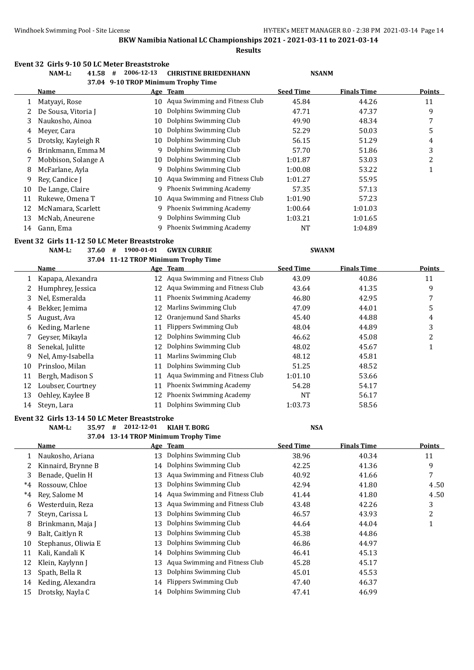**Results**

# **Event 32 Girls 9-10 50 LC Meter Breaststroke**

|        | Event 32 Girls 9-10 50 LC Meter Breaststroke<br>41.58 #<br>NAM-L: | 2006-12-13                          | <b>CHRISTINE BRIEDENHANN</b>                                | <b>NSANM</b>     |                    |                         |
|--------|-------------------------------------------------------------------|-------------------------------------|-------------------------------------------------------------|------------------|--------------------|-------------------------|
|        |                                                                   | 37.04 9-10 TROP Minimum Trophy Time |                                                             |                  |                    |                         |
|        | Name                                                              |                                     | Age Team                                                    | <b>Seed Time</b> | <b>Finals Time</b> | Points                  |
| 1      | Matyayi, Rose                                                     |                                     | 10 Aqua Swimming and Fitness Club                           | 45.84            | 44.26              | 11                      |
| 2      | De Sousa, Vitoria J                                               |                                     | 10 Dolphins Swimming Club                                   | 47.71            | 47.37              | 9                       |
| 3      | Naukosho, Ainoa                                                   | 10                                  | Dolphins Swimming Club                                      | 49.90            | 48.34              | $\boldsymbol{7}$        |
| 4      | Meyer, Cara                                                       | 10                                  | Dolphins Swimming Club                                      | 52.29            | 50.03              | 5                       |
| 5      | Drotsky, Kayleigh R                                               | 10                                  | Dolphins Swimming Club                                      | 56.15            | 51.29              | 4                       |
| 6      | Brinkmann, Emma M                                                 |                                     | 9 Dolphins Swimming Club                                    | 57.70            | 51.86              | 3                       |
| 7      | Mobbison, Solange A                                               |                                     | 10 Dolphins Swimming Club                                   | 1:01.87          | 53.03              | $\overline{c}$          |
| 8      | McFarlane, Ayla                                                   |                                     | 9 Dolphins Swimming Club                                    | 1:00.08          | 53.22              | $\mathbf{1}$            |
| 9      | Rey, Candice J                                                    |                                     | 10 Aqua Swimming and Fitness Club                           | 1:01.27          | 55.95              |                         |
| 10     | De Lange, Claire                                                  |                                     | 9 Phoenix Swimming Academy                                  | 57.35            | 57.13              |                         |
| 11     | Rukewe, Omena T                                                   |                                     | 10 Aqua Swimming and Fitness Club                           | 1:01.90          | 57.23              |                         |
| 12     | McNamara, Scarlett                                                |                                     | 9 Phoenix Swimming Academy                                  | 1:00.64          | 1:01.03            |                         |
| 13     | McNab, Aneurene                                                   | 9                                   | Dolphins Swimming Club                                      | 1:03.21          | 1:01.65            |                         |
| 14     | Gann, Ema                                                         |                                     | 9 Phoenix Swimming Academy                                  | <b>NT</b>        | 1:04.89            |                         |
|        | Event 32 Girls 11-12 50 LC Meter Breaststroke                     |                                     |                                                             |                  |                    |                         |
|        | NAM-L:<br>37.60                                                   | 1900-01-01<br>#                     | <b>GWEN CURRIE</b>                                          | <b>SWANM</b>     |                    |                         |
|        |                                                                   |                                     | 37.04 11-12 TROP Minimum Trophy Time                        |                  |                    |                         |
|        | Name                                                              |                                     | Age Team                                                    | <b>Seed Time</b> | <b>Finals Time</b> | <b>Points</b>           |
| 1      | Kapapa, Alexandra                                                 |                                     | 12 Aqua Swimming and Fitness Club                           | 43.09            | 40.86              | 11                      |
| 2      | Humphrey, Jessica                                                 |                                     | 12 Aqua Swimming and Fitness Club                           | 43.64            | 41.35              | 9                       |
| 3      | Nel, Esmeralda                                                    | 11                                  | Phoenix Swimming Academy                                    | 46.80            | 42.95              | $\boldsymbol{7}$        |
| 4      | Bekker, Jemima                                                    | 12                                  | Marlins Swimming Club                                       | 47.09            | 44.01              | 5                       |
| 5      | August, Ava                                                       | 12                                  | Oranjemund Sand Sharks                                      | 45.40            | 44.88              | $\overline{\mathbf{4}}$ |
| 6      | Keding, Marlene                                                   | 11                                  | <b>Flippers Swimming Club</b>                               | 48.04            | 44.89              | 3                       |
| 7      | Geyser, Mikayla                                                   | 12                                  | Dolphins Swimming Club                                      | 46.62            | 45.08              | $\overline{c}$          |
| 8      | Senekal, Julitte                                                  | 12                                  | Dolphins Swimming Club                                      | 48.02            | 45.67              | $\mathbf{1}$            |
| 9      | Nel, Amy-Isabella                                                 | 11                                  | Marlins Swimming Club                                       | 48.12            | 45.81              |                         |
| 10     | Prinsloo, Milan                                                   | 11                                  | Dolphins Swimming Club                                      | 51.25            | 48.52              |                         |
| 11     | Bergh, Madison S                                                  | 11                                  | Aqua Swimming and Fitness Club                              | 1:01.10          | 53.66              |                         |
| 12     | Loubser, Courtney                                                 | 11                                  | Phoenix Swimming Academy                                    | 54.28            | 54.17              |                         |
| 13     | Oehley, Kaylee B                                                  | 12                                  | Phoenix Swimming Academy                                    | <b>NT</b>        | 56.17              |                         |
| 14     | Steyn, Lara                                                       | 11                                  | Dolphins Swimming Club                                      | 1:03.73          | 58.56              |                         |
|        |                                                                   |                                     |                                                             |                  |                    |                         |
|        | Event 32 Girls 13-14 50 LC Meter Breaststroke                     | 2012-12-01                          |                                                             |                  |                    |                         |
|        | NAM-L:<br>35.97                                                   | #                                   | <b>KIAH T. BORG</b><br>37.04 13-14 TROP Minimum Trophy Time | <b>NSA</b>       |                    |                         |
|        | <b>Name</b>                                                       |                                     | Age Team                                                    | <b>Seed Time</b> | <b>Finals Time</b> | <b>Points</b>           |
| 1      | Naukosho, Ariana                                                  | 13                                  | Dolphins Swimming Club                                      | 38.96            | 40.34              | 11                      |
| 2      | Kinnaird, Brynne B                                                | 14                                  | Dolphins Swimming Club                                      | 42.25            | 41.36              | 9                       |
| 3      | Benade, Quelin H                                                  | 13                                  | Aqua Swimming and Fitness Club                              | 40.92            | 41.66              | $\sqrt{ }$              |
| $*4$   | Rossouw, Chloe                                                    | 13                                  | Dolphins Swimming Club                                      | 42.94            | 41.80              | 4.50                    |
| $*4$   | Rey, Salome M                                                     | 14                                  | Aqua Swimming and Fitness Club                              | 41.44            | 41.80              | 4.50                    |
| 6      | Westerduin, Reza                                                  | 13                                  | Aqua Swimming and Fitness Club                              | 43.48            | 42.26              | 3                       |
| 7      | Steyn, Carissa L                                                  | 13                                  | Dolphins Swimming Club                                      | 46.57            | 43.93              | $\overline{c}$          |
|        | Brinkmann, Maja J                                                 | 13                                  | Dolphins Swimming Club                                      | 44.64            | 44.04              |                         |
| 8<br>9 | Balt, Caitlyn R                                                   | 13                                  | Dolphins Swimming Club                                      | 45.38            | 44.86              | 1                       |
|        |                                                                   |                                     | Dolphins Swimming Club                                      |                  |                    |                         |
| 10     | Stephanus, Oliwia E                                               | 13                                  | Dolphins Swimming Club                                      | 46.86<br>46.41   | 44.97<br>45.13     |                         |
| 11     | Kali, Kandali K                                                   | 14                                  | Aqua Swimming and Fitness Club                              |                  |                    |                         |
| 12     | Klein, Kaylynn J                                                  | 13<br>13                            | Dolphins Swimming Club                                      | 45.28<br>45.01   | 45.17<br>45.53     |                         |
| 13     | Spath, Bella R                                                    |                                     | 14 Flippers Swimming Club                                   | 47.40            | 46.37              |                         |
| 14     | Keding, Alexandra                                                 |                                     |                                                             |                  |                    |                         |

15 Drotsky, Nayla C 14 Dolphins Swimming Club 47.41 46.99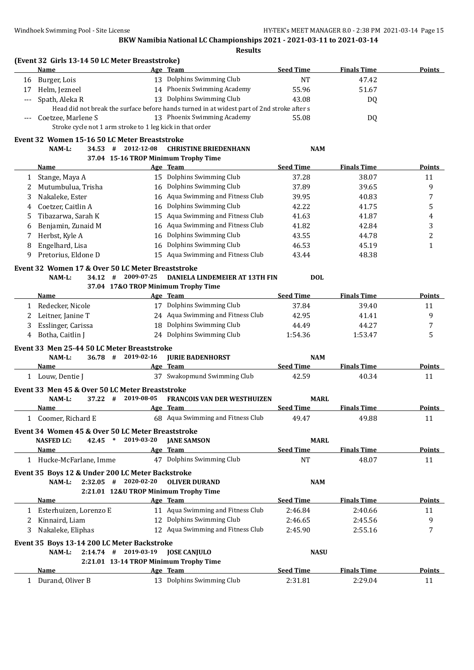|     | (Event 32 Girls 13-14 50 LC Meter Breaststroke)<br>Name                         |            | Age Team                                                                                   | <b>Seed Time</b> | <b>Finals Time</b> | <b>Points</b>  |
|-----|---------------------------------------------------------------------------------|------------|--------------------------------------------------------------------------------------------|------------------|--------------------|----------------|
| 16  | Burger, Lois                                                                    |            | 13 Dolphins Swimming Club                                                                  | <b>NT</b>        | 47.42              |                |
| 17  | Helm, Jezneel                                                                   |            | 14 Phoenix Swimming Academy                                                                | 55.96            | 51.67              |                |
| --- | Spath, Aleka R                                                                  |            | 13 Dolphins Swimming Club                                                                  | 43.08            | DQ                 |                |
|     |                                                                                 |            | Head did not break the surface before hands turned in at widest part of 2nd stroke after s |                  |                    |                |
|     | Coetzee, Marlene S<br>Stroke cycle not 1 arm stroke to 1 leg kick in that order |            | 13 Phoenix Swimming Academy                                                                | 55.08            | DQ                 |                |
|     | Event 32 Women 15-16 50 LC Meter Breaststroke                                   |            |                                                                                            |                  |                    |                |
|     | $34.53$ #<br>NAM-L:                                                             | 2012-12-08 | <b>CHRISTINE BRIEDENHANN</b>                                                               | <b>NAM</b>       |                    |                |
|     |                                                                                 |            | 37.04 15-16 TROP Minimum Trophy Time                                                       |                  |                    |                |
|     | <b>Name</b>                                                                     |            | Age Team                                                                                   | <b>Seed Time</b> | <b>Finals Time</b> | <b>Points</b>  |
| 1   | Stange, Maya A                                                                  |            | 15 Dolphins Swimming Club                                                                  | 37.28            | 38.07              | 11             |
| 2   | Mutumbulua, Trisha                                                              |            | 16 Dolphins Swimming Club                                                                  | 37.89            | 39.65              | 9              |
| 3   | Nakaleke, Ester                                                                 |            | 16 Aqua Swimming and Fitness Club                                                          | 39.95            | 40.83              | 7              |
| 4   | Coetzer, Caitlin A                                                              |            | 16 Dolphins Swimming Club                                                                  | 42.22            | 41.75              | 5              |
| 5   | Tibazarwa, Sarah K                                                              |            | 15 Aqua Swimming and Fitness Club                                                          | 41.63            | 41.87              | 4              |
| 6   | Benjamin, Zunaid M                                                              |            | 16 Aqua Swimming and Fitness Club                                                          | 41.82            | 42.84              | 3              |
| 7   | Herbst, Kyle A                                                                  |            | 16 Dolphins Swimming Club                                                                  | 43.55            | 44.78              | $\overline{c}$ |
| 8   | Engelhard, Lisa                                                                 |            | 16 Dolphins Swimming Club                                                                  | 46.53            | 45.19              | $\mathbf{1}$   |
| 9   | Pretorius, Eldone D                                                             |            | 15 Aqua Swimming and Fitness Club                                                          | 43.44            | 48.38              |                |
|     |                                                                                 |            |                                                                                            |                  |                    |                |
|     | Event 32 Women 17 & Over 50 LC Meter Breaststroke<br>NAM-L:<br>$34.12 +$        | 2009-07-25 | DANIELA LINDEMEIER AT 13TH FIN                                                             | <b>DOL</b>       |                    |                |
|     |                                                                                 |            | 37.04 17&O TROP Minimum Trophy Time                                                        |                  |                    |                |
|     | <b>Name</b>                                                                     |            | Age Team                                                                                   | <b>Seed Time</b> | <b>Finals Time</b> | <b>Points</b>  |
| 1   | Redecker, Nicole                                                                |            | 17 Dolphins Swimming Club                                                                  | 37.84            | 39.40              | 11             |
| 2   | Leitner, Janine T                                                               |            | 24 Aqua Swimming and Fitness Club                                                          | 42.95            | 41.41              | 9              |
| 3   | Esslinger, Carissa                                                              |            | 18 Dolphins Swimming Club                                                                  | 44.49            | 44.27              | 7              |
| 4   | Botha, Caitlin J                                                                |            | 24 Dolphins Swimming Club                                                                  | 1:54.36          | 1:53.47            | 5              |
|     |                                                                                 |            |                                                                                            |                  |                    |                |
|     | Event 33 Men 25-44 50 LC Meter Breaststroke                                     |            |                                                                                            |                  |                    |                |
|     | 36.78 # 2019-02-16<br>NAM-L:                                                    |            | <b>JURIE BADENHORST</b>                                                                    | <b>NAM</b>       |                    |                |
|     | Name                                                                            |            | Age Team                                                                                   | <b>Seed Time</b> | <b>Finals Time</b> | <b>Points</b>  |
|     | 1 Louw, Dentie J                                                                |            | 37 Swakopmund Swimming Club                                                                | 42.59            | 40.34              | 11             |
|     | Event 33 Men 45 & Over 50 LC Meter Breaststroke                                 |            |                                                                                            |                  |                    |                |
|     | NAM-L:<br>37.22 #                                                               | 2019-08-05 | <b>FRANCOIS VAN DER WESTHUIZEN</b>                                                         | <b>MARL</b>      |                    |                |
|     | Name                                                                            |            | Age Team                                                                                   | <b>Seed Time</b> | <b>Finals Time</b> | <b>Points</b>  |
|     | 1 Coomer, Richard E                                                             |            | 68 Aqua Swimming and Fitness Club                                                          | 49.47            | 49.88              | 11             |
|     | Event 34 Women 45 & Over 50 LC Meter Breaststroke                               |            |                                                                                            |                  |                    |                |
|     | 42.45 *<br><b>NASFED LC:</b>                                                    | 2019-03-20 | <b>JANE SAMSON</b>                                                                         | <b>MARL</b>      |                    |                |
|     | Name                                                                            |            | Age Team                                                                                   | <b>Seed Time</b> | <b>Finals Time</b> | <b>Points</b>  |
|     | 1 Hucke-McFarlane, Imme                                                         |            | 47 Dolphins Swimming Club                                                                  | NT               | 48.07              | 11             |
|     | Event 35 Boys 12 & Under 200 LC Meter Backstroke                                |            |                                                                                            |                  |                    |                |
|     | $2:32.05$ # 2020-02-20<br>NAM-L:                                                |            | <b>OLIVER DURAND</b>                                                                       | <b>NAM</b>       |                    |                |
|     |                                                                                 |            | 2:21.01 12&U TROP Minimum Trophy Time                                                      |                  |                    |                |
|     | Name                                                                            |            | Age Team                                                                                   | <b>Seed Time</b> | <b>Finals Time</b> | <b>Points</b>  |
| 1   | Esterhuizen, Lorenzo E                                                          |            | 11 Aqua Swimming and Fitness Club                                                          | 2:46.84          | 2:40.66            | 11             |
| 2   | Kinnaird, Liam                                                                  |            | 12 Dolphins Swimming Club                                                                  | 2:46.65          | 2:45.56            | 9              |
| 3   | Nakaleke, Eliphas                                                               |            | 12 Aqua Swimming and Fitness Club                                                          | 2:45.90          | 2:55.16            | 7              |
|     |                                                                                 |            |                                                                                            |                  |                    |                |
|     | Event 35 Boys 13-14 200 LC Meter Backstroke                                     |            |                                                                                            |                  |                    |                |
|     | $2:14.74$ # 2019-03-19<br>NAM-L:                                                |            | <b>JOSE CANJULO</b>                                                                        | <b>NASU</b>      |                    |                |
|     |                                                                                 |            | 2:21.01 13-14 TROP Minimum Trophy Time                                                     |                  |                    |                |
|     | Name                                                                            |            | Age Team                                                                                   | <b>Seed Time</b> | <b>Finals Time</b> | <b>Points</b>  |
|     | 1 Durand, Oliver B                                                              |            | 13 Dolphins Swimming Club                                                                  | 2:31.81          | 2:29.04            | 11             |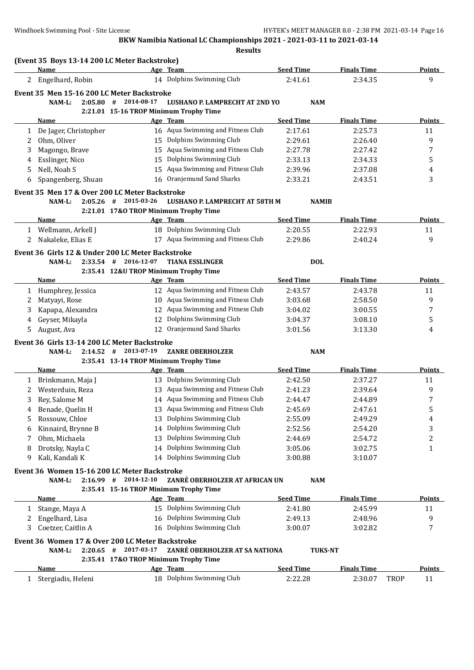|                      |                                                              |                                        | <b>Results</b>                        |                  |                    |      |               |
|----------------------|--------------------------------------------------------------|----------------------------------------|---------------------------------------|------------------|--------------------|------|---------------|
|                      | (Event 35 Boys 13-14 200 LC Meter Backstroke)<br><b>Name</b> |                                        | Age Team                              | <b>Seed Time</b> | <b>Finals Time</b> |      | <b>Points</b> |
| $\mathbf{2}^{\circ}$ | Engelhard, Robin                                             |                                        | 14 Dolphins Swimming Club             | 2:41.61          | 2:34.35            |      | 9             |
|                      |                                                              |                                        |                                       |                  |                    |      |               |
|                      | Event 35 Men 15-16 200 LC Meter Backstroke                   |                                        |                                       |                  |                    |      |               |
|                      | 2:05.80#<br>NAM-L:                                           | 2014-08-17                             | <b>LUSHANO P. LAMPRECHT AT 2ND YO</b> | <b>NAM</b>       |                    |      |               |
|                      |                                                              | 2:21.01 15-16 TROP Minimum Trophy Time |                                       |                  |                    |      |               |
|                      | <b>Name</b>                                                  |                                        | Age Team                              | <b>Seed Time</b> | <b>Finals Time</b> |      | <b>Points</b> |
| $\mathbf{1}$         | De Jager, Christopher                                        |                                        | 16 Aqua Swimming and Fitness Club     | 2:17.61          | 2:25.73            |      | 11            |
| 2                    | Ohm, Oliver                                                  |                                        | 15 Dolphins Swimming Club             | 2:29.61          | 2:26.40            |      | 9             |
| 3                    | Magongo, Brave                                               |                                        | 15 Aqua Swimming and Fitness Club     | 2:27.78          | 2:27.42            |      | 7             |
| 4                    | Esslinger, Nico                                              | 15                                     | Dolphins Swimming Club                | 2:33.13          | 2:34.33            |      | 5             |
| 5                    | Nell, Noah S                                                 |                                        | 15 Aqua Swimming and Fitness Club     | 2:39.96          | 2:37.08            |      | 4             |
| 6                    | Spangenberg, Shuan                                           | 16                                     | Oranjemund Sand Sharks                | 2:33.21          | 2:43.51            |      | 3             |
|                      | Event 35 Men 17 & Over 200 LC Meter Backstroke               |                                        |                                       |                  |                    |      |               |
|                      | NAM-L:                                                       | $2:05.26$ # 2015-03-26                 | <b>LUSHANO P. LAMPRECHT AT 58TH M</b> | <b>NAMIB</b>     |                    |      |               |
|                      |                                                              | 2:21.01 17&O TROP Minimum Trophy Time  |                                       |                  |                    |      |               |
|                      | Name                                                         |                                        | Age Team                              | <b>Seed Time</b> | <b>Finals Time</b> |      | Points        |
| 1                    | Wellmann, Arkell J                                           |                                        | 18 Dolphins Swimming Club             | 2:20.55          | 2:22.93            |      | 11            |
| 2                    | Nakaleke, Elias E                                            |                                        | 17 Aqua Swimming and Fitness Club     | 2:29.86          | 2:40.24            |      | 9             |
|                      | Event 36 Girls 12 & Under 200 LC Meter Backstroke            |                                        |                                       |                  |                    |      |               |
|                      | NAM-L:<br>$2:33.54$ #                                        | 2016-12-07                             | <b>TIANA ESSLINGER</b>                | <b>DOL</b>       |                    |      |               |
|                      |                                                              | 2:35.41 12&U TROP Minimum Trophy Time  |                                       |                  |                    |      |               |
|                      | <b>Name</b>                                                  |                                        | <u>Age Team</u>                       | <b>Seed Time</b> | <b>Finals Time</b> |      | <b>Points</b> |
| 1                    | Humphrey, Jessica                                            |                                        | 12 Aqua Swimming and Fitness Club     | 2:43.57          | 2:43.78            |      | 11            |
| 2                    | Matyayi, Rose                                                |                                        | 10 Aqua Swimming and Fitness Club     | 3:03.68          | 2:58.50            |      | 9             |
|                      | Kapapa, Alexandra                                            |                                        | 12 Aqua Swimming and Fitness Club     | 3:04.02          | 3:00.55            |      | 7             |
| 3                    |                                                              |                                        | Dolphins Swimming Club                |                  |                    |      |               |
| 4                    | Geyser, Mikayla                                              | 12                                     |                                       | 3:04.37          | 3:08.10            |      | 5             |
| 5                    | August, Ava                                                  |                                        | 12 Oranjemund Sand Sharks             | 3:01.56          | 3:13.30            |      | 4             |
|                      | Event 36 Girls 13-14 200 LC Meter Backstroke                 |                                        |                                       |                  |                    |      |               |
|                      | NAM-L:<br>$2:14.52$ #                                        | 2013-07-19                             | <b>ZANRE OBERHOLZER</b>               | <b>NAM</b>       |                    |      |               |
|                      |                                                              | 2:35.41 13-14 TROP Minimum Trophy Time |                                       |                  |                    |      |               |
|                      | <b>Name</b>                                                  |                                        | Age Team                              | <b>Seed Time</b> | <b>Finals Time</b> |      | <b>Points</b> |
| 1                    | Brinkmann, Maja J                                            |                                        | 13 Dolphins Swimming Club             | 2:42.50          | 2:37.27            |      | 11            |
| 2                    | Westerduin, Reza                                             |                                        | 13 Aqua Swimming and Fitness Club     | 2:41.23          | 2:39.64            |      | 9             |
| 3                    | Rey, Salome M                                                |                                        | 14 Aqua Swimming and Fitness Club     | 2:44.47          | 2:44.89            |      | 7             |
|                      | Benade, Quelin H                                             |                                        | 13 Aqua Swimming and Fitness Club     | 2:45.69          | 2:47.61            |      | 5             |
| 5                    | Rossouw, Chloe                                               | 13                                     | Dolphins Swimming Club                | 2:55.09          | 2:49.29            |      | 4             |
| 6                    | Kinnaird, Brynne B                                           | 14                                     | Dolphins Swimming Club                | 2:52.56          | 2:54.20            |      | 3             |
| 7                    | Ohm, Michaela                                                | 13                                     | Dolphins Swimming Club                | 2:44.69          | 2:54.72            |      | 2             |
| 8                    | Drotsky, Nayla C                                             | 14                                     | Dolphins Swimming Club                | 3:05.06          | 3:02.75            |      | 1             |
| 9                    | Kali, Kandali K                                              |                                        | 14 Dolphins Swimming Club             | 3:00.88          | 3:10.07            |      |               |
|                      | Event 36 Women 15-16 200 LC Meter Backstroke                 |                                        |                                       |                  |                    |      |               |
|                      | NAM-L:                                                       | $2:16.99$ # 2014-12-10                 | ZANRÉ OBERHOLZER AT AFRICAN UN        | <b>NAM</b>       |                    |      |               |
|                      |                                                              | 2:35.41 15-16 TROP Minimum Trophy Time |                                       |                  |                    |      |               |
|                      | <u>Name</u>                                                  |                                        | Age Team                              | <b>Seed Time</b> | <b>Finals Time</b> |      | <b>Points</b> |
|                      | 1 Stange, Maya A                                             |                                        | 15 Dolphins Swimming Club             | 2:41.80          | 2:45.99            |      | 11            |
| 2                    | Engelhard, Lisa                                              |                                        | 16 Dolphins Swimming Club             | 2:49.13          | 2:48.96            |      | 9             |
| 3                    | Coetzer, Caitlin A                                           |                                        | 16 Dolphins Swimming Club             | 3:00.07          | 3:02.82            |      | 7             |
|                      |                                                              |                                        |                                       |                  |                    |      |               |
|                      | Event 36 Women 17 & Over 200 LC Meter Backstroke             |                                        |                                       |                  |                    |      |               |
|                      | NAM-L:                                                       | $2:20.65$ # 2017-03-17                 | ZANRÉ OBERHOLZER AT SA NATIONA        |                  | <b>TUKS-NT</b>     |      |               |
|                      |                                                              | 2:35.41 17&O TROP Minimum Trophy Time  |                                       |                  |                    |      |               |
|                      | Name                                                         |                                        | Age Team                              | <b>Seed Time</b> | <b>Finals Time</b> |      | <b>Points</b> |
|                      | 1 Stergiadis, Heleni                                         |                                        | 18 Dolphins Swimming Club             | 2:22.28          | 2:30.07            | TROP | 11            |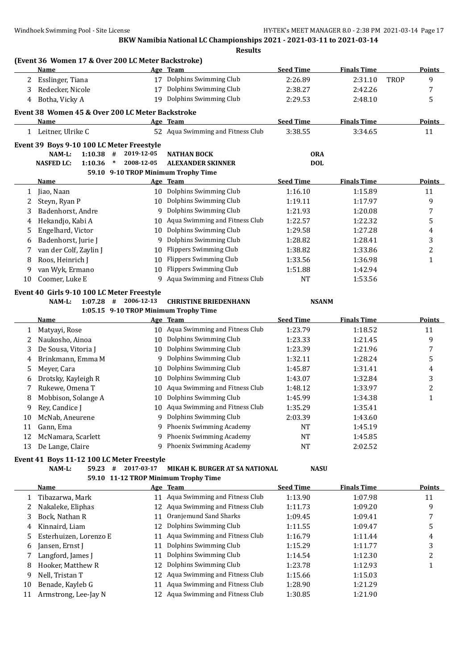|    | (Event 36 Women 17 & Over 200 LC Meter Backstroke)<br>Name          |                      | Age Team                                                         | <b>Seed Time</b>         | <b>Finals Time</b> |             | <b>Points</b>           |
|----|---------------------------------------------------------------------|----------------------|------------------------------------------------------------------|--------------------------|--------------------|-------------|-------------------------|
|    | 2 Esslinger, Tiana                                                  |                      | 17 Dolphins Swimming Club                                        | 2:26.89                  | 2:31.10            | <b>TROP</b> | 9                       |
| 3  | Redecker, Nicole                                                    | 17                   | Dolphins Swimming Club                                           | 2:38.27                  | 2:42.26            |             | 7                       |
| 4  | Botha, Vicky A                                                      |                      | 19 Dolphins Swimming Club                                        | 2:29.53                  | 2:48.10            |             | 5                       |
|    |                                                                     |                      |                                                                  |                          |                    |             |                         |
|    | Event 38 Women 45 & Over 200 LC Meter Backstroke                    |                      |                                                                  | <b>Seed Time</b>         | <b>Finals Time</b> |             | <b>Points</b>           |
|    | Name<br>1 Leitner, Ulrike C                                         |                      | Age Team<br>52 Aqua Swimming and Fitness Club                    | 3:38.55                  | 3:34.65            |             | 11                      |
|    |                                                                     |                      |                                                                  |                          |                    |             |                         |
|    | Event 39 Boys 9-10 100 LC Meter Freestyle                           | 2019-12-05           |                                                                  |                          |                    |             |                         |
|    | NAM-L:<br>$1:10.38$ #<br><b>NASFED LC:</b><br>1:10.36               | $\ast$<br>2008-12-05 | <b>NATHAN BOCK</b><br><b>ALEXANDER SKINNER</b>                   | <b>ORA</b><br><b>DOL</b> |                    |             |                         |
|    |                                                                     |                      | 59.10 9-10 TROP Minimum Trophy Time                              |                          |                    |             |                         |
|    | Name                                                                |                      | Age Team                                                         | <b>Seed Time</b>         | <b>Finals Time</b> |             | <b>Points</b>           |
| 1  | Jiao, Naan                                                          |                      | 10 Dolphins Swimming Club                                        | 1:16.10                  | 1:15.89            |             | 11                      |
| 2  | Steyn, Ryan P                                                       | 10                   | Dolphins Swimming Club                                           | 1:19.11                  | 1:17.97            |             | 9                       |
| 3  | Badenhorst, Andre                                                   | 9                    | Dolphins Swimming Club                                           | 1:21.93                  | 1:20.08            |             | 7                       |
| 4  | Hekandjo, Kabi A                                                    | 10                   | Aqua Swimming and Fitness Club                                   | 1:22.57                  | 1:22.32            |             | 5                       |
| 5  | Engelhard, Victor                                                   | 10                   | Dolphins Swimming Club                                           | 1:29.58                  | 1:27.28            |             | 4                       |
| 6  | Badenhorst, Jurie J                                                 | 9                    | Dolphins Swimming Club                                           | 1:28.82                  | 1:28.41            |             | 3                       |
| 7  | van der Colf, Zaylin J                                              | 10                   | <b>Flippers Swimming Club</b>                                    | 1:38.82                  | 1:33.86            |             | $\overline{c}$          |
| 8  | Roos, Heinrich J                                                    | 10                   | <b>Flippers Swimming Club</b>                                    | 1:33.56                  | 1:36.98            |             | $\mathbf{1}$            |
| 9  | van Wyk, Ermano                                                     | 10                   | <b>Flippers Swimming Club</b>                                    | 1:51.88                  | 1:42.94            |             |                         |
| 10 | Coomer, Luke E                                                      | 9                    | Aqua Swimming and Fitness Club                                   | <b>NT</b>                | 1:53.56            |             |                         |
|    |                                                                     |                      |                                                                  |                          |                    |             |                         |
|    | Event 40 Girls 9-10 100 LC Meter Freestyle<br>$1:07.28$ #<br>NAM-L: | 2006-12-13           | <b>CHRISTINE BRIEDENHANN</b>                                     | <b>NSANM</b>             |                    |             |                         |
|    |                                                                     |                      | 1:05.15 9-10 TROP Minimum Trophy Time                            |                          |                    |             |                         |
|    | <b>Name</b>                                                         |                      | <u>Age Team</u>                                                  | <b>Seed Time</b>         | <b>Finals Time</b> |             | <b>Points</b>           |
| 1  | Matyayi, Rose                                                       | 10                   | Aqua Swimming and Fitness Club                                   | 1:23.79                  | 1:18.52            |             | 11                      |
| 2  | Naukosho, Ainoa                                                     | 10                   | Dolphins Swimming Club                                           | 1:23.33                  | 1:21.45            |             | 9                       |
| 3  | De Sousa, Vitoria J                                                 | 10                   | Dolphins Swimming Club                                           | 1:23.39                  | 1:21.96            |             | 7                       |
| 4  | Brinkmann, Emma M                                                   | 9                    | Dolphins Swimming Club                                           | 1:32.11                  | 1:28.24            |             | 5                       |
| 5  | Meyer, Cara                                                         | 10                   | Dolphins Swimming Club                                           | 1:45.87                  | 1:31.41            |             | 4                       |
| 6  | Drotsky, Kayleigh R                                                 | 10                   | Dolphins Swimming Club                                           | 1:43.07                  | 1:32.84            |             | 3                       |
| 7  | Rukewe, Omena T                                                     | 10                   | Aqua Swimming and Fitness Club                                   | 1:48.12                  | 1:33.97            |             | 2                       |
| 8  | Mobbison, Solange A                                                 | 10                   | Dolphins Swimming Club                                           | 1:45.99                  | 1:34.38            |             | $\mathbf{1}$            |
| 9  | Rey, Candice J                                                      | 10                   | Aqua Swimming and Fitness Club                                   | 1:35.29                  | 1:35.41            |             |                         |
| 10 | McNab, Aneurene                                                     |                      | 9 Dolphins Swimming Club                                         | 2:03.39                  | 1:43.60            |             |                         |
| 11 | Gann, Ema                                                           | 9                    | Phoenix Swimming Academy                                         | NT                       | 1:45.19            |             |                         |
| 12 | McNamara, Scarlett                                                  | 9                    | Phoenix Swimming Academy                                         | NT                       | 1:45.85            |             |                         |
| 13 | De Lange, Claire                                                    | 9                    | Phoenix Swimming Academy                                         | NT                       | 2:02.52            |             |                         |
|    | Event 41 Boys 11-12 100 LC Meter Freestyle                          |                      |                                                                  |                          |                    |             |                         |
|    | $59.23$ #<br>NAM-L:                                                 | 2017-03-17           | MIKAH K. BURGER AT SA NATIONAL                                   | <b>NASU</b>              |                    |             |                         |
|    |                                                                     |                      | 59.10 11-12 TROP Minimum Trophy Time                             |                          |                    |             |                         |
|    | <u>Name</u>                                                         |                      | Age Team                                                         | <b>Seed Time</b>         | <b>Finals Time</b> |             | <b>Points</b>           |
| 1  | Tibazarwa, Mark                                                     |                      | 11 Aqua Swimming and Fitness Club                                | 1:13.90                  | 1:07.98            |             | 11                      |
| 2  | Nakaleke, Eliphas                                                   | 12                   | Aqua Swimming and Fitness Club                                   | 1:11.73                  | 1:09.20            |             | 9                       |
|    |                                                                     | 11                   | Oranjemund Sand Sharks                                           | 1:09.45                  | 1:09.41            |             | 7                       |
| 3  | Bock, Nathan R                                                      |                      |                                                                  |                          |                    |             | 5                       |
| 4  | Kinnaird, Liam                                                      | 12                   | Dolphins Swimming Club                                           | 1:11.55                  | 1:09.47            |             |                         |
| 5  | Esterhuizen, Lorenzo E                                              | 11                   | Aqua Swimming and Fitness Club                                   | 1:16.79                  | 1:11.44            |             | 4                       |
| 6  | Jansen, Ernst J                                                     | 11                   | Dolphins Swimming Club                                           | 1:15.29                  | 1:11.77            |             | 3                       |
| 7  | Langford, James J                                                   | 11                   | Dolphins Swimming Club                                           | 1:14.54                  | 1:12.30            |             | $\overline{\mathbf{c}}$ |
| 8  | Hooker, Matthew R                                                   | 12                   | Dolphins Swimming Club                                           | 1:23.78                  | 1:12.93            |             | 1                       |
| 9  | Nell, Tristan T                                                     | 12                   | Aqua Swimming and Fitness Club                                   | 1:15.66                  | 1:15.03            |             |                         |
| 10 | Benade, Kayleb G<br>Armstrong, Lee-Jay N                            | 11                   | Aqua Swimming and Fitness Club<br>Aqua Swimming and Fitness Club | 1:28.90                  | 1:21.29<br>1:21.90 |             |                         |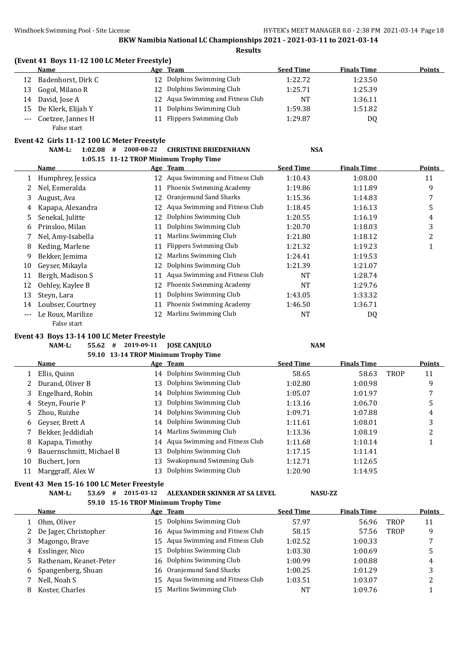## **(Event 41 Boys 11-12 100 LC Meter Freestyle)**

|    | Name                  |    | Age Team                          | <b>Seed Time</b> | <b>Finals Time</b> | <b>Points</b> |
|----|-----------------------|----|-----------------------------------|------------------|--------------------|---------------|
| 12 | Badenhorst, Dirk C    |    | 12 Dolphins Swimming Club         | 1:22.72          | 1:23.50            |               |
| 13 | Gogol, Milano R       | 12 | Dolphins Swimming Club            | 1:25.71          | 1:25.39            |               |
| 14 | David, Jose A         |    | 12 Aqua Swimming and Fitness Club | NT               | 1:36.11            |               |
| 15 | De Klerk, Elijah Y    | 11 | Dolphins Swimming Club            | 1:59.38          | 1:51.82            |               |
|    | --- Coetzee, Jannes H |    | 11 Flippers Swimming Club         | 1:29.87          | DQ                 |               |
|    | False start           |    |                                   |                  |                    |               |

#### **Event 42 Girls 11-12 100 LC Meter Freestyle**

#### **NAM-L: 1:02.08 # 2008-08-22 CHRISTINE BRIEDENHANN NSA 1:05.15 11-12 TROP Minimum Trophy Time**

|    | 1.03.13 11-12 INOF MINIMUM HODIN THIS |    |                                 |                  |                    |               |
|----|---------------------------------------|----|---------------------------------|------------------|--------------------|---------------|
|    | Name                                  |    | Age Team                        | <b>Seed Time</b> | <b>Finals Time</b> | <b>Points</b> |
|    | Humphrey, Jessica                     | 12 | Aqua Swimming and Fitness Club  | 1:10.43          | 1:08.00            | 11            |
|    | Nel, Esmeralda                        | 11 | Phoenix Swimming Academy        | 1:19.86          | 1:11.89            | 9             |
|    | August, Ava                           | 12 | Oranjemund Sand Sharks          | 1:15.36          | 1:14.83            | 7             |
|    | Kapapa, Alexandra                     | 12 | Aqua Swimming and Fitness Club  | 1:18.45          | 1:16.13            | 5             |
| 5. | Senekal, Julitte                      | 12 | Dolphins Swimming Club          | 1:20.55          | 1:16.19            | 4             |
| 6  | Prinsloo, Milan                       | 11 | Dolphins Swimming Club          | 1:20.70          | 1:18.03            | 3             |
|    | Nel, Amy-Isabella                     | 11 | Marlins Swimming Club           | 1:21.80          | 1:18.12            | 2             |
| 8  | Keding, Marlene                       | 11 | Flippers Swimming Club          | 1:21.32          | 1:19.23            |               |
| 9  | Bekker, Jemima                        | 12 | Marlins Swimming Club           | 1:24.41          | 1:19.53            |               |
| 10 | Gevser, Mikavla                       | 12 | Dolphins Swimming Club          | 1:21.39          | 1:21.07            |               |
| 11 | Bergh, Madison S                      | 11 | Aqua Swimming and Fitness Club  | NT               | 1:28.74            |               |
| 12 | Oehley, Kaylee B                      | 12 | Phoenix Swimming Academy        | NT               | 1:29.76            |               |
| 13 | Steyn, Lara                           | 11 | Dolphins Swimming Club          | 1:43.05          | 1:33.32            |               |
| 14 | Loubser, Courtney                     | 11 | <b>Phoenix Swimming Academy</b> | 1:46.50          | 1:36.71            |               |
|    | Le Roux, Marilize                     | 12 | Marlins Swimming Club           | NT               | DQ                 |               |

## **Event 43 Boys 13-14 100 LC Meter Freestyle**

False start

**NAM-L: 55.62 # 2019-09-11 JOSE CANJULO NAM**

## **59.10 13-14 TROP Minimum Trophy Time**

|    | Name                     |    | Age Team                          | <b>Seed Time</b> | <b>Finals Time</b> |      | <b>Points</b> |
|----|--------------------------|----|-----------------------------------|------------------|--------------------|------|---------------|
|    | Ellis, Quinn             |    | 14 Dolphins Swimming Club         | 58.65            | 58.63              | TROP | 11            |
|    | Durand, Oliver B         |    | 13 Dolphins Swimming Club         | 1:02.80          | 1:00.98            |      | 9             |
| 3  | Engelhard, Robin         |    | 14 Dolphins Swimming Club         | 1:05.07          | 1:01.97            |      |               |
| 4  | Steyn, Fourie P          |    | 13 Dolphins Swimming Club         | 1:13.16          | 1:06.70            |      | 5             |
| 5. | Zhou, Ruizhe             |    | 14 Dolphins Swimming Club         | 1:09.71          | 1:07.88            |      | 4             |
| 6  | Geyser, Brett A          |    | 14 Dolphins Swimming Club         | 1:11.61          | 1:08.01            |      | 3             |
|    | Bekker, Jeddidiah        |    | 14 Marlins Swimming Club          | 1:13.36          | 1:08.19            |      | າ<br>∠        |
| 8  | Kapapa, Timothy          |    | 14 Aqua Swimming and Fitness Club | 1:11.68          | 1:10.14            |      |               |
| 9  | Bauernschmitt, Michael B | 13 | Dolphins Swimming Club            | 1:17.15          | 1:11.41            |      |               |
| 10 | Buchert, Jorn            | 13 | Swakopmund Swimming Club          | 1:12.71          | 1:12.65            |      |               |
| 11 | Marggraff, Alex W        | 13 | Dolphins Swimming Club            | 1:20.90          | 1:14.95            |      |               |
|    |                          |    |                                   |                  |                    |      |               |

#### **Event 43 Men 15-16 100 LC Meter Freestyle**

**NAM-L: 53.69 # 2015-03-12 ALEXANDER SKINNER AT SA LEVEL NASU-ZZ**

|    |                        |     | 59.10 15-16 TROP Minimum Trophy Time |                  |                    |             |        |
|----|------------------------|-----|--------------------------------------|------------------|--------------------|-------------|--------|
|    | <b>Name</b>            |     | Age Team                             | <b>Seed Time</b> | <b>Finals Time</b> |             | Points |
|    | Ohm, Oliver            | 15  | Dolphins Swimming Club               | 57.97            | 56.96              | <b>TROP</b> | 11     |
| 2  | De Jager, Christopher  |     | 16 Aqua Swimming and Fitness Club    | 58.15            | 57.56              | <b>TROP</b> | 9      |
|    | Magongo, Brave         |     | 15 Agua Swimming and Fitness Club    | 1:02.52          | 1:00.33            |             |        |
| 4  | Esslinger, Nico        | 15  | Dolphins Swimming Club               | 1:03.30          | 1:00.69            |             | 5      |
| 5. | Rathenam, Keanet-Peter | 16. | Dolphins Swimming Club               | 1:00.99          | 1:00.88            |             | 4      |
| 6  | Spangenberg, Shuan     | 16  | Oranjemund Sand Sharks               | 1:00.25          | 1:01.29            |             | 3      |
|    | Nell, Noah S           | 15. | Aqua Swimming and Fitness Club       | 1:03.51          | 1:03.07            |             | ົ      |
| 8  | Koster, Charles        |     | Marlins Swimming Club                | NT               | 1:09.76            |             |        |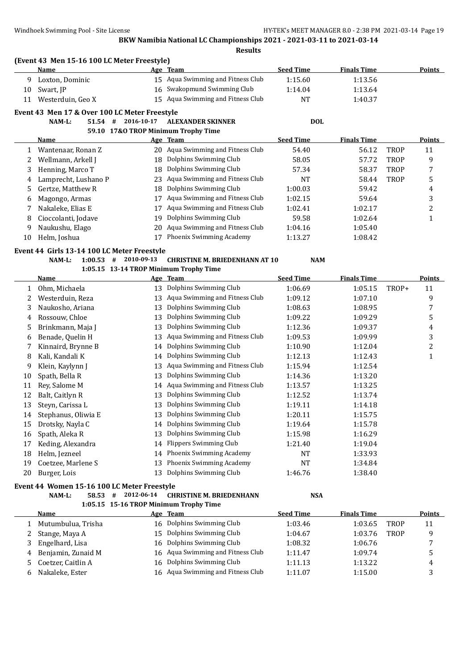|              | (Event 43 Men 15-16 100 LC Meter Freestyle)   |            |                                        |                  |                    |             |                |
|--------------|-----------------------------------------------|------------|----------------------------------------|------------------|--------------------|-------------|----------------|
|              | <b>Name</b>                                   |            | Age Team                               | <b>Seed Time</b> | <b>Finals Time</b> |             | <b>Points</b>  |
| 9            | Loxton, Dominic                               |            | 15 Aqua Swimming and Fitness Club      | 1:15.60          | 1:13.56            |             |                |
| 10           | Swart, JP                                     |            | 16 Swakopmund Swimming Club            | 1:14.04          | 1:13.64            |             |                |
| 11           | Westerduin, Geo X                             |            | 15 Aqua Swimming and Fitness Club      | <b>NT</b>        | 1:40.37            |             |                |
|              | Event 43 Men 17 & Over 100 LC Meter Freestyle |            |                                        |                  |                    |             |                |
|              | $51.54$ #<br>NAM-L:                           | 2016-10-17 | <b>ALEXANDER SKINNER</b>               | <b>DOL</b>       |                    |             |                |
|              |                                               |            | 59.10 17&O TROP Minimum Trophy Time    |                  |                    |             |                |
|              | <u>Name</u>                                   |            | Age Team                               | <b>Seed Time</b> | <b>Finals Time</b> |             | Points         |
| 1            | Wantenaar, Ronan Z                            |            | 20 Aqua Swimming and Fitness Club      | 54.40            | 56.12              | <b>TROP</b> | 11             |
| 2            | Wellmann, Arkell J                            |            | 18 Dolphins Swimming Club              | 58.05            | 57.72              | <b>TROP</b> | 9              |
| 3            | Henning, Marco T                              | 18         | Dolphins Swimming Club                 | 57.34            | 58.37              | <b>TROP</b> | 7              |
| 4            | Lamprecht, Lushano P                          | 23         | Aqua Swimming and Fitness Club         | <b>NT</b>        | 58.44              | <b>TROP</b> | 5              |
| 5            | Gertze, Matthew R                             | 18         | Dolphins Swimming Club                 | 1:00.03          | 59.42              |             | 4              |
| 6            | Magongo, Armas                                | 17         | Aqua Swimming and Fitness Club         | 1:02.15          | 59.64              |             | 3              |
| 7            | Nakaleke, Elias E                             | 17         | Aqua Swimming and Fitness Club         | 1:02.41          | 1:02.17            |             | $\overline{c}$ |
| 8            | Cioccolanti, Jodave                           | 19         | Dolphins Swimming Club                 | 59.58            | 1:02.64            |             | $\mathbf{1}$   |
| 9            | Naukushu, Elago                               | 20         | Aqua Swimming and Fitness Club         | 1:04.16          | 1:05.40            |             |                |
| 10           | Helm, Joshua                                  | 17         | Phoenix Swimming Academy               | 1:13.27          | 1:08.42            |             |                |
|              | Event 44 Girls 13-14 100 LC Meter Freestyle   |            |                                        |                  |                    |             |                |
|              | NAM-L:<br>1:00.53<br>#                        | 2010-09-13 | <b>CHRISTINE M. BRIEDENHANN AT 10</b>  | <b>NAM</b>       |                    |             |                |
|              |                                               |            | 1:05.15 13-14 TROP Minimum Trophy Time |                  |                    |             |                |
|              | <b>Name</b>                                   |            | Age Team                               | <b>Seed Time</b> | <b>Finals Time</b> |             | <b>Points</b>  |
| $\mathbf{1}$ | Ohm, Michaela                                 | 13         | Dolphins Swimming Club                 | 1:06.69          | 1:05.15            | TROP+       | 11             |
| 2            | Westerduin, Reza                              | 13         | Aqua Swimming and Fitness Club         | 1:09.12          | 1:07.10            |             | 9              |
| 3            | Naukosho, Ariana                              | 13         | Dolphins Swimming Club                 | 1:08.63          | 1:08.95            |             | 7              |
| 4            | Rossouw, Chloe                                | 13         | Dolphins Swimming Club                 | 1:09.22          | 1:09.29            |             | 5              |
| 5            | Brinkmann, Maja J                             | 13         | Dolphins Swimming Club                 | 1:12.36          | 1:09.37            |             | 4              |
| 6            | Benade, Quelin H                              | 13         | Aqua Swimming and Fitness Club         | 1:09.53          | 1:09.99            |             | 3              |
| 7            | Kinnaird, Brynne B                            | 14         | Dolphins Swimming Club                 | 1:10.90          | 1:12.04            |             | $\overline{c}$ |
| 8            | Kali, Kandali K                               | 14         | Dolphins Swimming Club                 | 1:12.13          | 1:12.43            |             | 1              |
| 9            | Klein, Kaylynn J                              | 13         | Aqua Swimming and Fitness Club         | 1:15.94          | 1:12.54            |             |                |
| 10           | Spath, Bella R                                | 13         | Dolphins Swimming Club                 | 1:14.36          | 1:13.20            |             |                |
| 11           | Rey, Salome M                                 | 14         | Aqua Swimming and Fitness Club         | 1:13.57          | 1:13.25            |             |                |
| 12           | Balt, Caitlyn R                               | 13         | Dolphins Swimming Club                 | 1:12.52          | 1:13.74            |             |                |
| 13           | Steyn, Carissa L                              |            | 13 Dolphins Swimming Club              | 1:19.11          | 1:14.18            |             |                |
| 14           | Stephanus, Oliwia E                           |            | Dolphins Swimming Club                 | 1:20.11          | 1:15.75            |             |                |
| 15           | Drotsky, Nayla C                              |            | 14 Dolphins Swimming Club              | 1:19.64          | 1:15.78            |             |                |
| 16           | Spath, Aleka R                                | 13         | Dolphins Swimming Club                 | 1:15.98          | 1:16.29            |             |                |
| 17           | Keding, Alexandra                             | 14         | <b>Flippers Swimming Club</b>          | 1:21.40          | 1:19.04            |             |                |
| 18           | Helm, Jezneel                                 | 14         | Phoenix Swimming Academy               | NT               | 1:33.93            |             |                |
| 19           | Coetzee, Marlene S                            | 13         | Phoenix Swimming Academy               | NT               | 1:34.84            |             |                |
| 20           | Burger, Lois                                  | 13         | Dolphins Swimming Club                 | 1:46.76          | 1:38.40            |             |                |
|              | Event 44 Women 15-16 100 LC Meter Freestyle   |            |                                        |                  |                    |             |                |
|              | NAM-L:<br>58.53 #                             | 2012-06-14 | <b>CHRISTINE M. BRIEDENHANN</b>        | <b>NSA</b>       |                    |             |                |
|              |                                               |            | 1:05.15 15-16 TROP Minimum Trophy Time |                  |                    |             |                |
|              | <b>Name</b>                                   |            | Age Team                               | <b>Seed Time</b> | <b>Finals Time</b> |             | <b>Points</b>  |
| 1            | Mutumbulua, Trisha                            |            | 16 Dolphins Swimming Club              | 1:03.46          | 1:03.65            | TROP        | 11             |
| 2            | Stange, Maya A                                | 15         | Dolphins Swimming Club                 | 1:04.67          | 1:03.76            | TROP        | 9              |
| 3            | Engelhard, Lisa                               | 16         | Dolphins Swimming Club                 | 1:08.32          | 1:06.76            |             | 7              |
| 4            | Benjamin, Zunaid M                            | 16         | Aqua Swimming and Fitness Club         | 1:11.47          | 1:09.74            |             | 5              |
| 5            | Coetzer, Caitlin A                            | 16         | Dolphins Swimming Club                 | 1:11.13          | 1:13.22            |             | 4              |
| 6            | Nakaleke, Ester                               |            | 16 Aqua Swimming and Fitness Club      | 1:11.07          | 1:15.00            |             | 3              |
|              |                                               |            |                                        |                  |                    |             |                |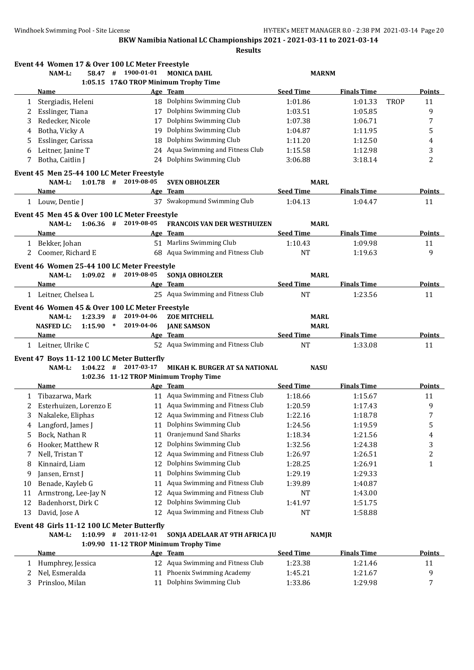|        | Event 44 Women 17 & Over 100 LC Meter Freestyle<br>$NAM-L$ :        | 58.47 # 1900-01-01                     | <b>MONICA DAHL</b>                                 | <b>MARNM</b>       |                    |             |                         |
|--------|---------------------------------------------------------------------|----------------------------------------|----------------------------------------------------|--------------------|--------------------|-------------|-------------------------|
|        |                                                                     | 1:05.15 17&O TROP Minimum Trophy Time  |                                                    |                    |                    |             |                         |
|        | Name                                                                |                                        | Age Team                                           | <b>Seed Time</b>   | <b>Finals Time</b> |             | Points                  |
| 1      | Stergiadis, Heleni                                                  |                                        | 18 Dolphins Swimming Club                          | 1:01.86            | 1:01.33            | <b>TROP</b> | 11                      |
| 2      | Esslinger, Tiana                                                    |                                        | 17 Dolphins Swimming Club                          | 1:03.51            | 1:05.85            |             | 9                       |
| 3      | Redecker, Nicole                                                    |                                        | 17 Dolphins Swimming Club                          | 1:07.38            | 1:06.71            |             | 7                       |
| 4      | Botha, Vicky A                                                      | 19                                     | Dolphins Swimming Club                             | 1:04.87            | 1:11.95            |             | 5                       |
| 5      | Esslinger, Carissa                                                  | 18                                     | Dolphins Swimming Club                             | 1:11.20            | 1:12.50            |             | 4                       |
| 6      | Leitner, Janine T                                                   |                                        | 24 Aqua Swimming and Fitness Club                  | 1:15.58            | 1:12.98            |             | 3                       |
| 7      | Botha, Caitlin J                                                    |                                        | 24 Dolphins Swimming Club                          | 3:06.88            | 3:18.14            |             | 2                       |
|        | Event 45 Men 25-44 100 LC Meter Freestyle                           |                                        |                                                    |                    |                    |             |                         |
|        | NAM-L:                                                              | $1:01.78$ # 2019-08-05                 | <b>SVEN OBHOLZER</b>                               | <b>MARL</b>        |                    |             |                         |
|        | Name                                                                |                                        | Age Team                                           | <b>Seed Time</b>   | <b>Finals Time</b> |             | <b>Points</b>           |
|        | 1 Louw, Dentie J                                                    |                                        | 37 Swakopmund Swimming Club                        | 1:04.13            | 1:04.47            |             | 11                      |
|        | Event 45 Men 45 & Over 100 LC Meter Freestyle                       |                                        |                                                    |                    |                    |             |                         |
|        | NAM-L:                                                              | $1:06.36$ # 2019-08-05                 | FRANCOIS VAN DER WESTHUIZEN                        | <b>MARL</b>        |                    |             |                         |
|        | Name                                                                |                                        | Age Team                                           | <b>Seed Time</b>   | <b>Finals Time</b> |             | Points                  |
|        | 1 Bekker, Johan                                                     |                                        | 51 Marlins Swimming Club                           | 1:10.43            | 1:09.98            |             | 11                      |
| 2      | Coomer, Richard E                                                   |                                        | 68 Aqua Swimming and Fitness Club                  | NT                 | 1:19.63            |             | 9                       |
|        | Event 46 Women 25-44 100 LC Meter Freestyle                         |                                        |                                                    |                    |                    |             |                         |
|        | $NAM-L$ :                                                           | $1:09.02$ # 2019-08-05                 | <b>SONJA OBHOLZER</b>                              | <b>MARL</b>        |                    |             |                         |
|        | Name                                                                |                                        | Age Team                                           | <b>Seed Time</b>   | <b>Finals Time</b> |             | <b>Points</b>           |
|        | 1 Leitner, Chelsea L                                                |                                        | 25 Aqua Swimming and Fitness Club                  | <b>NT</b>          | 1:23.56            |             | 11                      |
|        | Event 46 Women 45 & Over 100 LC Meter Freestyle                     |                                        |                                                    |                    |                    |             |                         |
|        | NAM-L:<br>1:23.39                                                   | 2019-04-06<br>#                        | <b>ZOE MITCHELL</b>                                | <b>MARL</b>        |                    |             |                         |
|        | <b>NASFED LC:</b><br>$1:15.90$ *                                    | 2019-04-06                             | <b>JANE SAMSON</b>                                 | <b>MARL</b>        |                    |             |                         |
|        | Name                                                                |                                        | Age Team                                           | <b>Seed Time</b>   | <b>Finals Time</b> |             | <b>Points</b>           |
|        | 1 Leitner, Ulrike C                                                 |                                        | 52 Aqua Swimming and Fitness Club                  | NT                 | 1:33.08            |             | 11                      |
|        |                                                                     |                                        |                                                    |                    |                    |             |                         |
|        | Event 47 Boys 11-12 100 LC Meter Butterfly<br>NAM-L:<br>$1:04.22$ # | 2017-03-17                             | MIKAH K. BURGER AT SA NATIONAL                     | <b>NASU</b>        |                    |             |                         |
|        |                                                                     | 1:02.36 11-12 TROP Minimum Trophy Time |                                                    |                    |                    |             |                         |
|        | <b>Name</b>                                                         |                                        | Age Team                                           | <b>Seed Time</b>   | <b>Finals Time</b> |             | <b>Points</b>           |
| 1      | Tibazarwa, Mark                                                     |                                        | 11 Aqua Swimming and Fitness Club                  | 1:18.66            | 1:15.67            |             | 11                      |
| 2      | Esterhuizen, Lorenzo E                                              |                                        | 11 Aqua Swimming and Fitness Club                  | 1:20.59            | 1:17.43            |             | 9                       |
| 3      | Nakaleke, Eliphas                                                   |                                        | 12 Aqua Swimming and Fitness Club                  | 1:22.16            | 1:18.78            |             | 7                       |
|        | Langford, James J                                                   | 11                                     | Dolphins Swimming Club                             | 1:24.56            | 1:19.59            |             | 5                       |
| 4<br>5 | Bock, Nathan R                                                      | 11                                     | Oranjemund Sand Sharks                             | 1:18.34            | 1:21.56            |             | 4                       |
|        | Hooker, Matthew R                                                   | 12                                     | Dolphins Swimming Club                             |                    |                    |             |                         |
| 6      |                                                                     |                                        | Aqua Swimming and Fitness Club                     | 1:32.56            | 1:24.38            |             | 3                       |
| 7      | Nell, Tristan T                                                     | 12                                     |                                                    | 1:26.97            | 1:26.51            |             | $\overline{\mathbf{c}}$ |
| 8      | Kinnaird, Liam                                                      | 12                                     | Dolphins Swimming Club                             | 1:28.25            | 1:26.91            |             | 1                       |
| 9      | Jansen, Ernst J                                                     | 11                                     | Dolphins Swimming Club                             | 1:29.19            | 1:29.33            |             |                         |
| 10     | Benade, Kayleb G                                                    | 11                                     | Aqua Swimming and Fitness Club                     | 1:39.89            | 1:40.87            |             |                         |
|        | Armstrong, Lee-Jay N                                                | 12                                     | Aqua Swimming and Fitness Club                     | NT                 | 1:43.00            |             |                         |
| 11     | Badenhorst, Dirk C                                                  | 12                                     | Dolphins Swimming Club                             | 1:41.97            | 1:51.75            |             |                         |
| 12     | David, Jose A                                                       |                                        | 12 Aqua Swimming and Fitness Club                  | NT                 | 1:58.88            |             |                         |
| 13     |                                                                     |                                        |                                                    |                    |                    |             |                         |
|        | Event 48 Girls 11-12 100 LC Meter Butterfly                         |                                        |                                                    |                    |                    |             |                         |
|        | NAM-L:                                                              | $1:10.99$ # 2011-12-01                 | SONJA ADELAAR AT 9TH AFRICA JU                     | <b>NAMJR</b>       |                    |             |                         |
|        |                                                                     | 1:09.90 11-12 TROP Minimum Trophy Time |                                                    |                    |                    |             |                         |
|        | <u>Name</u>                                                         |                                        | Age Team                                           | <b>Seed Time</b>   | <b>Finals Time</b> |             |                         |
| 1      | Humphrey, Jessica                                                   |                                        | 12 Aqua Swimming and Fitness Club                  | 1:23.38            | 1:21.46            |             | <b>Points</b><br>11     |
| 2<br>3 | Nel, Esmeralda<br>Prinsloo, Milan                                   | 11<br>11                               | Phoenix Swimming Academy<br>Dolphins Swimming Club | 1:45.21<br>1:33.86 | 1:21.67<br>1:29.98 |             | 9<br>7                  |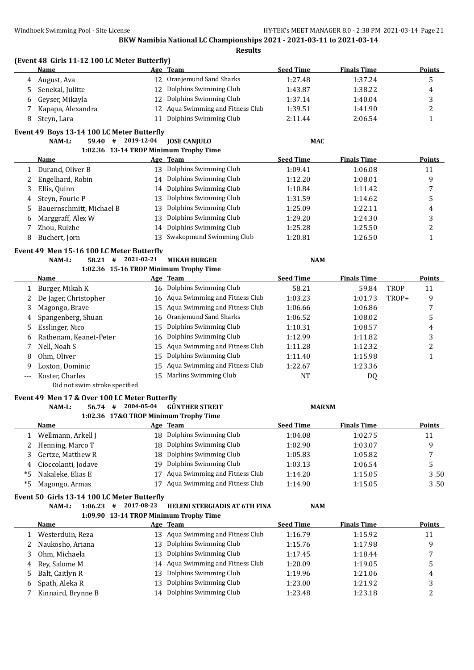|        | (Event 48 Girls 11-12 100 LC Meter Butterfly)<br>Name |            | Age Team                                           | <b>Seed Time</b>   | <b>Finals Time</b> |             | <b>Points</b>           |
|--------|-------------------------------------------------------|------------|----------------------------------------------------|--------------------|--------------------|-------------|-------------------------|
| 4      | August, Ava                                           |            | 12 Oranjemund Sand Sharks                          | 1:27.48            | 1:37.24            |             | 5                       |
| 5      | Senekal, Julitte                                      | 12         | Dolphins Swimming Club                             | 1:43.87            | 1:38.22            |             | 4                       |
| 6      | Geyser, Mikayla                                       | 12         | Dolphins Swimming Club                             | 1:37.14            | 1:40.04            |             | 3                       |
| 7      | Kapapa, Alexandra                                     | 12         | Aqua Swimming and Fitness Club                     | 1:39.51            | 1:41.90            |             | $\overline{c}$          |
| 8      | Steyn, Lara                                           | 11         | Dolphins Swimming Club                             | 2:11.44            | 2:06.54            |             | $\mathbf{1}$            |
|        |                                                       |            |                                                    |                    |                    |             |                         |
|        | Event 49 Boys 13-14 100 LC Meter Butterfly            |            |                                                    |                    |                    |             |                         |
|        | 59.40 # 2019-12-04<br>NAM-L:                          |            | <b>JOSE CANJULO</b>                                | <b>MAC</b>         |                    |             |                         |
|        |                                                       |            | 1:02.36 13-14 TROP Minimum Trophy Time<br>Age Team | <b>Seed Time</b>   | <b>Finals Time</b> |             | <b>Points</b>           |
|        | <u>Name</u><br>Durand, Oliver B                       |            | 13 Dolphins Swimming Club                          | 1:09.41            | 1:06.08            |             | 11                      |
| 1      |                                                       |            | 14 Dolphins Swimming Club                          |                    |                    |             |                         |
| 2      | Engelhard, Robin                                      |            |                                                    | 1:12.20            | 1:08.01            |             | 9                       |
| 3      | Ellis, Quinn                                          |            | 14 Dolphins Swimming Club                          | 1:10.84            | 1:11.42            |             | 7                       |
| 4      | Steyn, Fourie P                                       | 13         | Dolphins Swimming Club                             | 1:31.59            | 1:14.62            |             | 5                       |
| 5.     | Bauernschmitt, Michael B                              | 13         | Dolphins Swimming Club                             | 1:25.09            | 1:22.11            |             | 4                       |
| 6      | Marggraff, Alex W                                     | 13         | Dolphins Swimming Club                             | 1:29.20            | 1:24.30            |             | 3                       |
| 7      | Zhou, Ruizhe                                          | 14         | Dolphins Swimming Club                             | 1:25.28            | 1:25.50            |             | $\overline{\mathbf{c}}$ |
| 8      | Buchert, Jorn                                         | 13         | Swakopmund Swimming Club                           | 1:20.81            | 1:26.50            |             | $\mathbf{1}$            |
|        | Event 49 Men 15-16 100 LC Meter Butterfly             |            |                                                    |                    |                    |             |                         |
|        | 58.21 #<br>NAM-L:                                     | 2021-02-21 | <b>MIKAH BURGER</b>                                | <b>NAM</b>         |                    |             |                         |
|        |                                                       |            | 1:02.36 15-16 TROP Minimum Trophy Time             |                    |                    |             |                         |
|        | Name                                                  |            | Age Team                                           | <b>Seed Time</b>   | <b>Finals Time</b> |             | Points                  |
| 1      | Burger, Mikah K                                       |            | 16 Dolphins Swimming Club                          | 58.21              | 59.84              | <b>TROP</b> | 11                      |
| 2      | De Jager, Christopher                                 |            | 16 Aqua Swimming and Fitness Club                  | 1:03.23            | 1:01.73            | TROP+       | 9                       |
| 3      | Magongo, Brave                                        |            | 15 Aqua Swimming and Fitness Club                  | 1:06.66            | 1:06.86            |             | 7                       |
| 4      | Spangenberg, Shuan                                    |            | 16 Oranjemund Sand Sharks                          | 1:06.52            | 1:08.02            |             | 5                       |
| 5.     | Esslinger, Nico                                       | 15         | Dolphins Swimming Club                             | 1:10.31            | 1:08.57            |             | 4                       |
| 6      | Rathenam, Keanet-Peter                                | 16         | Dolphins Swimming Club                             | 1:12.99            | 1:11.82            |             | 3                       |
| 7      | Nell, Noah S                                          | 15         | Aqua Swimming and Fitness Club                     | 1:11.28            | 1:12.32            |             | 2                       |
| 8      | Ohm, Oliver                                           | 15         | Dolphins Swimming Club                             | 1:11.40            | 1:15.98            |             | $\mathbf{1}$            |
| 9      | Loxton, Dominic                                       | 15         | Aqua Swimming and Fitness Club                     | 1:22.67            | 1:23.36            |             |                         |
| $---$  | Koster, Charles                                       |            | 15 Marlins Swimming Club                           | <b>NT</b>          | DQ                 |             |                         |
|        | Did not swim stroke specified                         |            |                                                    |                    |                    |             |                         |
|        | Event 49 Men 17 & Over 100 LC Meter Butterfly         |            |                                                    |                    |                    |             |                         |
|        | 56.74 #<br>NAM-L:                                     | 2004-05-04 | <b>GÜNTHER STREIT</b>                              | <b>MARNM</b>       |                    |             |                         |
|        |                                                       |            | 1:02.36 17&O TROP Minimum Trophy Time              |                    |                    |             |                         |
|        | <b>Name</b>                                           |            | Age Team                                           | <b>Seed Time</b>   | <b>Finals Time</b> |             | <b>Points</b>           |
| 1      | Wellmann, Arkell J                                    |            | 18 Dolphins Swimming Club                          | 1:04.08            | 1:02.75            |             | 11                      |
| 2      | Henning, Marco T                                      | 18         | Dolphins Swimming Club                             | 1:02.90            | 1:03.07            |             | 9                       |
| 3      | Gertze, Matthew R                                     | 18         | Dolphins Swimming Club                             | 1:05.83            | 1:05.82            |             | 7                       |
| 4      | Cioccolanti, Jodave                                   | 19         | Dolphins Swimming Club                             | 1:03.13            | 1:06.54            |             | 5                       |
| *5     | Nakaleke, Elias E                                     | 17         | Aqua Swimming and Fitness Club                     | 1:14.20            | 1:15.05            |             | 3.50                    |
| *5     | Magongo, Armas                                        | 17         | Aqua Swimming and Fitness Club                     | 1:14.90            | 1:15.05            |             | 3.50                    |
|        |                                                       |            |                                                    |                    |                    |             |                         |
|        | Event 50 Girls 13-14 100 LC Meter Butterfly           |            |                                                    |                    |                    |             |                         |
|        | 1:06.23<br>#<br>NAM-L:                                | 2017-08-23 | <b>HELENI STERGIADIS AT 6TH FINA</b>               | <b>NAM</b>         |                    |             |                         |
|        |                                                       |            | 1:09.90 13-14 TROP Minimum Trophy Time             |                    |                    |             |                         |
|        | <b>Name</b>                                           |            | Age Team                                           | <b>Seed Time</b>   | <b>Finals Time</b> |             | <b>Points</b>           |
| 1      | Westerduin, Reza                                      |            | 13 Aqua Swimming and Fitness Club                  | 1:16.79            | 1:15.92            |             | 11                      |
| 2      | Naukosho, Ariana                                      | 13         | Dolphins Swimming Club                             | 1:15.76            | 1:17.98            |             | 9                       |
|        |                                                       | 13         | Dolphins Swimming Club                             | 1:17.45            | 1:18.44            |             | 7                       |
| 3      | Ohm, Michaela                                         |            |                                                    |                    |                    |             |                         |
| 4      | Rey, Salome M                                         | 14         | Aqua Swimming and Fitness Club                     | 1:20.09            | 1:19.05            |             | 5                       |
| 5      | Balt, Caitlyn R                                       | 13         | Dolphins Swimming Club                             | 1:19.96            | 1:21.06            |             | 4                       |
| 6<br>7 | Spath, Aleka R<br>Kinnaird, Brynne B                  | 13<br>14   | Dolphins Swimming Club<br>Dolphins Swimming Club   | 1:23.00<br>1:23.48 | 1:21.92<br>1:23.18 |             | 3<br>$\overline{c}$     |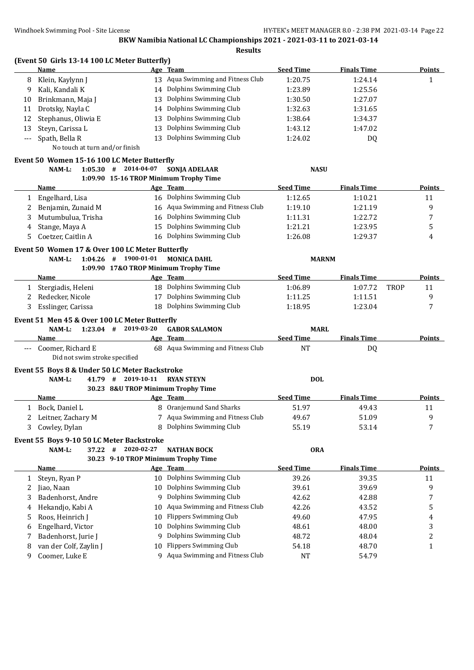|              | (Event 50 Girls 13-14 100 LC Meter Butterfly)<br>Name      |                                     | Age Team                                      | <b>Seed Time</b>              | <b>Finals Time</b>       | <b>Points</b> |
|--------------|------------------------------------------------------------|-------------------------------------|-----------------------------------------------|-------------------------------|--------------------------|---------------|
| 8            | Klein, Kaylynn J                                           |                                     | 13 Aqua Swimming and Fitness Club             | 1:20.75                       | 1:24.14                  | $\mathbf{1}$  |
| 9            | Kali, Kandali K                                            |                                     | 14 Dolphins Swimming Club                     | 1:23.89                       | 1:25.56                  |               |
| 10           | Brinkmann, Maja J                                          | 13                                  | Dolphins Swimming Club                        | 1:30.50                       | 1:27.07                  |               |
| 11           | Drotsky, Nayla C                                           | 14                                  | Dolphins Swimming Club                        | 1:32.63                       | 1:31.65                  |               |
| 12           | Stephanus, Oliwia E                                        | 13                                  | Dolphins Swimming Club                        | 1:38.64                       | 1:34.37                  |               |
| 13           | Steyn, Carissa L                                           | 13                                  | Dolphins Swimming Club                        | 1:43.12                       | 1:47.02                  |               |
| $---$        | Spath, Bella R                                             | 13                                  | Dolphins Swimming Club                        | 1:24.02                       | DQ                       |               |
|              | No touch at turn and/or finish                             |                                     |                                               |                               |                          |               |
|              | Event 50 Women 15-16 100 LC Meter Butterfly                |                                     |                                               |                               |                          |               |
|              | 1:05.30#<br>NAM-L:                                         | 2014-04-07                          | <b>SONJA ADELAAR</b>                          | <b>NASU</b>                   |                          |               |
|              |                                                            |                                     | 1:09.90 15-16 TROP Minimum Trophy Time        |                               |                          |               |
|              | <u>Name</u>                                                |                                     | Age Team                                      | <b>Seed Time</b>              | <b>Finals Time</b>       | <b>Points</b> |
| 1            | Engelhard, Lisa                                            |                                     | 16 Dolphins Swimming Club                     | 1:12.65                       | 1:10.21                  | 11            |
| 2            | Benjamin, Zunaid M                                         |                                     | 16 Aqua Swimming and Fitness Club             | 1:19.10                       | 1:21.19                  | 9             |
| 3            | Mutumbulua, Trisha                                         | 16                                  | Dolphins Swimming Club                        | 1:11.31                       | 1:22.72                  | 7             |
| 4            | Stange, Maya A                                             | 15                                  | Dolphins Swimming Club                        | 1:21.21                       | 1:23.95                  | 5             |
| 5            | Coetzer, Caitlin A                                         |                                     | 16 Dolphins Swimming Club                     | 1:26.08                       | 1:29.37                  | 4             |
|              | Event 50 Women 17 & Over 100 LC Meter Butterfly            |                                     |                                               |                               |                          |               |
|              | NAM-L:<br>1:04.26                                          | 1900-01-01<br>#                     | <b>MONICA DAHL</b>                            | <b>MARNM</b>                  |                          |               |
|              |                                                            |                                     | 1:09.90 17&O TROP Minimum Trophy Time         |                               |                          |               |
|              | Name                                                       |                                     | Age Team                                      | <b>Seed Time</b>              | <b>Finals Time</b>       | Points        |
| 1            | Stergiadis, Heleni                                         |                                     | 18 Dolphins Swimming Club                     | 1:06.89                       | 1:07.72<br><b>TROP</b>   | 11            |
| 2            | Redecker, Nicole                                           |                                     | 17 Dolphins Swimming Club                     | 1:11.25                       | 1:11.51                  | 9             |
| 3            | Esslinger, Carissa                                         | 18                                  | Dolphins Swimming Club                        | 1:18.95                       | 1:23.04                  | 7             |
|              | Event 51 Men 45 & Over 100 LC Meter Butterfly              |                                     |                                               |                               |                          |               |
|              | $1:23.04$ #<br>NAM-L:                                      | 2019-03-20                          | <b>GABOR SALAMON</b>                          | <b>MARL</b>                   |                          |               |
| $\cdots$     | Name<br>Coomer, Richard E<br>Did not swim stroke specified |                                     | Age Team<br>68 Aqua Swimming and Fitness Club | <b>Seed Time</b><br><b>NT</b> | <b>Finals Time</b><br>DQ | Points        |
|              | Event 55 Boys 8 & Under 50 LC Meter Backstroke             |                                     |                                               |                               |                          |               |
|              | NAM-L:<br>41.79 #                                          | 2019-10-11                          | <b>RYAN STEYN</b>                             | <b>DOL</b>                    |                          |               |
|              |                                                            | 30.23 8&U TROP Minimum Trophy Time  |                                               |                               |                          |               |
|              | Name                                                       |                                     | Age Team                                      | <b>Seed Time</b>              | <b>Finals Time</b>       | <b>Points</b> |
|              | 1 Bock, Daniel L                                           |                                     | 8 Oranjemund Sand Sharks                      | 51.97                         | 49.43                    | 11            |
|              | Leitner, Zachary M                                         |                                     | 7 Aqua Swimming and Fitness Club              | 49.67                         | 51.09                    | 9             |
| 3            | Cowley, Dylan                                              |                                     | 8 Dolphins Swimming Club                      | 55.19                         | 53.14                    | 7             |
|              |                                                            |                                     |                                               |                               |                          |               |
|              | Event 55 Boys 9-10 50 LC Meter Backstroke                  |                                     |                                               |                               |                          |               |
|              | NAM-L:<br>37.22                                            | 2020-02-27<br>#                     | <b>NATHAN BOCK</b>                            | <b>ORA</b>                    |                          |               |
|              |                                                            | 30.23 9-10 TROP Minimum Trophy Time |                                               | <b>Seed Time</b>              |                          |               |
|              | <b>Name</b>                                                |                                     | Age Team                                      |                               | <b>Finals Time</b>       | <b>Points</b> |
| $\mathbf{1}$ | Steyn, Ryan P                                              |                                     | 10 Dolphins Swimming Club                     | 39.26                         | 39.35                    | 11            |
| 2            | Jiao, Naan                                                 | 10                                  | Dolphins Swimming Club                        | 39.61                         | 39.69                    | 9             |
| 3            | Badenhorst, Andre                                          | 9                                   | Dolphins Swimming Club                        | 42.62                         | 42.88                    | 7             |
| 4            | Hekandjo, Kabi A                                           | 10                                  | Aqua Swimming and Fitness Club                | 42.26                         | 43.52                    | 5             |
| 5            | Roos, Heinrich J                                           | 10                                  | <b>Flippers Swimming Club</b>                 | 49.60                         | 47.95                    | 4             |
| 6            | Engelhard, Victor                                          | 10                                  | Dolphins Swimming Club                        | 48.61                         | 48.00                    | 3             |
| 7            | Badenhorst, Jurie J                                        | 9                                   | Dolphins Swimming Club                        | 48.72                         | 48.04                    | 2             |
| 8            | van der Colf, Zaylin J                                     | 10                                  | <b>Flippers Swimming Club</b>                 | 54.18                         | 48.70                    | 1             |
| 9            | Coomer, Luke E                                             |                                     | 9 Aqua Swimming and Fitness Club              | <b>NT</b>                     | 54.79                    |               |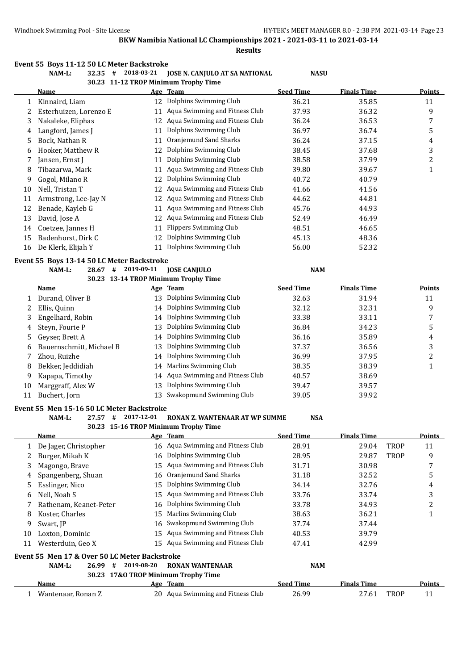**Results**

## **Event 55 Boys 11-12 50 LC Meter Backstroke**

# **NAM-L: 32.35 # 2018-03-21 JOSE N. CANJULO AT SA NATIONAL NASU**

|    |                                                          |            | 30.23 11-12 TROP Minimum Trophy Time             |                  |                    |      |                              |  |  |
|----|----------------------------------------------------------|------------|--------------------------------------------------|------------------|--------------------|------|------------------------------|--|--|
|    | Name                                                     |            | Age Team                                         | <b>Seed Time</b> | <b>Finals Time</b> |      | Points                       |  |  |
| 1  | Kinnaird, Liam                                           |            | 12 Dolphins Swimming Club                        | 36.21            | 35.85              |      | 11                           |  |  |
| 2  | Esterhuizen, Lorenzo E                                   | 11         | Aqua Swimming and Fitness Club                   | 37.93            | 36.32              |      | 9                            |  |  |
| 3  | Nakaleke, Eliphas                                        | 12         | Aqua Swimming and Fitness Club                   | 36.24            | 36.53              |      | 7                            |  |  |
| 4  | Langford, James J                                        | 11         | Dolphins Swimming Club                           | 36.97            | 36.74              |      | 5                            |  |  |
| 5  | Bock, Nathan R                                           | 11         | Oranjemund Sand Sharks                           | 36.24            | 37.15              |      | 4                            |  |  |
| 6  | Hooker, Matthew R                                        | 12         | Dolphins Swimming Club                           | 38.45            | 37.68              |      | 3                            |  |  |
| 7  | Jansen, Ernst J                                          | 11         | Dolphins Swimming Club                           | 38.58            | 37.99              |      | 2                            |  |  |
| 8  | Tibazarwa, Mark                                          | 11         | Aqua Swimming and Fitness Club                   | 39.80            | 39.67              |      | $\mathbf{1}$                 |  |  |
| 9  | Gogol, Milano R                                          | 12         | Dolphins Swimming Club                           | 40.72            | 40.79              |      |                              |  |  |
| 10 | Nell, Tristan T                                          | 12         | Aqua Swimming and Fitness Club                   | 41.66            | 41.56              |      |                              |  |  |
| 11 | Armstrong, Lee-Jay N                                     |            | 12 Aqua Swimming and Fitness Club                | 44.62            | 44.81              |      |                              |  |  |
| 12 | Benade, Kayleb G                                         | 11         | Aqua Swimming and Fitness Club                   | 45.76            | 44.93              |      |                              |  |  |
| 13 | David, Jose A                                            |            | 12 Aqua Swimming and Fitness Club                | 52.49            | 46.49              |      |                              |  |  |
| 14 | Coetzee, Jannes H                                        | 11         | Flippers Swimming Club                           | 48.51            | 46.65              |      |                              |  |  |
| 15 | Badenhorst, Dirk C                                       | 12         | Dolphins Swimming Club                           | 45.13            | 48.36              |      |                              |  |  |
| 16 | De Klerk, Elijah Y                                       |            | 11 Dolphins Swimming Club                        | 56.00            | 52.32              |      |                              |  |  |
|    | Event 55 Boys 13-14 50 LC Meter Backstroke               |            |                                                  |                  |                    |      |                              |  |  |
|    | NAM-L:<br>28.67 #                                        | 2019-09-11 | <b>JOSE CANJULO</b>                              | <b>NAM</b>       |                    |      |                              |  |  |
|    | 30.23 13-14 TROP Minimum Trophy Time                     |            |                                                  |                  |                    |      |                              |  |  |
|    | <u>Name</u>                                              |            | Age Team                                         | <b>Seed Time</b> | <b>Finals Time</b> |      | <b>Points</b>                |  |  |
| 1  | Durand, Oliver B                                         |            | 13 Dolphins Swimming Club                        | 32.63            | 31.94              |      | 11                           |  |  |
| 2  | Ellis, Quinn                                             |            | 14 Dolphins Swimming Club                        | 32.12            | 32.31              |      | 9                            |  |  |
| 3  | Engelhard, Robin                                         |            | 14 Dolphins Swimming Club                        | 33.38            | 33.11              |      | 7                            |  |  |
| 4  | Steyn, Fourie P                                          | 13         | Dolphins Swimming Club                           | 36.84            | 34.23              |      | 5                            |  |  |
| 5  | Geyser, Brett A                                          | 14         | Dolphins Swimming Club                           | 36.16            | 35.89              |      | 4                            |  |  |
| 6  | Bauernschmitt, Michael B                                 | 13         | Dolphins Swimming Club                           | 37.37            | 36.56              |      | 3                            |  |  |
| 7  | Zhou, Ruizhe                                             | 14         | Dolphins Swimming Club                           | 36.99            | 37.95              |      | 2                            |  |  |
| 8  | Bekker, Jeddidiah                                        | 14         | Marlins Swimming Club                            | 38.35            | 38.39              |      | $\mathbf{1}$                 |  |  |
| 9  | Kapapa, Timothy                                          |            | 14 Aqua Swimming and Fitness Club                | 40.57            | 38.69              |      |                              |  |  |
| 10 | Marggraff, Alex W                                        | 13         | Dolphins Swimming Club                           | 39.47            | 39.57              |      |                              |  |  |
| 11 | Buchert, Jorn                                            |            | 13 Swakopmund Swimming Club                      | 39.05            | 39.92              |      |                              |  |  |
|    |                                                          |            |                                                  |                  |                    |      |                              |  |  |
|    | Event 55 Men 15-16 50 LC Meter Backstroke<br>NAM-L:<br># | 2017-12-01 | RONAN Z. WANTENAAR AT WP SUMME                   |                  |                    |      |                              |  |  |
|    | 27.57                                                    |            |                                                  | <b>NSA</b>       |                    |      |                              |  |  |
|    | <b>Name</b>                                              |            | 30.23 15-16 TROP Minimum Trophy Time<br>Age Team | <b>Seed Time</b> | <u>Finals Time</u> |      | <u>Points -</u>              |  |  |
| 1  | De Jager, Christopher                                    |            | 16 Aqua Swimming and Fitness Club                | 28.91            | 29.04              | TROP | 11                           |  |  |
| 2  | Burger, Mikah K                                          | 16         | Dolphins Swimming Club                           | 28.95            | 29.87              | TROP | 9                            |  |  |
| 3  | Magongo, Brave                                           | 15         | Aqua Swimming and Fitness Club                   | 31.71            | 30.98              |      | 7                            |  |  |
|    | Spangenberg, Shuan                                       | 16         | Oranjemund Sand Sharks                           | 31.18            | 32.52              |      | 5                            |  |  |
| 4  | Esslinger, Nico                                          | 15         | Dolphins Swimming Club                           | 34.14            | 32.76              |      |                              |  |  |
| 5  |                                                          | 15         | Aqua Swimming and Fitness Club                   |                  |                    |      | 4                            |  |  |
| 6  | Nell, Noah S<br>Rathenam, Keanet-Peter                   |            | 16 Dolphins Swimming Club                        | 33.76            | 33.74              |      | 3<br>$\overline{\mathbf{c}}$ |  |  |
| 7  |                                                          |            |                                                  | 33.78            | 34.93              |      |                              |  |  |

| 8  | Koster, Charles                                |                 | 15 Marlins Swimming Club            | 38.63            | 36.21              |             |        |
|----|------------------------------------------------|-----------------|-------------------------------------|------------------|--------------------|-------------|--------|
| 9  | Swart, IP                                      |                 | 16 Swakopmund Swimming Club         | 37.74            | 37.44              |             |        |
| 10 | Loxton, Dominic                                |                 | 15 Aqua Swimming and Fitness Club   | 40.53            | 39.79              |             |        |
| 11 | Westerduin, Geo X                              |                 | 15 Agua Swimming and Fitness Club   | 47.41            | 42.99              |             |        |
|    | Event 55  Men 17 & Over 50 LC Meter Backstroke |                 |                                     |                  |                    |             |        |
|    | NAM-L:<br>26.99                                | 2019-08-20<br># | <b>RONAN WANTENAAR</b>              | <b>NAM</b>       |                    |             |        |
|    |                                                |                 | 30.23 17&O TROP Minimum Trophy Time |                  |                    |             |        |
|    | Name                                           |                 | Age Team                            | <b>Seed Time</b> | <b>Finals Time</b> |             | Points |
|    | Wantenaar, Ronan Z                             |                 | 20 Agua Swimming and Fitness Club   | 26.99            | 27.61              | <b>TROP</b> | 11     |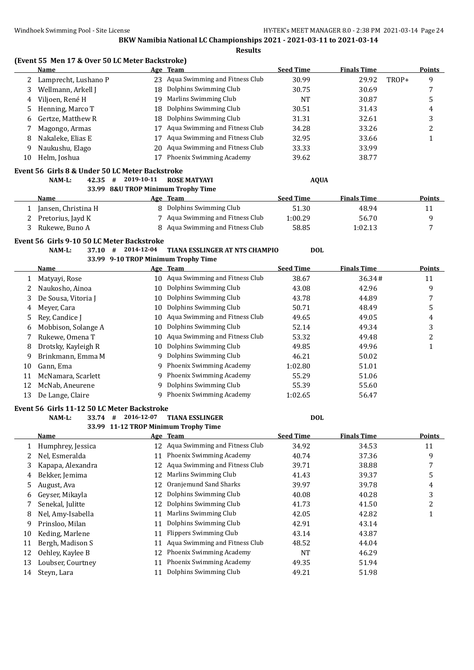|  |  |  |  | (Event 55 Men 17 & Over 50 LC Meter Backstroke) |
|--|--|--|--|-------------------------------------------------|
|--|--|--|--|-------------------------------------------------|

|    | (Event 55 Men 17 & Over 50 LC Meter Backstroke) |            |                                      |                  |                    |       |                |
|----|-------------------------------------------------|------------|--------------------------------------|------------------|--------------------|-------|----------------|
|    | Name                                            |            | Age Team                             | <b>Seed Time</b> | <b>Finals Time</b> |       | <b>Points</b>  |
| 2  | Lamprecht, Lushano P                            |            | 23 Aqua Swimming and Fitness Club    | 30.99            | 29.92              | TROP+ | 9              |
| 3  | Wellmann, Arkell J                              |            | 18 Dolphins Swimming Club            | 30.75            | 30.69              |       | 7              |
| 4  | Viljoen, René H                                 | 19         | Marlins Swimming Club                | <b>NT</b>        | 30.87              |       | 5              |
| 5  | Henning, Marco T                                | 18         | Dolphins Swimming Club               | 30.51            | 31.43              |       | 4              |
| 6  | Gertze, Matthew R                               | 18         | Dolphins Swimming Club               | 31.31            | 32.61              |       | 3              |
| 7  | Magongo, Armas                                  | 17         | Aqua Swimming and Fitness Club       | 34.28            | 33.26              |       | $\overline{c}$ |
| 8  | Nakaleke, Elias E                               | 17         | Aqua Swimming and Fitness Club       | 32.95            | 33.66              |       | $\mathbf{1}$   |
| 9  | Naukushu, Elago                                 | 20         | Aqua Swimming and Fitness Club       | 33.33            | 33.99              |       |                |
| 10 | Helm, Joshua                                    | 17         | Phoenix Swimming Academy             | 39.62            | 38.77              |       |                |
|    | Event 56 Girls 8 & Under 50 LC Meter Backstroke |            |                                      |                  |                    |       |                |
|    | NAM-L:<br>42.35<br>#                            | 2019-10-11 | <b>ROSE MATYAYI</b>                  | <b>AQUA</b>      |                    |       |                |
|    |                                                 |            | 33.99 8&U TROP Minimum Trophy Time   |                  |                    |       |                |
|    | <b>Name</b>                                     |            | Age Team                             | <b>Seed Time</b> | <b>Finals Time</b> |       | <b>Points</b>  |
| 1  | Jansen, Christina H                             |            | 8 Dolphins Swimming Club             | 51.30            | 48.94              |       | 11             |
| 2  | Pretorius, Jayd K                               |            | 7 Aqua Swimming and Fitness Club     | 1:00.29          | 56.70              |       | 9              |
| 3  | Rukewe, Buno A                                  |            | 8 Aqua Swimming and Fitness Club     | 58.85            | 1:02.13            |       | 7              |
|    | Event 56 Girls 9-10 50 LC Meter Backstroke      |            |                                      |                  |                    |       |                |
|    | NAM-L:<br>37.10#                                | 2014-12-04 | TIANA ESSLINGER AT NTS CHAMPIO       | <b>DOL</b>       |                    |       |                |
|    |                                                 |            | 33.99 9-10 TROP Minimum Trophy Time  |                  |                    |       |                |
|    | Name                                            |            | Age Team                             | <b>Seed Time</b> | <b>Finals Time</b> |       | <b>Points</b>  |
| 1  | Matyayi, Rose                                   |            | 10 Aqua Swimming and Fitness Club    | 38.67            | 36.34#             |       | 11             |
| 2  | Naukosho, Ainoa                                 |            | 10 Dolphins Swimming Club            | 43.08            | 42.96              |       | 9              |
| 3  | De Sousa, Vitoria J                             | 10         | Dolphins Swimming Club               | 43.78            | 44.89              |       | 7              |
| 4  | Meyer, Cara                                     | 10         | Dolphins Swimming Club               | 50.71            | 48.49              |       | 5              |
| 5  | Rey, Candice J                                  | 10         | Aqua Swimming and Fitness Club       | 49.65            | 49.05              |       | $\overline{4}$ |
| 6  | Mobbison, Solange A                             | 10         | Dolphins Swimming Club               | 52.14            | 49.34              |       | 3              |
| 7  | Rukewe, Omena T                                 | 10         | Aqua Swimming and Fitness Club       | 53.32            | 49.48              |       | $\overline{c}$ |
| 8  | Drotsky, Kayleigh R                             |            | 10 Dolphins Swimming Club            | 49.85            | 49.96              |       | $\mathbf 1$    |
| 9  | Brinkmann, Emma M                               | 9          | Dolphins Swimming Club               | 46.21            | 50.02              |       |                |
| 10 | Gann, Ema                                       | 9          | <b>Phoenix Swimming Academy</b>      | 1:02.80          | 51.01              |       |                |
| 11 | McNamara, Scarlett                              | 9          | Phoenix Swimming Academy             | 55.29            | 51.06              |       |                |
| 12 | McNab, Aneurene                                 | 9          | Dolphins Swimming Club               | 55.39            | 55.60              |       |                |
| 13 | De Lange, Claire                                |            | 9 Phoenix Swimming Academy           | 1:02.65          | 56.47              |       |                |
|    | Event 56 Girls 11-12 50 LC Meter Backstroke     |            |                                      |                  |                    |       |                |
|    | NAM-L:<br>33.74<br>#                            | 2016-12-07 | <b>TIANA ESSLINGER</b>               | <b>DOL</b>       |                    |       |                |
|    |                                                 |            | 33.99 11-12 TROP Minimum Trophy Time |                  |                    |       |                |

|    | Name              |    | Age Team                        | <b>Seed Time</b> | <b>Finals Time</b> | Points |
|----|-------------------|----|---------------------------------|------------------|--------------------|--------|
|    | Humphrey, Jessica | 12 | Aqua Swimming and Fitness Club  | 34.92            | 34.53              | 11     |
|    | Nel, Esmeralda    | 11 | Phoenix Swimming Academy        | 40.74            | 37.36              | 9      |
| 3  | Kapapa, Alexandra | 12 | Aqua Swimming and Fitness Club  | 39.71            | 38.88              |        |
| 4  | Bekker, Jemima    | 12 | Marlins Swimming Club           | 41.43            | 39.37              | 5      |
| 5. | August, Ava       | 12 | Oranjemund Sand Sharks          | 39.97            | 39.78              | 4      |
| 6  | Gevser, Mikavla   | 12 | Dolphins Swimming Club          | 40.08            | 40.28              | 3      |
|    | Senekal, Julitte  | 12 | Dolphins Swimming Club          | 41.73            | 41.50              | っ      |
| 8  | Nel, Amy-Isabella | 11 | <b>Marlins Swimming Club</b>    | 42.05            | 42.82              |        |
| 9  | Prinsloo, Milan   | 11 | Dolphins Swimming Club          | 42.91            | 43.14              |        |
| 10 | Keding, Marlene   | 11 | <b>Flippers Swimming Club</b>   | 43.14            | 43.87              |        |
| 11 | Bergh, Madison S  | 11 | Aqua Swimming and Fitness Club  | 48.52            | 44.04              |        |
| 12 | Oehley, Kaylee B  | 12 | <b>Phoenix Swimming Academy</b> | <b>NT</b>        | 46.29              |        |
| 13 | Loubser, Courtney | 11 | Phoenix Swimming Academy        | 49.35            | 51.94              |        |
| 14 | Steyn, Lara       |    | Dolphins Swimming Club          | 49.21            | 51.98              |        |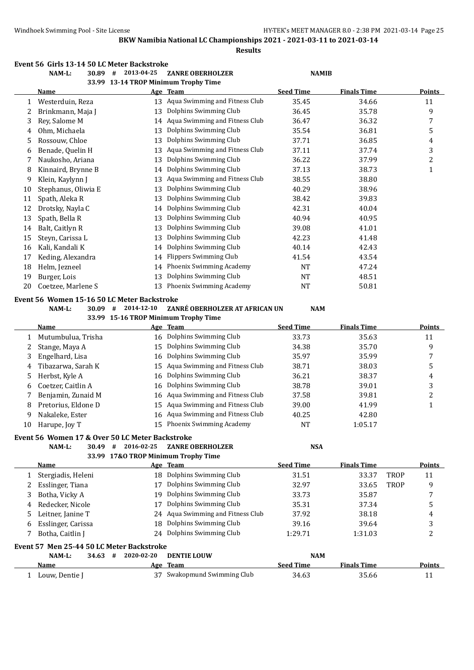**Results**

#### **Event 56 Girls 13-14 50 LC Meter Backstroke**

|        | NAM-L:                                          | $30.89$ # 2013-04-25                 | <b>ZANRE OBERHOLZER</b>              | <b>NAMIB</b>     |                    |             |                         |
|--------|-------------------------------------------------|--------------------------------------|--------------------------------------|------------------|--------------------|-------------|-------------------------|
|        |                                                 | 33.99 13-14 TROP Minimum Trophy Time |                                      |                  |                    |             |                         |
|        | Name                                            |                                      | <u>Age Team</u>                      | <b>Seed Time</b> | <b>Finals Time</b> |             | Points                  |
| 1      | Westerduin, Reza                                |                                      | 13 Aqua Swimming and Fitness Club    | 35.45            | 34.66              |             | 11                      |
| 2      | Brinkmann, Maja J                               | 13                                   | Dolphins Swimming Club               | 36.45            | 35.78              |             | 9                       |
| 3      | Rey, Salome M                                   |                                      | 14 Aqua Swimming and Fitness Club    | 36.47            | 36.32              |             | 7                       |
| 4      | Ohm, Michaela                                   | 13                                   | Dolphins Swimming Club               | 35.54            | 36.81              |             | 5                       |
| 5      | Rossouw, Chloe                                  | 13                                   | Dolphins Swimming Club               | 37.71            | 36.85              |             | 4                       |
| 6      | Benade, Quelin H                                | 13                                   | Aqua Swimming and Fitness Club       | 37.11            | 37.74              |             | 3                       |
| 7      | Naukosho, Ariana                                | 13                                   | Dolphins Swimming Club               | 36.22            | 37.99              |             | 2                       |
| 8      | Kinnaird, Brynne B                              | 14                                   | Dolphins Swimming Club               | 37.13            | 38.73              |             | $\mathbf{1}$            |
| 9      | Klein, Kaylynn J                                | 13                                   | Aqua Swimming and Fitness Club       | 38.55            | 38.80              |             |                         |
| 10     | Stephanus, Oliwia E                             | 13                                   | Dolphins Swimming Club               | 40.29            | 38.96              |             |                         |
| 11     | Spath, Aleka R                                  | 13                                   | Dolphins Swimming Club               | 38.42            | 39.83              |             |                         |
| 12     | Drotsky, Nayla C                                | 14                                   | Dolphins Swimming Club               | 42.31            | 40.04              |             |                         |
| 13     | Spath, Bella R                                  | 13                                   | Dolphins Swimming Club               | 40.94            | 40.95              |             |                         |
| 14     | Balt, Caitlyn R                                 | 13                                   | Dolphins Swimming Club               | 39.08            | 41.01              |             |                         |
| 15     | Steyn, Carissa L                                | 13                                   | Dolphins Swimming Club               | 42.23            | 41.48              |             |                         |
| 16     | Kali, Kandali K                                 | 14                                   | Dolphins Swimming Club               | 40.14            | 42.43              |             |                         |
| 17     | Keding, Alexandra                               | 14                                   | <b>Flippers Swimming Club</b>        | 41.54            | 43.54              |             |                         |
| 18     | Helm, Jezneel                                   | 14                                   | Phoenix Swimming Academy             | NT               | 47.24              |             |                         |
| 19     | Burger, Lois                                    | 13                                   | Dolphins Swimming Club               | NT               | 48.51              |             |                         |
| 20     | Coetzee, Marlene S                              | 13                                   | Phoenix Swimming Academy             | NT               | 50.81              |             |                         |
|        | Event 56 Women 15-16 50 LC Meter Backstroke     |                                      |                                      |                  |                    |             |                         |
|        | NAM-L:<br>$30.09$ #                             | 2014-12-10                           | ZANRÉ OBERHOLZER AT AFRICAN UN       | <b>NAM</b>       |                    |             |                         |
|        |                                                 |                                      | 33.99 15-16 TROP Minimum Trophy Time |                  |                    |             |                         |
|        | <b>Name</b>                                     |                                      | Age Team                             | <b>Seed Time</b> | <b>Finals Time</b> |             | <b>Points</b>           |
| 1      | Mutumbulua, Trisha                              | 16                                   | Dolphins Swimming Club               | 33.73            | 35.63              |             | 11                      |
| 2      | Stange, Maya A                                  | 15                                   | Dolphins Swimming Club               | 34.38            | 35.70              |             | 9                       |
| 3      | Engelhard, Lisa                                 | 16                                   | Dolphins Swimming Club               | 35.97            | 35.99              |             | 7                       |
| 4      | Tibazarwa, Sarah K                              | 15                                   | Aqua Swimming and Fitness Club       | 38.71            | 38.03              |             | 5                       |
| 5      | Herbst, Kyle A                                  | 16                                   | Dolphins Swimming Club               | 36.21            | 38.37              |             | 4                       |
|        | Coetzer, Caitlin A                              | 16                                   | Dolphins Swimming Club               | 38.78            |                    |             | 3                       |
| 6<br>7 | Benjamin, Zunaid M                              |                                      | Aqua Swimming and Fitness Club       | 37.58            | 39.01              |             | $\overline{\mathbf{c}}$ |
|        |                                                 | 16                                   | Aqua Swimming and Fitness Club       |                  | 39.81              |             |                         |
| 8      | Pretorius, Eldone D                             | 15                                   | 16 Aqua Swimming and Fitness Club    | 39.00            | 41.99              |             | $\mathbf{1}$            |
| 9      | Nakaleke, Ester                                 |                                      | 15 Phoenix Swimming Academy          | 40.25            | 42.80              |             |                         |
|        | 10 Harupe, Joy T                                |                                      |                                      | <b>NT</b>        | 1:05.17            |             |                         |
|        | Event 56 Women 17 & Over 50 LC Meter Backstroke |                                      |                                      |                  |                    |             |                         |
|        | NAM-L:                                          | 30.49 # 2016-02-25                   | <b>ZANRE OBERHOLZER</b>              | <b>NSA</b>       |                    |             |                         |
|        |                                                 | 33.99 17&O TROP Minimum Trophy Time  |                                      |                  |                    |             |                         |
|        | Name                                            |                                      | Age Team                             | <b>Seed Time</b> | <b>Finals Time</b> |             | <b>Points</b>           |
| 1      | Stergiadis, Heleni                              |                                      | 18 Dolphins Swimming Club            | 31.51            | 33.37              | <b>TROP</b> | 11                      |
| 2      | Esslinger, Tiana                                | 17                                   | Dolphins Swimming Club               | 32.97            | 33.65              | <b>TROP</b> | 9                       |
| 3      | Botha, Vicky A                                  | 19                                   | Dolphins Swimming Club               | 33.73            | 35.87              |             | 7                       |
| 4      | Redecker, Nicole                                | 17                                   | Dolphins Swimming Club               | 35.31            | 37.34              |             | 5                       |
| 5      | Leitner, Janine T                               | 24                                   | Aqua Swimming and Fitness Club       | 37.92            | 38.18              |             | 4                       |
| 6      | Esslinger, Carissa                              | 18                                   | Dolphins Swimming Club               | 39.16            | 39.64              |             | 3                       |
| 7      | Botha, Caitlin J                                |                                      | 24 Dolphins Swimming Club            | 1:29.71          | 1:31.03            |             | 2                       |
|        | Event 57 Men 25-44 50 LC Meter Backstroke       |                                      |                                      |                  |                    |             |                         |
|        | 34.63#<br>NAM-L:                                | 2020-02-20                           | <b>DENTIE LOUW</b>                   | <b>NAM</b>       |                    |             |                         |
|        | <u>Name</u>                                     |                                      | Age Team                             | <b>Seed Time</b> | <b>Finals Time</b> |             | <b>Points</b>           |
|        | 1 Louw, Dentie J                                |                                      | 37 Swakopmund Swimming Club          | 34.63            | 35.66              |             | 11                      |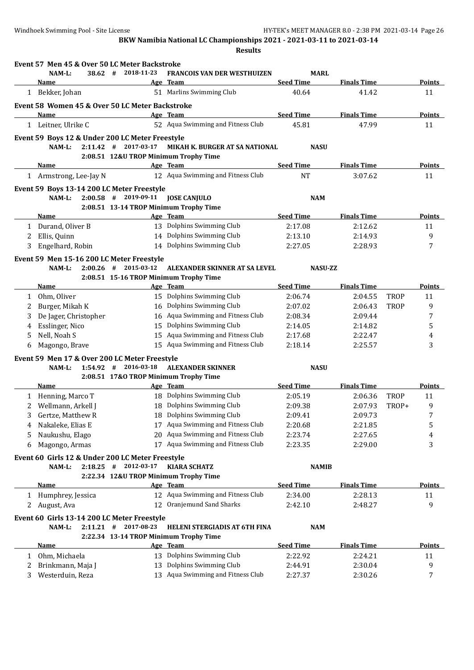|              | Event 57 Men 45 & Over 50 LC Meter Backstroke    |                        |                                        |                  |                    |             |                  |
|--------------|--------------------------------------------------|------------------------|----------------------------------------|------------------|--------------------|-------------|------------------|
|              | NAM-L:<br>38.62 #                                | 2018-11-23             | <b>FRANCOIS VAN DER WESTHUIZEN</b>     | <b>MARL</b>      |                    |             |                  |
|              | <u>Name</u>                                      |                        | Age Team                               | <b>Seed Time</b> | <b>Finals Time</b> |             | <b>Points</b>    |
|              | 1 Bekker, Johan                                  |                        | 51 Marlins Swimming Club               | 40.64            | 41.42              |             | 11               |
|              | Event 58 Women 45 & Over 50 LC Meter Backstroke  |                        |                                        |                  |                    |             |                  |
|              | Name                                             |                        | Age Team                               | <b>Seed Time</b> | <b>Finals Time</b> |             | <b>Points</b>    |
|              | 1 Leitner, Ulrike C                              |                        | 52 Aqua Swimming and Fitness Club      | 45.81            | 47.99              |             | 11               |
|              | Event 59 Boys 12 & Under 200 LC Meter Freestyle  |                        |                                        |                  |                    |             |                  |
|              | $NAM-L$ :                                        | 2:11.42 # 2017-03-17   | <b>MIKAH K. BURGER AT SA NATIONAL</b>  | <b>NASU</b>      |                    |             |                  |
|              |                                                  |                        | 2:08.51 12&U TROP Minimum Trophy Time  |                  |                    |             |                  |
|              | Name                                             |                        | Age Team                               | <b>Seed Time</b> | <b>Finals Time</b> |             | Points           |
|              | 1 Armstrong, Lee-Jay N                           |                        | 12 Aqua Swimming and Fitness Club      | <b>NT</b>        | 3:07.62            |             | 11               |
|              | Event 59 Boys 13-14 200 LC Meter Freestyle       |                        |                                        |                  |                    |             |                  |
|              | NAM-L:                                           | $2:00.58$ # 2019-09-11 | <b>JOSE CANJULO</b>                    | <b>NAM</b>       |                    |             |                  |
|              |                                                  |                        | 2:08.51 13-14 TROP Minimum Trophy Time |                  |                    |             |                  |
|              | <b>Name</b>                                      |                        | Age Team                               | <b>Seed Time</b> | <b>Finals Time</b> |             | Points           |
|              | 1 Durand, Oliver B                               |                        | 13 Dolphins Swimming Club              | 2:17.08          | 2:12.62            |             | 11               |
| 2            | Ellis, Quinn                                     |                        | 14 Dolphins Swimming Club              | 2:13.10          | 2:14.93            |             | 9                |
| 3            | Engelhard, Robin                                 |                        | 14 Dolphins Swimming Club              | 2:27.05          | 2:28.93            |             | 7                |
|              | Event 59 Men 15-16 200 LC Meter Freestyle        |                        |                                        |                  |                    |             |                  |
|              | $NAM-L$ :                                        | $2:00.26$ # 2015-03-12 | ALEXANDER SKINNER AT SA LEVEL          | <b>NASU-ZZ</b>   |                    |             |                  |
|              |                                                  |                        | 2:08.51 15-16 TROP Minimum Trophy Time |                  |                    |             |                  |
|              | Name                                             |                        | Age Team                               | <b>Seed Time</b> | <b>Finals Time</b> |             | <b>Points</b>    |
| $\mathbf{1}$ | Ohm, Oliver                                      |                        | 15 Dolphins Swimming Club              | 2:06.74          | 2:04.55            | <b>TROP</b> | 11               |
| 2            | Burger, Mikah K                                  |                        | 16 Dolphins Swimming Club              | 2:07.02          | 2:06.43            | <b>TROP</b> | 9                |
| 3            | De Jager, Christopher                            |                        | 16 Aqua Swimming and Fitness Club      | 2:08.34          | 2:09.44            |             | 7                |
| 4            | Esslinger, Nico                                  |                        | 15 Dolphins Swimming Club              | 2:14.05          | 2:14.82            |             | 5                |
| 5            | Nell, Noah S                                     |                        | 15 Aqua Swimming and Fitness Club      | 2:17.68          | 2:22.47            |             | 4                |
| 6            | Magongo, Brave                                   |                        | 15 Aqua Swimming and Fitness Club      | 2:18.14          | 2:25.57            |             | 3                |
|              | Event 59 Men 17 & Over 200 LC Meter Freestyle    |                        |                                        |                  |                    |             |                  |
|              | $NAM-L$ :                                        | $1:54.92$ # 2016-03-18 | <b>ALEXANDER SKINNER</b>               | <b>NASU</b>      |                    |             |                  |
|              |                                                  |                        | 2:08.51 17&O TROP Minimum Trophy Time  |                  |                    |             |                  |
|              | <b>Name</b>                                      |                        | Age Team                               | <b>Seed Time</b> | <b>Finals Time</b> |             | <b>Points</b>    |
|              | 1 Henning, Marco T                               |                        | 18 Dolphins Swimming Club              | 2:05.19          | 2:06.36            | TROP        | 11               |
| 2            | Wellmann, Arkell J                               |                        | 18 Dolphins Swimming Club              | 2:09.38          | 2:07.93            | TROP+       | 9                |
|              | Gertze, Matthew R                                |                        | 18 Dolphins Swimming Club              | 2:09.41          | 2:09.73            |             | $\boldsymbol{7}$ |
| 4            | Nakaleke, Elias E                                |                        | 17 Aqua Swimming and Fitness Club      | 2:20.68          | 2:21.85            |             | 5                |
| 5            | Naukushu, Elago                                  |                        | 20 Aqua Swimming and Fitness Club      | 2:23.74          | 2:27.65            |             | 4                |
| 6            | Magongo, Armas                                   |                        | 17 Aqua Swimming and Fitness Club      | 2:23.35          | 2:29.00            |             | 3                |
|              | Event 60 Girls 12 & Under 200 LC Meter Freestyle |                        |                                        |                  |                    |             |                  |
|              | NAM-L:                                           | $2:18.25$ # 2012-03-17 | <b>KIARA SCHATZ</b>                    | <b>NAMIB</b>     |                    |             |                  |
|              |                                                  |                        | 2:22.34 12&U TROP Minimum Trophy Time  |                  |                    |             |                  |
|              | <b>Name</b>                                      |                        | Age Team                               | <b>Seed Time</b> | <b>Finals Time</b> |             | <b>Points</b>    |
|              | 1 Humphrey, Jessica                              |                        | 12 Aqua Swimming and Fitness Club      | 2:34.00          | 2:28.13            |             | 11               |
| 2            | August, Ava                                      |                        | 12 Oranjemund Sand Sharks              | 2:42.10          | 2:48.27            |             | 9                |
|              | Event 60 Girls 13-14 200 LC Meter Freestyle      |                        |                                        |                  |                    |             |                  |
|              | NAM-L:                                           | $2:11.21$ # 2017-08-23 | <b>HELENI STERGIADIS AT 6TH FINA</b>   | <b>NAM</b>       |                    |             |                  |
|              |                                                  |                        | 2:22.34 13-14 TROP Minimum Trophy Time |                  |                    |             |                  |
|              | <b>Name</b>                                      |                        | Age Team                               | <b>Seed Time</b> | <b>Finals Time</b> |             | <b>Points</b>    |
| $\mathbf{1}$ | Ohm, Michaela                                    |                        | 13 Dolphins Swimming Club              | 2:22.92          | 2:24.21            |             | 11               |
| 2            | Brinkmann, Maja J                                |                        | 13 Dolphins Swimming Club              | 2:44.91          | 2:30.04            |             | 9                |
| 3            | Westerduin, Reza                                 |                        | 13 Aqua Swimming and Fitness Club      | 2:27.37          | 2:30.26            |             | 7                |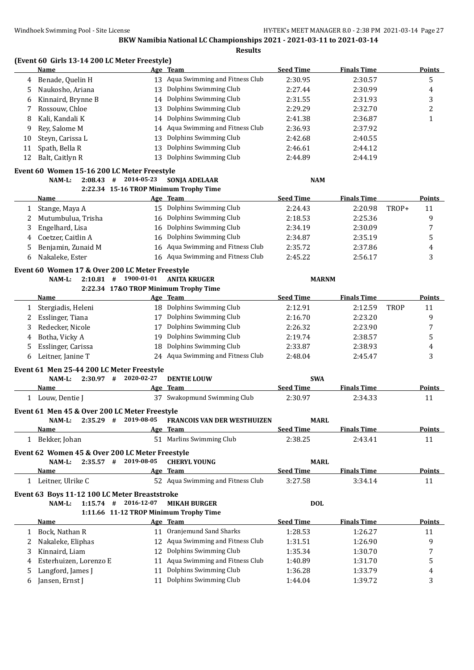**(Event 60 Girls 13-14 200 LC Meter Freestyle)**

|    | <b>Name</b>                                     |                        | Age Team                               | <b>Seed Time</b> | <b>Finals Time</b> |             | <b>Points</b>           |
|----|-------------------------------------------------|------------------------|----------------------------------------|------------------|--------------------|-------------|-------------------------|
| 4  | Benade, Quelin H                                | 13                     | Aqua Swimming and Fitness Club         | 2:30.95          | 2:30.57            |             | 5                       |
| 5  | Naukosho, Ariana                                | 13                     | Dolphins Swimming Club                 | 2:27.44          | 2:30.99            |             | 4                       |
| 6  | Kinnaird, Brynne B                              | 14                     | Dolphins Swimming Club                 | 2:31.55          | 2:31.93            |             | 3                       |
| 7  | Rossouw, Chloe                                  | 13                     | Dolphins Swimming Club                 | 2:29.29          | 2:32.70            |             | $\overline{\mathbf{c}}$ |
| 8  | Kali, Kandali K                                 | 14                     | Dolphins Swimming Club                 | 2:41.38          | 2:36.87            |             | $\mathbf{1}$            |
| 9  | Rey, Salome M                                   | 14                     | Aqua Swimming and Fitness Club         | 2:36.93          | 2:37.92            |             |                         |
| 10 | Steyn, Carissa L                                | 13                     | Dolphins Swimming Club                 | 2:42.68          | 2:40.55            |             |                         |
| 11 |                                                 | 13                     | Dolphins Swimming Club                 | 2:46.61          | 2:44.12            |             |                         |
|    | Spath, Bella R                                  |                        |                                        |                  |                    |             |                         |
| 12 | Balt, Caitlyn R                                 | 13                     | Dolphins Swimming Club                 | 2:44.89          | 2:44.19            |             |                         |
|    | Event 60 Women 15-16 200 LC Meter Freestyle     |                        |                                        |                  |                    |             |                         |
|    | NAM-L:                                          | $2:08.43$ # 2014-05-23 | SONJA ADELAAR                          | <b>NAM</b>       |                    |             |                         |
|    |                                                 |                        | 2:22.34 15-16 TROP Minimum Trophy Time |                  |                    |             |                         |
|    | <u>Name</u>                                     |                        | Age Team                               | <b>Seed Time</b> | <b>Finals Time</b> |             | <b>Points</b>           |
| 1  | Stange, Maya A                                  |                        | 15 Dolphins Swimming Club              | 2:24.43          | 2:20.98            | TROP+       | 11                      |
| 2  | Mutumbulua, Trisha                              |                        | 16 Dolphins Swimming Club              | 2:18.53          | 2:25.36            |             | 9                       |
| 3  | Engelhard, Lisa                                 | 16                     | Dolphins Swimming Club                 | 2:34.19          | 2:30.09            |             | 7                       |
| 4  | Coetzer, Caitlin A                              | 16                     | Dolphins Swimming Club                 | 2:34.87          | 2:35.19            |             | 5                       |
| 5  | Benjamin, Zunaid M                              |                        | 16 Aqua Swimming and Fitness Club      | 2:35.72          | 2:37.86            |             | 4                       |
| 6  | Nakaleke, Ester                                 |                        | 16 Aqua Swimming and Fitness Club      | 2:45.22          | 2:56.17            |             | 3                       |
|    |                                                 |                        |                                        |                  |                    |             |                         |
|    | Event 60 Women 17 & Over 200 LC Meter Freestyle |                        |                                        |                  |                    |             |                         |
|    | NAM-L:<br>$2:10.81$ #                           | 1900-01-01             | <b>ANITA KRUGER</b>                    | <b>MARNM</b>     |                    |             |                         |
|    |                                                 |                        | 2:22.34 17&0 TROP Minimum Trophy Time  |                  |                    |             |                         |
|    | <u>Name</u>                                     |                        | Age Team                               | <b>Seed Time</b> | <b>Finals Time</b> |             | <b>Points</b>           |
| 1  | Stergiadis, Heleni                              |                        | 18 Dolphins Swimming Club              | 2:12.91          | 2:12.59            | <b>TROP</b> | 11                      |
| 2  | Esslinger, Tiana                                | 17                     | Dolphins Swimming Club                 | 2:16.70          | 2:23.20            |             | 9                       |
| 3  | Redecker, Nicole                                | 17                     | Dolphins Swimming Club                 | 2:26.32          | 2:23.90            |             | 7                       |
| 4  | Botha, Vicky A                                  | 19                     | Dolphins Swimming Club                 | 2:19.74          | 2:38.57            |             | 5                       |
| 5  | Esslinger, Carissa                              | 18                     | Dolphins Swimming Club                 | 2:33.87          | 2:38.93            |             | 4                       |
| 6  | Leitner, Janine T                               |                        | 24 Aqua Swimming and Fitness Club      | 2:48.04          | 2:45.47            |             | 3                       |
|    | Event 61 Men 25-44 200 LC Meter Freestyle       |                        |                                        |                  |                    |             |                         |
|    | NAM-L:                                          | $2:30.97$ # 2020-02-27 | <b>DENTIE LOUW</b>                     | <b>SWA</b>       |                    |             |                         |
|    | Name                                            | <u>Age</u>             | <b>Team</b>                            | <b>Seed Time</b> | <b>Finals Time</b> |             | <b>Points</b>           |
|    | 1 Louw, Dentie J                                |                        | 37 Swakopmund Swimming Club            | 2:30.97          | 2:34.33            |             | 11                      |
|    |                                                 |                        |                                        |                  |                    |             |                         |
|    | Event 61 Men 45 & Over 200 LC Meter Freestyle   |                        |                                        |                  |                    |             |                         |
|    | NAM-L:<br>$2:35.29$ #                           | 2019-08-05             | <b>FRANCOIS VAN DER WESTHUIZEN</b>     | <b>MARL</b>      |                    |             |                         |
|    | <b>Name</b>                                     |                        | Age Team                               | <b>Seed Time</b> | <b>Finals Time</b> |             | <b>Points</b>           |
|    | 1 Bekker, Johan                                 |                        | 51 Marlins Swimming Club               | 2:38.25          | 2:43.41            |             | 11                      |
|    | Event 62 Women 45 & Over 200 LC Meter Freestyle |                        |                                        |                  |                    |             |                         |
|    | NAM-L:                                          | $2:35.57$ # 2019-08-05 | <b>CHERYL YOUNG</b>                    | <b>MARL</b>      |                    |             |                         |
|    | Name                                            |                        | Age Team                               | <b>Seed Time</b> | <b>Finals Time</b> |             | <b>Points</b>           |
|    | 1 Leitner, Ulrike C                             |                        | 52 Aqua Swimming and Fitness Club      | 3:27.58          | 3:34.14            |             | 11                      |
|    |                                                 |                        |                                        |                  |                    |             |                         |
|    | Event 63 Boys 11-12 100 LC Meter Breaststroke   |                        |                                        |                  |                    |             |                         |
|    | NAM-L:                                          | 1:15.74 # 2016-12-07   | <b>MIKAH BURGER</b>                    | <b>DOL</b>       |                    |             |                         |
|    |                                                 |                        | 1:11.66 11-12 TROP Minimum Trophy Time |                  |                    |             |                         |
|    | <b>Name</b>                                     |                        | Age Team                               | <b>Seed Time</b> | <b>Finals Time</b> |             | <b>Points</b>           |
| 1  | Bock, Nathan R                                  |                        | 11 Oranjemund Sand Sharks              | 1:28.53          | 1:26.27            |             | 11                      |
| 2  | Nakaleke, Eliphas                               |                        | 12 Aqua Swimming and Fitness Club      | 1:31.51          | 1:26.90            |             | 9                       |
| 3  | Kinnaird, Liam                                  | 12                     | Dolphins Swimming Club                 | 1:35.34          | 1:30.70            |             | 7                       |
| 4  | Esterhuizen, Lorenzo E                          | 11                     | Aqua Swimming and Fitness Club         | 1:40.89          | 1:31.70            |             | 5                       |
| 5  | Langford, James J                               |                        | 11 Dolphins Swimming Club              | 1:36.28          | 1:33.79            |             | 4                       |
| 6  | Jansen, Ernst J                                 | 11                     | Dolphins Swimming Club                 | 1:44.04          | 1:39.72            |             | 3                       |
|    |                                                 |                        |                                        |                  |                    |             |                         |
|    |                                                 |                        |                                        |                  |                    |             |                         |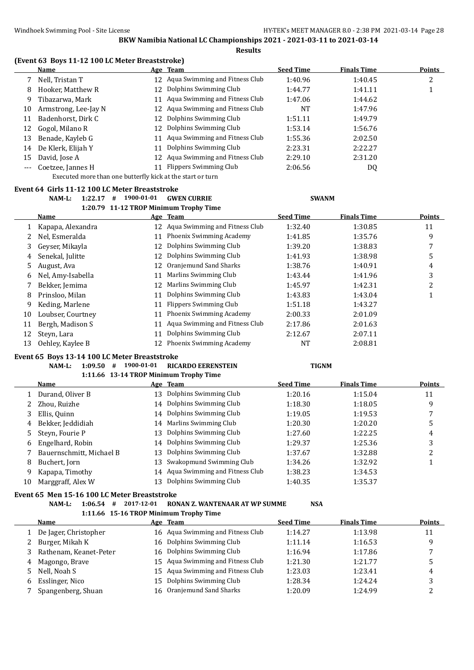|  | (Event 63 Boys 11-12 100 LC Meter Breaststroke) |  |  |
|--|-------------------------------------------------|--|--|
|--|-------------------------------------------------|--|--|

|     | Name                 |    | Age Team                          | <b>Seed Time</b> | <b>Finals Time</b> | <b>Points</b> |
|-----|----------------------|----|-----------------------------------|------------------|--------------------|---------------|
|     | Nell, Tristan T      |    | 12 Agua Swimming and Fitness Club | 1:40.96          | 1:40.45            | っ<br>∠        |
| 8   | Hooker, Matthew R    | 12 | Dolphins Swimming Club            | 1:44.77          | 1:41.11            |               |
| 9.  | Tibazarwa, Mark      |    | 11 Aqua Swimming and Fitness Club | 1:47.06          | 1:44.62            |               |
| 10  | Armstrong, Lee-Jay N | 12 | Aqua Swimming and Fitness Club    | <b>NT</b>        | 1:47.96            |               |
| 11  | Badenhorst, Dirk C   | 12 | Dolphins Swimming Club            | 1:51.11          | 1:49.79            |               |
| 12  | Gogol, Milano R      | 12 | Dolphins Swimming Club            | 1:53.14          | 1:56.76            |               |
| 13  | Benade, Kayleb G     | 11 | Aqua Swimming and Fitness Club    | 1:55.36          | 2:02.50            |               |
| 14  | De Klerk, Elijah Y   | 11 | Dolphins Swimming Club            | 2:23.31          | 2:22.27            |               |
| 15  | David, Jose A        | 12 | Aqua Swimming and Fitness Club    | 2:29.10          | 2:31.20            |               |
| --- | Coetzee, Jannes H    | 11 | <b>Flippers Swimming Club</b>     | 2:06.56          | DQ                 |               |

Executed more than one butterfly kick at the start or turn

#### **Event 64 Girls 11-12 100 LC Meter Breaststroke**

#### **NAM-L: 1:22.17 # 1900-01-01 GWEN CURRIE SWANM 1:20.79 11-12 TROP Minimum Trophy Time**

|    |                   |    | 1:20.79 11-12 IROP Minimum Trophy Time |                  |                    |               |  |
|----|-------------------|----|----------------------------------------|------------------|--------------------|---------------|--|
|    | <b>Name</b>       |    | Age Team                               | <b>Seed Time</b> | <b>Finals Time</b> | <b>Points</b> |  |
|    | Kapapa, Alexandra |    | 12 Agua Swimming and Fitness Club      | 1:32.40          | 1:30.85            | 11            |  |
|    | Nel, Esmeralda    | 11 | Phoenix Swimming Academy               | 1:41.85          | 1:35.76            | 9             |  |
| 3  | Gevser, Mikavla   | 12 | Dolphins Swimming Club                 | 1:39.20          | 1:38.83            | 7             |  |
| 4  | Senekal, Julitte  | 12 | Dolphins Swimming Club                 | 1:41.93          | 1:38.98            | 5             |  |
| 5. | August, Ava       | 12 | Oranjemund Sand Sharks                 | 1:38.76          | 1:40.91            | 4             |  |
| 6  | Nel, Amy-Isabella | 11 | Marlins Swimming Club                  | 1:43.44          | 1:41.96            | 3             |  |
|    | Bekker, Jemima    | 12 | Marlins Swimming Club                  | 1:45.97          | 1:42.31            | 2             |  |
| 8  | Prinsloo, Milan   | 11 | Dolphins Swimming Club                 | 1:43.83          | 1:43.04            |               |  |
| 9  | Keding, Marlene   | 11 | Flippers Swimming Club                 | 1:51.18          | 1:43.27            |               |  |
| 10 | Loubser, Courtney | 11 | Phoenix Swimming Academy               | 2:00.33          | 2:01.09            |               |  |
| 11 | Bergh, Madison S  | 11 | Aqua Swimming and Fitness Club         | 2:17.86          | 2:01.63            |               |  |
| 12 | Steyn, Lara       | 11 | Dolphins Swimming Club                 | 2:12.67          | 2:07.11            |               |  |
| 13 | Oehley, Kaylee B  | 12 | Phoenix Swimming Academy               | NT               | 2:08.81            |               |  |

#### **Event 65 Boys 13-14 100 LC Meter Breaststroke**

# **NAM-L: 1:09.50 # 1900-01-01 RICARDO EERENSTEIN TIGNM**

|    |                          |    | 1:11.66 13-14 TROP Minimum Trophy Time |                  |                    |                 |
|----|--------------------------|----|----------------------------------------|------------------|--------------------|-----------------|
|    | <b>Name</b>              |    | Age Team                               | <b>Seed Time</b> | <b>Finals Time</b> | <b>Points</b>   |
|    | Durand, Oliver B         | 13 | Dolphins Swimming Club                 | 1:20.16          | 1:15.04            | 11              |
|    | Zhou, Ruizhe             |    | 14 Dolphins Swimming Club              | 1:18.30          | 1:18.05            | 9               |
|    | Ellis, Quinn             | 14 | Dolphins Swimming Club                 | 1:19.05          | 1:19.53            | 7               |
| 4  | Bekker, Jeddidiah        |    | 14 Marlins Swimming Club               | 1:20.30          | 1:20.20            | 5               |
| 5. | Steyn, Fourie P          | 13 | Dolphins Swimming Club                 | 1:27.60          | 1:22.25            | 4               |
| 6  | Engelhard, Robin         |    | 14 Dolphins Swimming Club              | 1:29.37          | 1:25.36            | 3               |
|    | Bauernschmitt, Michael B | 13 | Dolphins Swimming Club                 | 1:37.67          | 1:32.88            | າ<br>$\epsilon$ |
| 8  | Buchert, Jorn            | 13 | Swakopmund Swimming Club               | 1:34.26          | 1:32.92            |                 |
| 9. | Kapapa, Timothy          |    | 14 Aqua Swimming and Fitness Club      | 1:38.23          | 1:34.53            |                 |
| 10 | Marggraff, Alex W        | 13 | Dolphins Swimming Club                 | 1:40.35          | 1:35.37            |                 |

# **Event 65 Men 15-16 100 LC Meter Breaststroke**

## **NAM-L: 1:06.54 # 2017-12-01 RONAN Z. WANTENAAR AT WP SUMME NSA 1:11.66 15-16 TROP Minimum Trophy Time**

|    | Name                     |    | Age Team                          | <b>Seed Time</b> | <b>Finals Time</b> | <b>Points</b> |
|----|--------------------------|----|-----------------------------------|------------------|--------------------|---------------|
|    | De Jager, Christopher    |    | 16 Aqua Swimming and Fitness Club | 1:14.27          | 1:13.98            | 11            |
| 2. | Burger, Mikah K          |    | 16 Dolphins Swimming Club         | 1:11.14          | 1:16.53            | q             |
|    | 3 Rathenam, Keanet-Peter |    | 16 Dolphins Swimming Club         | 1:16.94          | 1:17.86            |               |
|    | 4 Magongo, Brave         |    | 15 Aqua Swimming and Fitness Club | 1:21.30          | 1:21.77            |               |
|    | 5 Nell, Noah S           |    | 15 Aqua Swimming and Fitness Club | 1:23.03          | 1:23.41            | 4             |
| 6  | Esslinger, Nico          | 15 | Dolphins Swimming Club            | 1:28.34          | 1:24.24            |               |
|    | Spangenberg, Shuan       |    | 16 Oranjemund Sand Sharks         | 1:20.09          | 1:24.99            |               |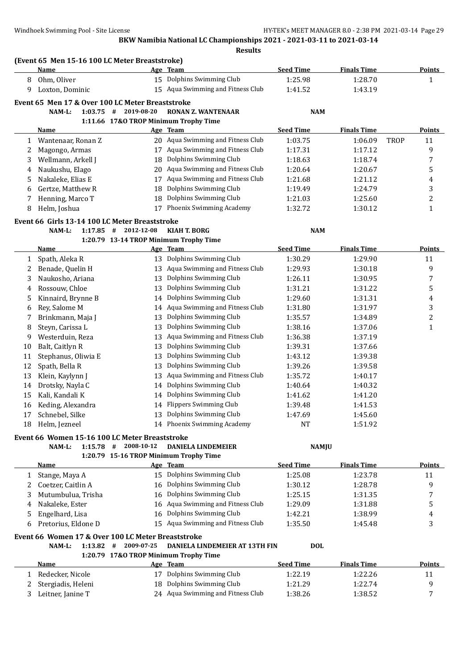|    |                                                    |                                       | <b>Results</b>                         |                  |                    |             |               |
|----|----------------------------------------------------|---------------------------------------|----------------------------------------|------------------|--------------------|-------------|---------------|
|    | (Event 65 Men 15-16 100 LC Meter Breaststroke)     |                                       |                                        |                  |                    |             |               |
|    | <b>Name</b>                                        |                                       | Age Team                               | <b>Seed Time</b> | <b>Finals Time</b> |             | <b>Points</b> |
| 8  | Ohm, Oliver                                        |                                       | 15 Dolphins Swimming Club              | 1:25.98          | 1:28.70            |             | $\mathbf{1}$  |
| 9  | Loxton, Dominic                                    |                                       | 15 Aqua Swimming and Fitness Club      | 1:41.52          | 1:43.19            |             |               |
|    | Event 65 Men 17 & Over 100 LC Meter Breaststroke   |                                       |                                        |                  |                    |             |               |
|    | $1:03.75$ #<br>NAM-L:                              | 2019-08-20                            | <b>RONAN Z. WANTENAAR</b>              | <b>NAM</b>       |                    |             |               |
|    |                                                    | 1:11.66 17&O TROP Minimum Trophy Time |                                        |                  |                    |             |               |
|    | Name                                               |                                       | Age Team                               | <b>Seed Time</b> | <b>Finals Time</b> |             | Points        |
| 1  | Wantenaar, Ronan Z                                 |                                       | 20 Aqua Swimming and Fitness Club      | 1:03.75          | 1:06.09            | <b>TROP</b> | 11            |
| 2  | Magongo, Armas                                     |                                       | 17 Aqua Swimming and Fitness Club      | 1:17.31          | 1:17.12            |             | 9             |
| 3  | Wellmann, Arkell J                                 | 18                                    | Dolphins Swimming Club                 | 1:18.63          | 1:18.74            |             | 7             |
| 4  | Naukushu, Elago                                    |                                       | 20 Aqua Swimming and Fitness Club      | 1:20.64          | 1:20.67            |             | 5             |
| 5  | Nakaleke, Elias E                                  | 17                                    | Aqua Swimming and Fitness Club         | 1:21.68          | 1:21.12            |             | 4             |
| 6  | Gertze, Matthew R                                  | 18                                    | Dolphins Swimming Club                 | 1:19.49          | 1:24.79            |             | 3             |
| 7  | Henning, Marco T                                   | 18                                    | Dolphins Swimming Club                 | 1:21.03          | 1:25.60            |             | 2             |
| 8  | Helm, Joshua                                       |                                       | 17 Phoenix Swimming Academy            | 1:32.72          | 1:30.12            |             | $\mathbf{1}$  |
|    | Event 66 Girls 13-14 100 LC Meter Breaststroke     |                                       |                                        |                  |                    |             |               |
|    | NAM-L:<br>$1:17.85$ #                              | 2012-12-08                            | <b>KIAH T. BORG</b>                    | <b>NAM</b>       |                    |             |               |
|    |                                                    |                                       | 1:20.79 13-14 TROP Minimum Trophy Time |                  |                    |             |               |
|    | <b>Name</b>                                        |                                       | Age Team                               | <b>Seed Time</b> | <b>Finals Time</b> |             | <b>Points</b> |
| 1  | Spath, Aleka R                                     |                                       | 13 Dolphins Swimming Club              | 1:30.29          | 1:29.90            |             | 11            |
| 2  | Benade, Quelin H                                   | 13                                    | Aqua Swimming and Fitness Club         | 1:29.93          | 1:30.18            |             | 9             |
| 3  | Naukosho, Ariana                                   | 13                                    | Dolphins Swimming Club                 | 1:26.11          | 1:30.95            |             | 7             |
| 4  | Rossouw, Chloe                                     | 13                                    | Dolphins Swimming Club                 | 1:31.21          | 1:31.22            |             | 5             |
| 5  | Kinnaird, Brynne B                                 | 14                                    | Dolphins Swimming Club                 | 1:29.60          | 1:31.31            |             | 4             |
| 6  | Rey, Salome M                                      | 14                                    | Aqua Swimming and Fitness Club         | 1:31.80          | 1:31.97            |             | 3             |
| 7  | Brinkmann, Maja J                                  | 13                                    | Dolphins Swimming Club                 | 1:35.57          | 1:34.89            |             | 2             |
| 8  | Steyn, Carissa L                                   | 13                                    | Dolphins Swimming Club                 | 1:38.16          | 1:37.06            |             | $\mathbf{1}$  |
| 9  | Westerduin, Reza                                   | 13                                    | Aqua Swimming and Fitness Club         | 1:36.38          | 1:37.19            |             |               |
| 10 | Balt, Caitlyn R                                    | 13                                    | Dolphins Swimming Club                 | 1:39.31          | 1:37.66            |             |               |
| 11 | Stephanus, Oliwia E                                | 13                                    | Dolphins Swimming Club                 | 1:43.12          | 1:39.38            |             |               |
| 12 | Spath, Bella R                                     | 13                                    | Dolphins Swimming Club                 | 1:39.26          | 1:39.58            |             |               |
| 13 | Klein, Kaylynn J                                   | 13                                    | Aqua Swimming and Fitness Club         | 1:35.72          | 1:40.17            |             |               |
| 14 | Drotsky, Nayla C                                   | 14                                    | Dolphins Swimming Club                 | 1:40.64          | 1:40.32            |             |               |
| 15 | Kali, Kandali K                                    |                                       | 14 Dolphins Swimming Club              | 1:41.62          | 1:41.20            |             |               |
| 16 | Keding, Alexandra                                  |                                       | 14 Flippers Swimming Club              | 1:39.48          | 1:41.53            |             |               |
| 17 | Schnebel, Silke                                    |                                       | 13 Dolphins Swimming Club              | 1:47.69          | 1:45.60            |             |               |
| 18 | Helm, Jezneel                                      |                                       | 14 Phoenix Swimming Academy            | NT               | 1:51.92            |             |               |
|    | Event 66 Women 15-16 100 LC Meter Breaststroke     |                                       |                                        |                  |                    |             |               |
|    | $1:15.78$ #<br>NAM-L:                              | 2008-10-12                            | <b>DANIELA LINDEMEIER</b>              | <b>NAMJU</b>     |                    |             |               |
|    |                                                    |                                       | 1:20.79 15-16 TROP Minimum Trophy Time |                  |                    |             |               |
|    | <b>Name</b>                                        |                                       | Age Team                               | <b>Seed Time</b> | <b>Finals Time</b> |             | <b>Points</b> |
| 1  | Stange, Maya A                                     |                                       | 15 Dolphins Swimming Club              | 1:25.08          | 1:23.78            |             | 11            |
| 2  | Coetzer, Caitlin A                                 | 16                                    | Dolphins Swimming Club                 | 1:30.12          | 1:28.78            |             | 9             |
| 3  | Mutumbulua, Trisha                                 |                                       | 16 Dolphins Swimming Club              | 1:25.15          | 1:31.35            |             | 7             |
| 4  | Nakaleke, Ester                                    |                                       | 16 Aqua Swimming and Fitness Club      | 1:29.09          | 1:31.88            |             | 5             |
| 5  | Engelhard, Lisa                                    | 16                                    | Dolphins Swimming Club                 | 1:42.21          | 1:38.99            |             | 4             |
| 6  | Pretorius, Eldone D                                |                                       | 15 Aqua Swimming and Fitness Club      | 1:35.50          | 1:45.48            |             | 3             |
|    | Event 66 Women 17 & Over 100 LC Meter Breaststroke |                                       |                                        |                  |                    |             |               |
|    | $1:13.82$ #<br>NAM-L:                              | 2009-07-25                            | DANIELA LINDEMEIER AT 13TH FIN         | <b>DOL</b>       |                    |             |               |
|    |                                                    | 1:20.79 17&O TROP Minimum Trophy Time |                                        |                  |                    |             |               |
|    | <u>Name</u>                                        |                                       | Age Team                               | <b>Seed Time</b> | <b>Finals Time</b> |             | <b>Points</b> |
| 1  | Redecker, Nicole                                   |                                       | 17 Dolphins Swimming Club              | 1:22.19          | 1:22.26            |             | 11            |
| 2  | Stergiadis, Heleni                                 |                                       | 18 Dolphins Swimming Club              | 1:21.29          | 1:22.74            |             | 9             |
| 3  | Leitner, Janine T                                  |                                       | 24 Aqua Swimming and Fitness Club      | 1:38.26          | 1:38.52            |             | 7             |
|    |                                                    |                                       |                                        |                  |                    |             |               |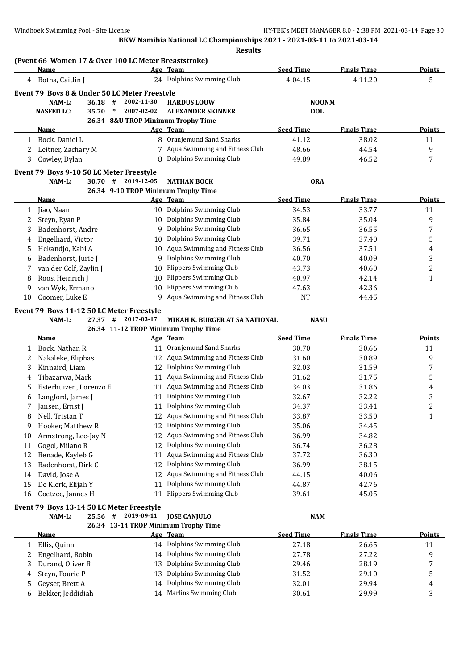|    | (Event 66 Women 17 & Over 100 LC Meter Breaststroke)<br>Name          |                    | Age Team                                                    | <b>Seed Time</b> | <b>Finals Time</b> | <b>Points</b>    |
|----|-----------------------------------------------------------------------|--------------------|-------------------------------------------------------------|------------------|--------------------|------------------|
|    | 4 Botha, Caitlin J                                                    |                    | 24 Dolphins Swimming Club                                   | 4:04.15          | 4:11.20            | 5                |
|    |                                                                       |                    |                                                             |                  |                    |                  |
|    | Event 79 Boys 8 & Under 50 LC Meter Freestyle<br>NAM-L:<br>#<br>36.18 | 2002-11-30         | <b>HARDUS LOUW</b>                                          | <b>NOONM</b>     |                    |                  |
|    | <b>NASFED LC:</b><br>35.70<br>$\ast$                                  | 2007-02-02         | <b>ALEXANDER SKINNER</b>                                    | <b>DOL</b>       |                    |                  |
|    |                                                                       |                    | 26.34 8&U TROP Minimum Trophy Time                          |                  |                    |                  |
|    | Name                                                                  |                    | Age Team                                                    | <b>Seed Time</b> | <b>Finals Time</b> | Points           |
| 1  | Bock, Daniel L                                                        |                    | 8 Oranjemund Sand Sharks                                    | 41.12            | 38.02              | 11               |
| 2  | Leitner, Zachary M                                                    |                    | 7 Aqua Swimming and Fitness Club                            | 48.66            | 44.54              | 9                |
| 3  | Cowley, Dylan                                                         | 8                  | Dolphins Swimming Club                                      | 49.89            | 46.52              | 7                |
|    | Event 79 Boys 9-10 50 LC Meter Freestyle                              |                    |                                                             |                  |                    |                  |
|    | NAM-L:<br>30.70 #                                                     | 2019-12-05         | <b>NATHAN BOCK</b>                                          | <b>ORA</b>       |                    |                  |
|    |                                                                       |                    | 26.34 9-10 TROP Minimum Trophy Time                         |                  |                    |                  |
|    | Name                                                                  |                    | Age Team                                                    | <b>Seed Time</b> | <b>Finals Time</b> | Points           |
| 1  | Jiao, Naan                                                            |                    | 10 Dolphins Swimming Club                                   | 34.53            | 33.77              | 11               |
| 2  | Steyn, Ryan P                                                         |                    | 10 Dolphins Swimming Club                                   | 35.84            | 35.04              | 9                |
| 3  | Badenhorst, Andre                                                     | 9                  | Dolphins Swimming Club                                      | 36.65            | 36.55              | 7                |
| 4  | Engelhard, Victor                                                     | 10                 | Dolphins Swimming Club                                      | 39.71            | 37.40              | 5                |
| 5  | Hekandjo, Kabi A                                                      | 10                 | Aqua Swimming and Fitness Club                              | 36.56            | 37.51              | 4                |
| 6  | Badenhorst, Jurie J                                                   | 9                  | Dolphins Swimming Club                                      | 40.70            | 40.09              | 3                |
| 7  | van der Colf, Zaylin J<br>10                                          |                    | <b>Flippers Swimming Club</b>                               | 43.73            | 40.60              | $\boldsymbol{2}$ |
| 8  | Roos, Heinrich J<br>10                                                |                    | <b>Flippers Swimming Club</b>                               | 40.97            | 42.14              | 1                |
| 9  | van Wyk, Ermano<br>10                                                 |                    | <b>Flippers Swimming Club</b>                               | 47.63            | 42.36              |                  |
| 10 | Coomer, Luke E                                                        | 9.                 | Aqua Swimming and Fitness Club                              | <b>NT</b>        | 44.45              |                  |
|    |                                                                       |                    |                                                             |                  |                    |                  |
|    | Event 79 Boys 11-12 50 LC Meter Freestyle<br>NAM-L:<br>27.37<br>#     | 2017-03-17         | MIKAH K. BURGER AT SA NATIONAL                              | <b>NASU</b>      |                    |                  |
|    |                                                                       |                    | 26.34 11-12 TROP Minimum Trophy Time                        |                  |                    |                  |
|    | <b>Name</b>                                                           |                    | Age Team                                                    | <b>Seed Time</b> | <b>Finals Time</b> | <b>Points</b>    |
| 1  | Bock, Nathan R                                                        |                    | 11 Oranjemund Sand Sharks                                   | 30.70            | 30.66              | 11               |
| 2  | Nakaleke, Eliphas                                                     | 12                 | Aqua Swimming and Fitness Club                              | 31.60            | 30.89              | 9                |
| 3  | Kinnaird, Liam                                                        | 12                 | Dolphins Swimming Club                                      | 32.03            | 31.59              | 7                |
| 4  | Tibazarwa, Mark                                                       | 11                 | Aqua Swimming and Fitness Club                              | 31.62            | 31.75              | 5                |
| 5  | Esterhuizen, Lorenzo E                                                | 11                 | Aqua Swimming and Fitness Club                              | 34.03            | 31.86              | 4                |
| 6  | Langford, James J                                                     | 11                 | Dolphins Swimming Club                                      | 32.67            | 32.22              | 3                |
| 7  | Jansen, Ernst J                                                       |                    | 11 Dolphins Swimming Club                                   | 34.37            | 33.41              | $\overline{c}$   |
| 8  | Nell, Tristan T                                                       |                    | Aqua Swimming and Fitness Club                              | 33.87            | 33.50              | 1                |
| 9  | Hooker, Matthew R                                                     | 12                 | Dolphins Swimming Club                                      | 35.06            | 34.45              |                  |
| 10 | Armstrong, Lee-Jay N                                                  | 12                 | Aqua Swimming and Fitness Club                              | 36.99            | 34.82              |                  |
| 11 | Gogol, Milano R                                                       | 12                 | Dolphins Swimming Club                                      | 36.74            | 36.28              |                  |
| 12 | Benade, Kayleb G                                                      | 11                 | Aqua Swimming and Fitness Club                              | 37.72            | 36.30              |                  |
| 13 | Badenhorst, Dirk C                                                    | 12                 | Dolphins Swimming Club                                      | 36.99            | 38.15              |                  |
| 14 | David, Jose A                                                         | 12                 | Aqua Swimming and Fitness Club                              | 44.15            | 40.06              |                  |
| 15 | De Klerk, Elijah Y                                                    | 11                 | Dolphins Swimming Club                                      | 44.87            | 42.76              |                  |
| 16 | Coetzee, Jannes H                                                     | 11                 | <b>Flippers Swimming Club</b>                               | 39.61            | 45.05              |                  |
|    |                                                                       |                    |                                                             |                  |                    |                  |
|    | Event 79 Boys 13-14 50 LC Meter Freestyle                             | 25.56 # 2019-09-11 |                                                             |                  |                    |                  |
|    | NAM-L:                                                                |                    | <b>JOSE CANJULO</b><br>26.34 13-14 TROP Minimum Trophy Time | <b>NAM</b>       |                    |                  |
|    | <b>Name</b>                                                           |                    | Age Team                                                    | <b>Seed Time</b> | <b>Finals Time</b> | <b>Points</b>    |
| 1  | Ellis, Quinn                                                          |                    | 14 Dolphins Swimming Club                                   | 27.18            | 26.65              | 11               |
| 2  | Engelhard, Robin                                                      | 14                 | Dolphins Swimming Club                                      | 27.78            | 27.22              | 9                |
| 3  | Durand, Oliver B                                                      | 13                 | Dolphins Swimming Club                                      | 29.46            | 28.19              | 7                |
| 4  | Steyn, Fourie P                                                       |                    | 13 Dolphins Swimming Club                                   | 31.52            | 29.10              | 5                |
|    |                                                                       |                    |                                                             |                  |                    |                  |

5 Geyser, Brett A 14 Dolphins Swimming Club 32.01 29.94 4 Bekker, Jeddidiah 14 Marlins Swimming Club 30.61 29.99 3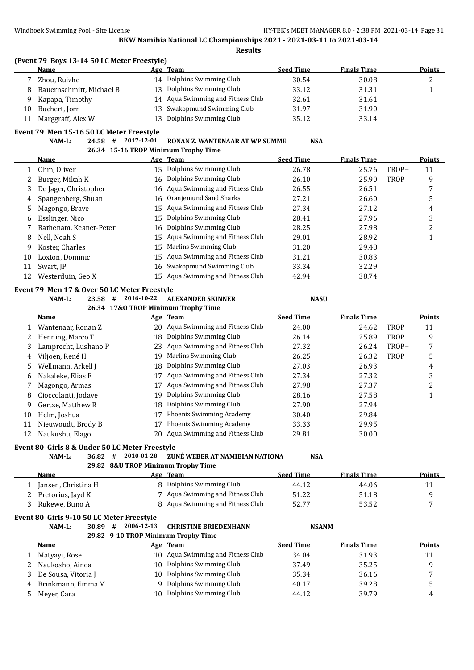|    | Name                                                         |            | Age Team                                                             | <b>Seed Time</b> | <b>Finals Time</b> |       | <b>Points</b>  |
|----|--------------------------------------------------------------|------------|----------------------------------------------------------------------|------------------|--------------------|-------|----------------|
| 7  | Zhou, Ruizhe                                                 |            | 14 Dolphins Swimming Club                                            | 30.54            | 30.08              |       | $\overline{c}$ |
| 8  | Bauernschmitt, Michael B                                     | 13         | Dolphins Swimming Club                                               | 33.12            | 31.31              |       | $\mathbf{1}$   |
| 9  | Kapapa, Timothy                                              |            | 14 Aqua Swimming and Fitness Club                                    | 32.61            | 31.61              |       |                |
| 10 | Buchert, Jorn                                                | 13         | Swakopmund Swimming Club                                             | 31.97            | 31.90              |       |                |
| 11 | Marggraff, Alex W                                            | 13         | Dolphins Swimming Club                                               | 35.12            | 33.14              |       |                |
|    |                                                              |            |                                                                      |                  |                    |       |                |
|    | Event 79 Men 15-16 50 LC Meter Freestyle<br>24.58#<br>NAM-L: | 2017-12-01 | RONAN Z. WANTENAAR AT WP SUMME                                       | <b>NSA</b>       |                    |       |                |
|    |                                                              |            | 26.34 15-16 TROP Minimum Trophy Time                                 |                  |                    |       |                |
|    | <u>Name</u>                                                  |            | Age Team                                                             | <b>Seed Time</b> | <b>Finals Time</b> |       | Points         |
| 1  | Ohm, Oliver                                                  |            | 15 Dolphins Swimming Club                                            | 26.78            | 25.76              | TROP+ | 11             |
| 2  | Burger, Mikah K                                              | 16         | Dolphins Swimming Club                                               | 26.10            | 25.90              | TROP  | 9              |
| 3  | De Jager, Christopher                                        |            | 16 Aqua Swimming and Fitness Club                                    | 26.55            | 26.51              |       | 7              |
|    |                                                              |            | Oranjemund Sand Sharks                                               |                  |                    |       |                |
| 4  | Spangenberg, Shuan                                           | 16         | Aqua Swimming and Fitness Club                                       | 27.21            | 26.60              |       | 5              |
| 5  | Magongo, Brave                                               | 15         | Dolphins Swimming Club                                               | 27.34            | 27.12              |       | 4              |
| 6  | Esslinger, Nico                                              | 15         |                                                                      | 28.41            | 27.96              |       | 3              |
| 7  | Rathenam, Keanet-Peter                                       | 16         | Dolphins Swimming Club                                               | 28.25            | 27.98              |       | 2              |
| 8  | Nell, Noah S                                                 | 15         | Aqua Swimming and Fitness Club                                       | 29.01            | 28.92              |       | $\mathbf{1}$   |
| 9  | Koster, Charles                                              | 15         | Marlins Swimming Club                                                | 31.20            | 29.48              |       |                |
| 10 | Loxton, Dominic                                              | 15         | Aqua Swimming and Fitness Club                                       | 31.21            | 30.83              |       |                |
| 11 | Swart, JP                                                    | 16         | Swakopmund Swimming Club                                             | 33.34            | 32.29              |       |                |
| 12 | Westerduin, Geo X                                            |            | 15 Aqua Swimming and Fitness Club                                    | 42.94            | 38.74              |       |                |
|    | Event 79 Men 17 & Over 50 LC Meter Freestyle                 |            |                                                                      |                  |                    |       |                |
|    | NAM-L:<br>23.58 #                                            | 2016-10-22 | <b>ALEXANDER SKINNER</b>                                             | <b>NASU</b>      |                    |       |                |
|    |                                                              |            | 26.34 17&O TROP Minimum Trophy Time                                  |                  |                    |       |                |
|    | <u>Name</u>                                                  |            | Age Team                                                             | <b>Seed Time</b> | <b>Finals Time</b> |       | <b>Points</b>  |
| 1  | Wantenaar, Ronan Z                                           |            | 20 Aqua Swimming and Fitness Club                                    | 24.00            | 24.62              | TROP  | 11             |
| 2  | Henning, Marco T                                             | 18         | Dolphins Swimming Club                                               | 26.14            | 25.89              | TROP  | 9              |
| 3  | Lamprecht, Lushano P                                         | 23         | Aqua Swimming and Fitness Club                                       | 27.32            | 26.24              | TROP+ | 7              |
| 4  | Viljoen, René H                                              | 19         | Marlins Swimming Club                                                | 26.25            | 26.32              | TROP  | 5              |
| 5  | Wellmann, Arkell J                                           | 18         | Dolphins Swimming Club                                               | 27.03            | 26.93              |       | 4              |
| 6  | Nakaleke, Elias E                                            | 17         | Aqua Swimming and Fitness Club                                       | 27.34            | 27.32              |       | 3              |
| 7  | Magongo, Armas                                               | 17         | Aqua Swimming and Fitness Club                                       | 27.98            | 27.37              |       | 2              |
| 8  | Cioccolanti, Jodave                                          | 19         | Dolphins Swimming Club                                               | 28.16            | 27.58              |       | $\mathbf{1}$   |
| 9  | Gertze, Matthew R                                            |            | 18 Dolphins Swimming Club                                            | 27.90            | 27.94              |       |                |
| 10 | Helm, Joshua                                                 |            | 17 Phoenix Swimming Academy                                          | 30.40            | 29.84              |       |                |
| 11 | Nieuwoudt, Brody B                                           |            | 17 Phoenix Swimming Academy                                          | 33.33            | 29.95              |       |                |
| 12 | Naukushu, Elago                                              |            | 20 Aqua Swimming and Fitness Club                                    | 29.81            | 30.00              |       |                |
|    |                                                              |            |                                                                      |                  |                    |       |                |
|    | Event 80 Girls 8 & Under 50 LC Meter Freestyle               |            |                                                                      |                  |                    |       |                |
|    | 36.82#<br>NAM-L:                                             | 2010-01-28 | ZUNÉ WEBER AT NAMIBIAN NATIONA<br>29.82 8&U TROP Minimum Trophy Time | <b>NSA</b>       |                    |       |                |
|    | <b>Name</b>                                                  |            | Age Team                                                             | <b>Seed Time</b> | <b>Finals Time</b> |       | <b>Points</b>  |
|    | Jansen, Christina H                                          |            | 8 Dolphins Swimming Club                                             | 44.12            | 44.06              |       |                |
| 1  | Pretorius, Jayd K                                            |            | 7 Aqua Swimming and Fitness Club                                     | 51.22            |                    |       | 11<br>9        |
| 2  | Rukewe, Buno A                                               |            | 8 Aqua Swimming and Fitness Club                                     |                  | 51.18              |       |                |
| 3  |                                                              |            |                                                                      | 52.77            | 53.52              |       | 7              |
|    | Event 80 Girls 9-10 50 LC Meter Freestyle                    |            |                                                                      |                  |                    |       |                |
|    | 30.89 #<br>NAM-L:                                            | 2006-12-13 | <b>CHRISTINE BRIEDENHANN</b>                                         | <b>NSANM</b>     |                    |       |                |
|    |                                                              |            | 29.82 9-10 TROP Minimum Trophy Time                                  |                  |                    |       |                |
|    | <u>Name</u>                                                  |            | Age Team                                                             | <b>Seed Time</b> | <b>Finals Time</b> |       | Points         |
| 1  | Matyayi, Rose                                                |            | 10 Aqua Swimming and Fitness Club                                    | 34.04            | 31.93              |       | 11             |
| 2  | Naukosho, Ainoa                                              |            | 10 Dolphins Swimming Club                                            | 37.49            | 35.25              |       | 9              |
| 3  | De Sousa, Vitoria J                                          | 10         | Dolphins Swimming Club                                               | 35.34            | 36.16              |       | 7              |
| 4  | Brinkmann, Emma M                                            | 9          | Dolphins Swimming Club                                               | 40.17            | 39.28              |       | 5              |
| 5  | Meyer, Cara                                                  | 10         | Dolphins Swimming Club                                               | 44.12            | 39.79              |       | 4              |
|    |                                                              |            |                                                                      |                  |                    |       |                |
|    |                                                              |            |                                                                      |                  |                    |       |                |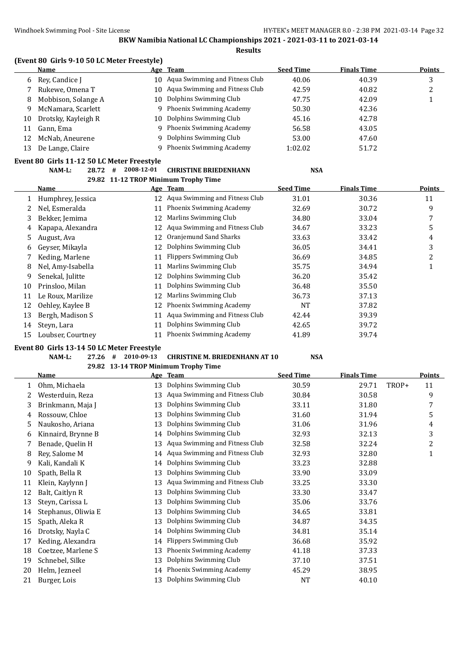# **(Event 80 Girls 9-10 50 LC Meter Freestyle)**

|    | Name                |     | Age Team                          | <b>Seed Time</b> | <b>Finals Time</b> | <b>Points</b> |
|----|---------------------|-----|-----------------------------------|------------------|--------------------|---------------|
| 6  | Rev. Candice I      |     | 10 Aqua Swimming and Fitness Club | 40.06            | 40.39              | 3             |
|    | Rukewe, Omena T     |     | 10 Aqua Swimming and Fitness Club | 42.59            | 40.82              | 2             |
| 8  | Mobbison, Solange A |     | 10 Dolphins Swimming Club         | 47.75            | 42.09              |               |
| q  | McNamara, Scarlett  | Q.  | Phoenix Swimming Academy          | 50.30            | 42.36              |               |
| 10 | Drotsky, Kayleigh R | 10. | Dolphins Swimming Club            | 45.16            | 42.78              |               |
| 11 | Gann, Ema           |     | 9 Phoenix Swimming Academy        | 56.58            | 43.05              |               |
| 12 | McNab, Aneurene     | 9.  | Dolphins Swimming Club            | 53.00            | 47.60              |               |
| 13 | De Lange, Claire    |     | Phoenix Swimming Academy          | 1:02.02          | 51.72              |               |

## **Event 80 Girls 11-12 50 LC Meter Freestyle NAM-L: 28.72 # 2008-12-01 CHRISTINE BRIEDENHANN NSA**

|    | Name              |    | Age Team                          | <b>Seed Time</b> | <b>Finals Time</b> | <b>Points</b> |
|----|-------------------|----|-----------------------------------|------------------|--------------------|---------------|
|    | Humphrey, Jessica |    | 12 Aqua Swimming and Fitness Club | 31.01            | 30.36              | 11            |
|    | Nel, Esmeralda    | 11 | Phoenix Swimming Academy          | 32.69            | 30.72              | 9             |
| 3  | Bekker, Jemima    | 12 | Marlins Swimming Club             | 34.80            | 33.04              | 7             |
| 4  | Kapapa, Alexandra | 12 | Aqua Swimming and Fitness Club    | 34.67            | 33.23              | 5             |
| 5  | August, Ava       | 12 | Oranjemund Sand Sharks            | 33.63            | 33.42              | 4             |
| 6  | Gevser, Mikavla   | 12 | Dolphins Swimming Club            | 36.05            | 34.41              | 3             |
|    | Keding, Marlene   | 11 | Flippers Swimming Club            | 36.69            | 34.85              | 2             |
| 8  | Nel, Amy-Isabella | 11 | Marlins Swimming Club             | 35.75            | 34.94              |               |
| 9  | Senekal, Julitte  | 12 | Dolphins Swimming Club            | 36.20            | 35.42              |               |
| 10 | Prinsloo, Milan   | 11 | Dolphins Swimming Club            | 36.48            | 35.50              |               |
| 11 | Le Roux, Marilize | 12 | Marlins Swimming Club             | 36.73            | 37.13              |               |
| 12 | Oehley, Kaylee B  | 12 | Phoenix Swimming Academy          | <b>NT</b>        | 37.82              |               |
| 13 | Bergh, Madison S  | 11 | Aqua Swimming and Fitness Club    | 42.44            | 39.39              |               |
| 14 | Steyn, Lara       | 11 | Dolphins Swimming Club            | 42.65            | 39.72              |               |
| 15 | Loubser, Courtney |    | Phoenix Swimming Academy          | 41.89            | 39.74              |               |

## **Event 80 Girls 13-14 50 LC Meter Freestyle**

# **NAM-L: 27.26 # 2010-09-13 CHRISTINE M. BRIEDENHANN AT 10 NSA**

**29.82 13-14 TROP Minimum Trophy Time**

**29.82 11-12 TROP Minimum Trophy Time**

|    | <b>Name</b>         |    | Age Team                       | <b>Seed Time</b> | <b>Finals Time</b> |       | <b>Points</b> |
|----|---------------------|----|--------------------------------|------------------|--------------------|-------|---------------|
|    | Ohm, Michaela       | 13 | Dolphins Swimming Club         | 30.59            | 29.71              | TROP+ | 11            |
|    | Westerduin, Reza    | 13 | Aqua Swimming and Fitness Club | 30.84            | 30.58              |       | 9             |
| 3  | Brinkmann, Maja J   | 13 | Dolphins Swimming Club         | 33.11            | 31.80              |       | 7             |
| 4  | Rossouw, Chloe      | 13 | Dolphins Swimming Club         | 31.60            | 31.94              |       | 5             |
| 5  | Naukosho, Ariana    | 13 | Dolphins Swimming Club         | 31.06            | 31.96              |       | 4             |
| 6  | Kinnaird, Brynne B  | 14 | Dolphins Swimming Club         | 32.93            | 32.13              |       | 3             |
|    | Benade, Quelin H    | 13 | Aqua Swimming and Fitness Club | 32.58            | 32.24              |       | 2             |
| 8  | Rey, Salome M       | 14 | Aqua Swimming and Fitness Club | 32.93            | 32.80              |       | 1             |
| 9  | Kali, Kandali K     | 14 | Dolphins Swimming Club         | 33.23            | 32.88              |       |               |
| 10 | Spath, Bella R      | 13 | Dolphins Swimming Club         | 33.90            | 33.09              |       |               |
| 11 | Klein, Kaylynn J    | 13 | Aqua Swimming and Fitness Club | 33.25            | 33.30              |       |               |
| 12 | Balt, Caitlyn R     | 13 | Dolphins Swimming Club         | 33.30            | 33.47              |       |               |
| 13 | Steyn, Carissa L    | 13 | Dolphins Swimming Club         | 35.06            | 33.76              |       |               |
| 14 | Stephanus, Oliwia E | 13 | Dolphins Swimming Club         | 34.65            | 33.81              |       |               |
| 15 | Spath, Aleka R      | 13 | Dolphins Swimming Club         | 34.87            | 34.35              |       |               |
| 16 | Drotsky, Nayla C    | 14 | Dolphins Swimming Club         | 34.81            | 35.14              |       |               |
| 17 | Keding, Alexandra   | 14 | <b>Flippers Swimming Club</b>  | 36.68            | 35.92              |       |               |
| 18 | Coetzee, Marlene S  | 13 | Phoenix Swimming Academy       | 41.18            | 37.33              |       |               |
| 19 | Schnebel, Silke     | 13 | Dolphins Swimming Club         | 37.10            | 37.51              |       |               |
| 20 | Helm, Jezneel       | 14 | Phoenix Swimming Academy       | 45.29            | 38.95              |       |               |
| 21 | Burger, Lois        | 13 | Dolphins Swimming Club         | NT               | 40.10              |       |               |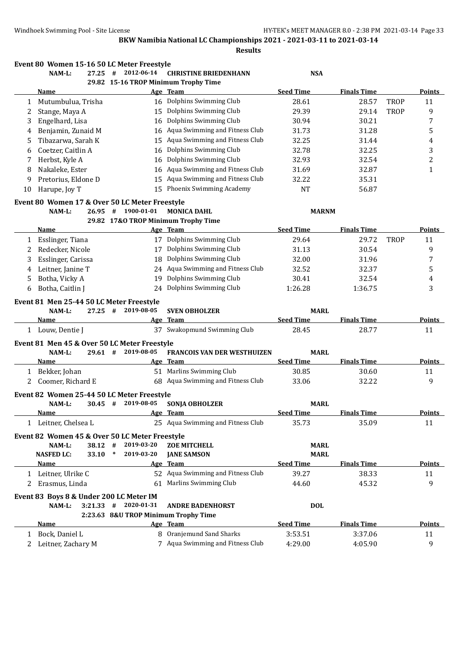|    | Event 80 Women 15-16 50 LC Meter Freestyle<br>NAM-L:<br>27.25 | #         | 2012-06-14                        | <b>CHRISTINE BRIEDENHANN</b>                     | <b>NSA</b>       |                    |             |               |
|----|---------------------------------------------------------------|-----------|-----------------------------------|--------------------------------------------------|------------------|--------------------|-------------|---------------|
|    |                                                               |           |                                   | 29.82 15-16 TROP Minimum Trophy Time             |                  |                    |             |               |
|    | Name                                                          |           |                                   | Age Team                                         | <b>Seed Time</b> | <b>Finals Time</b> |             | Points        |
| 1  | Mutumbulua, Trisha                                            |           |                                   | 16 Dolphins Swimming Club                        | 28.61            | 28.57              | <b>TROP</b> | 11            |
| 2  | Stange, Maya A                                                |           | 15                                | Dolphins Swimming Club                           | 29.39            | 29.14              | <b>TROP</b> | 9             |
| 3  | Engelhard, Lisa                                               |           | 16                                | Dolphins Swimming Club                           | 30.94            | 30.21              |             | 7             |
| 4  | Benjamin, Zunaid M                                            |           | 16                                | Aqua Swimming and Fitness Club                   | 31.73            | 31.28              |             | 5             |
| 5  | Tibazarwa, Sarah K                                            |           | 15                                | Aqua Swimming and Fitness Club                   | 32.25            | 31.44              |             | 4             |
| 6  | Coetzer, Caitlin A                                            |           | 16                                | Dolphins Swimming Club                           | 32.78            | 32.25              |             | 3             |
| 7  | Herbst, Kyle A                                                |           |                                   | 16 Dolphins Swimming Club                        | 32.93            | 32.54              |             | 2             |
| 8  | Nakaleke, Ester                                               |           | 16                                | Aqua Swimming and Fitness Club                   | 31.69            | 32.87              |             | 1             |
| 9  | Pretorius, Eldone D                                           |           | 15                                | Aqua Swimming and Fitness Club                   | 32.22            | 35.31              |             |               |
| 10 | Harupe, Joy T                                                 |           | 15                                | Phoenix Swimming Academy                         | NT               | 56.87              |             |               |
|    | Event 80 Women 17 & Over 50 LC Meter Freestyle                |           |                                   |                                                  |                  |                    |             |               |
|    | NAM-L:                                                        | $26.95 +$ | 1900-01-01                        | <b>MONICA DAHL</b>                               | <b>MARNM</b>     |                    |             |               |
|    |                                                               |           |                                   | 29.82 17&O TROP Minimum Trophy Time              |                  |                    |             |               |
|    | Name                                                          |           |                                   | Age Team                                         | <b>Seed Time</b> | <b>Finals Time</b> |             | Points        |
|    | Esslinger, Tiana                                              |           |                                   | 17 Dolphins Swimming Club                        | 29.64            | 29.72              | <b>TROP</b> | 11            |
| 2  | Redecker, Nicole                                              |           |                                   | 17 Dolphins Swimming Club                        | 31.13            | 30.54              |             | 9             |
| 3  | Esslinger, Carissa                                            |           | 18                                | Dolphins Swimming Club                           | 32.00            | 31.96              |             | 7             |
| 4  | Leitner, Janine T                                             |           | 24 Aqua Swimming and Fitness Club | 32.52                                            | 32.37            |                    | 5           |               |
| 5  | Botha, Vicky A                                                |           | 19                                | Dolphins Swimming Club                           | 30.41            | 32.54              |             | 4             |
| 6  | Botha, Caitlin J                                              |           |                                   | 24 Dolphins Swimming Club                        | 1:26.28          | 1:36.75            |             | 3             |
|    | Event 81 Men 25-44 50 LC Meter Freestyle                      |           |                                   |                                                  |                  |                    |             |               |
|    | NAM-L:                                                        | $27.25 +$ | 2019-08-05                        | <b>SVEN OBHOLZER</b>                             | <b>MARL</b>      |                    |             |               |
|    | Name                                                          |           |                                   | Age Team                                         | <b>Seed Time</b> | <b>Finals Time</b> |             | Points        |
|    | 1 Louw, Dentie J                                              |           |                                   | 37 Swakopmund Swimming Club                      | 28.45            | 28.77              |             | 11            |
|    | Event 81 Men 45 & Over 50 LC Meter Freestyle                  |           |                                   |                                                  |                  |                    |             |               |
|    | NAM-L:                                                        | $29.61$ # | 2019-08-05                        | FRANCOIS VAN DER WESTHUIZEN                      | <b>MARL</b>      |                    |             |               |
|    | Name                                                          |           |                                   | Age Team                                         | <b>Seed Time</b> | <b>Finals Time</b> |             | Points        |
|    | 1 Bekker, Johan                                               |           |                                   | 51 Marlins Swimming Club                         | 30.85            | 30.60              |             | 11            |
| 2  | Coomer, Richard E                                             |           |                                   | 68 Aqua Swimming and Fitness Club                | 33.06            | 32.22              |             | 9             |
|    | Event 82 Women 25-44 50 LC Meter Freestyle                    |           |                                   |                                                  |                  |                    |             |               |
|    | NAM-L:                                                        | $30.45$ # | 2019-08-05                        | SONJA OBHOLZER                                   | <b>MARL</b>      |                    |             |               |
|    | Name                                                          |           |                                   | Age Team                                         | <b>Seed Time</b> | <b>Finals Time</b> |             | Points        |
|    | 1 Leitner, Chelsea L                                          |           |                                   | 25 Aqua Swimming and Fitness Club                | 35.73            | 35.09              |             | 11            |
|    |                                                               |           |                                   |                                                  |                  |                    |             |               |
|    | Event 82 Women 45 & Over 50 LC Meter Freestyle                | $38.12$ # | 2019-03-20                        |                                                  | <b>MARL</b>      |                    |             |               |
|    | NAM-L:<br><b>NASFED LC:</b><br>33.10                          | $\ast$    | 2019-03-20                        | <b>ZOE MITCHELL</b><br><b>JANE SAMSON</b>        | <b>MARL</b>      |                    |             |               |
|    | Name                                                          |           |                                   | Age Team                                         | <b>Seed Time</b> | <b>Finals Time</b> |             | <b>Points</b> |
|    | 1 Leitner, Ulrike C                                           |           |                                   | 52 Aqua Swimming and Fitness Club                | 39.27            | 38.33              |             | 11            |
| 2  | Erasmus, Linda                                                |           |                                   | 61 Marlins Swimming Club                         | 44.60            | 45.32              |             | 9             |
|    |                                                               |           |                                   |                                                  |                  |                    |             |               |
|    | Event 83 Boys 8 & Under 200 LC Meter IM                       |           |                                   |                                                  |                  |                    |             |               |
|    | NAM-L:<br>$3:21.33$ #                                         |           | 2020-01-31                        | <b>ANDRE BADENHORST</b>                          | <b>DOL</b>       |                    |             |               |
|    | <b>Name</b>                                                   |           |                                   | 2:23.63 8&U TROP Minimum Trophy Time<br>Age Team | <b>Seed Time</b> | <b>Finals Time</b> |             | <b>Points</b> |
|    |                                                               |           |                                   | 8 Oranjemund Sand Sharks                         |                  |                    |             |               |
|    | 1 Bock, Daniel L                                              |           |                                   |                                                  | 3:53.51          | 3:37.06            |             | 11            |
|    | 2 Leitner, Zachary M                                          |           |                                   | 7 Aqua Swimming and Fitness Club                 | 4:29.00          | 4:05.90            |             | 9             |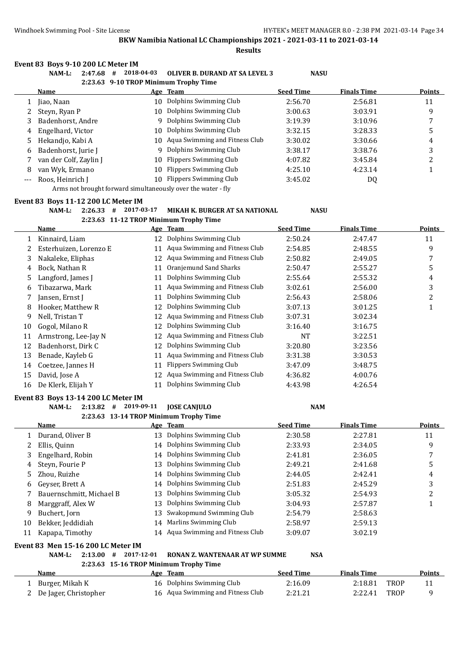**Results**

#### **Event 83 Boys 9-10 200 LC Meter IM**

|                     | $NAM-L$ :<br>2:47.68                                                        | 2018-04-03<br># | <b>OLIVER B. DURAND AT SA LEVEL 3</b>                        | <b>NASU</b>      |                    |        |  |  |  |
|---------------------|-----------------------------------------------------------------------------|-----------------|--------------------------------------------------------------|------------------|--------------------|--------|--|--|--|
|                     |                                                                             |                 | 2:23.63 9-10 TROP Minimum Trophy Time                        |                  |                    |        |  |  |  |
|                     | <b>Name</b>                                                                 |                 | Age Team                                                     | <b>Seed Time</b> | <b>Finals Time</b> | Points |  |  |  |
|                     | Jiao, Naan                                                                  | 10              | Dolphins Swimming Club                                       | 2:56.70          | 2:56.81            | 11     |  |  |  |
|                     | Steyn, Ryan P                                                               | 10              | Dolphins Swimming Club                                       | 3:00.63          | 3:03.91            | 9      |  |  |  |
| 3                   | Badenhorst, Andre                                                           |                 | 9 Dolphins Swimming Club                                     | 3:19.39          | 3:10.96            |        |  |  |  |
| 4                   | Engelhard, Victor                                                           | 10              | Dolphins Swimming Club                                       | 3:32.15          | 3:28.33            | 5      |  |  |  |
| 5.                  | Hekandjo, Kabi A                                                            |                 | 10 Aqua Swimming and Fitness Club                            | 3:30.02          | 3:30.66            | 4      |  |  |  |
| 6                   | Badenhorst, Jurie J                                                         |                 | 9 Dolphins Swimming Club                                     | 3:38.17          | 3:38.76            | 3      |  |  |  |
|                     | van der Colf, Zaylin J                                                      | 10.             | Flippers Swimming Club                                       | 4:07.82          | 3:45.84            |        |  |  |  |
| 8                   | van Wyk, Ermano                                                             | 10              | Flippers Swimming Club                                       | 4:25.10          | 4:23.14            |        |  |  |  |
| $\qquad \qquad - -$ | Roos, Heinrich J                                                            | 10.             | Flippers Swimming Club                                       | 3:45.02          | DQ                 |        |  |  |  |
|                     |                                                                             |                 | Arms not brought forward simultaneously over the water - fly |                  |                    |        |  |  |  |
|                     | $P_{\text{max}}$ (09. D $_{\text{max}}$ 44. 49.900 I C M $_{\text{max}}$ IM |                 |                                                              |                  |                    |        |  |  |  |

#### **Event 83 Boys 11-12 200 LC Meter IM**

|  | NAM-L: |  | $2:26.33$ # 2017-03-17 | MIKAH K. BURGER AT SA NATIONAL         | <b>NASU</b> |
|--|--------|--|------------------------|----------------------------------------|-------------|
|  |        |  |                        | 2:23.63 11-12 TROP Minimum Trophy Time |             |

**Name Age Team Seed Time Finals Time Points** Kinnaird, Liam 12 Dolphins Swimming Club 2:50.24 2:47.47 11 Esterhuizen, Lorenzo E 11 Aqua Swimming and Fitness Club 2:54.85 2:48.55 9 Nakaleke, Eliphas 12 Aqua Swimming and Fitness Club 2:50.82 2:49.05 7 Bock, Nathan R 11 Oranjemund Sand Sharks 2:50.47 2:55.27 5 5 Langford, James J 11 Dolphins Swimming Club 2:55.64 2:55.32 4 Tibazarwa, Mark 11 Aqua Swimming and Fitness Club 3:02.61 2:56.00 3 7 Jansen, Ernst J 11 Dolphins Swimming Club 2:56.43 2:58.06 2 8 Hooker, Matthew R 12 Dolphins Swimming Club 3:07.13 3:01.25 1 Nell, Tristan T 12 Aqua Swimming and Fitness Club 3:07.31 3:02.34 Gogol, Milano R 12 Dolphins Swimming Club 3:16.40 3:16.75 Armstrong, Lee-Jay N 12 Aqua Swimming and Fitness Club NT 3:22.51 Badenhorst, Dirk C 12 Dolphins Swimming Club 3:20.80 3:23.56 Benade, Kayleb G 11 Aqua Swimming and Fitness Club 3:31.38 3:30.53 14 Coetzee, Jannes H 11 Flippers Swimming Club 3:47.09 3:48.75 David, Jose A 12 Aqua Swimming and Fitness Club 4:36.82 4:00.76 De Klerk, Elijah Y 11 Dolphins Swimming Club 4:43.98 4:26.54

#### **Event 83 Boys 13-14 200 LC Meter IM**

|    | 2:13.82<br>NAM-L:<br>#   | 2019-09-11<br><b>IOSE CANIULO</b>      | <b>NAM</b>       |                    |        |
|----|--------------------------|----------------------------------------|------------------|--------------------|--------|
|    |                          | 2:23.63 13-14 TROP Minimum Trophy Time |                  |                    |        |
|    | Name                     | Age Team                               | <b>Seed Time</b> | <b>Finals Time</b> | Points |
|    | Durand, Oliver B         | Dolphins Swimming Club<br>13           | 2:30.58          | 2:27.81            | 11     |
|    | Ellis, Quinn             | 14 Dolphins Swimming Club              | 2:33.93          | 2:34.05            | 9      |
|    | Engelhard, Robin         | 14 Dolphins Swimming Club              | 2:41.81          | 2:36.05            |        |
| 4  | Steyn, Fourie P          | Dolphins Swimming Club<br>13           | 2:49.21          | 2:41.68            |        |
| 5. | Zhou, Ruizhe             | 14 Dolphins Swimming Club              | 2:44.05          | 2:42.41            | 4      |
| 6  | Geyser, Brett A          | 14 Dolphins Swimming Club              | 2:51.83          | 2:45.29            |        |
|    | Bauernschmitt, Michael B | Dolphins Swimming Club<br>13.          | 3:05.32          | 2:54.93            | ∠      |
|    |                          |                                        | .                | - -- --            |        |

| 8 Marggraff, Alex W  | 13 Dolphins Swimming Club         | 3:04.93 | 2:57.87 |  |
|----------------------|-----------------------------------|---------|---------|--|
| 9 Buchert, Jorn      | 13 Swakopmund Swimming Club       | 2:54.79 | 2:58.63 |  |
| 10 Bekker, Jeddidiah | 14 Marlins Swimming Club          | 2:58.97 | 2:59.13 |  |
| 11 Kapapa, Timothy   | 14 Agua Swimming and Fitness Club | 3:09.07 | 3:02.19 |  |
|                      |                                   |         |         |  |

## **Event 83 Men 15-16 200 LC Meter IM**

# **NAM-L: 2:13.00 # 2017-12-01 RONAN Z. WANTENAAR AT WP SUMME NSA**

**2:23.63 15-16 TROP Minimum Trophy Time**

| Name                    | Age Team                          | Seed Time | <b>Finals Time</b> |      | <b>Points</b> |
|-------------------------|-----------------------------------|-----------|--------------------|------|---------------|
| Burger, Mikah K         | 16 Dolphins Swimming Club         | 2:16.09   | 2:18.81            | TROP |               |
| 2 De Jager, Christopher | 16 Aqua Swimming and Fitness Club | 2:21.21   | 2:22.41            | TROP |               |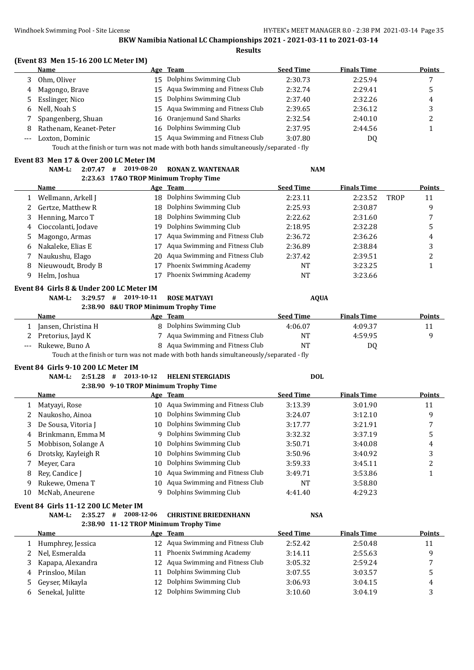## **(Event 83 Men 15-16 200 LC Meter IM)**

| Name                     | Age Team                                                                                                        | <b>Seed Time</b> | <b>Finals Time</b> | <b>Points</b> |
|--------------------------|-----------------------------------------------------------------------------------------------------------------|------------------|--------------------|---------------|
| Ohm, Oliver              | 15 Dolphins Swimming Club                                                                                       | 2:30.73          | 2:25.94            |               |
| 4 Magongo, Brave         | 15 Agua Swimming and Fitness Club                                                                               | 2:32.74          | 2:29.41            |               |
| 5 Esslinger, Nico        | 15 Dolphins Swimming Club                                                                                       | 2:37.40          | 2:32.26            | 4             |
| 6 Nell. Noah S           | 15 Agua Swimming and Fitness Club                                                                               | 2:39.65          | 2:36.12            | 3             |
| 7 Spangenberg, Shuan     | 16 Oranjemund Sand Sharks                                                                                       | 2:32.54          | 2:40.10            |               |
| 8 Rathenam, Keanet-Peter | 16 Dolphins Swimming Club                                                                                       | 2:37.95          | 2:44.56            |               |
| Loxton, Dominic          | 15 Aqua Swimming and Fitness Club                                                                               | 3:07.80          | DQ                 |               |
|                          | the contract of the contract of the contract of the contract of the contract of the contract of the contract of |                  |                    |               |

Touch at the finish or turn was not made with both hands simultaneously/separated - fly

## **Event 83 Men 17 & Over 200 LC Meter IM**

|              | $NAM-L$ :<br>2:07.47 | 2019-08-20<br># | <b>RONAN Z. WANTENAAR</b>             | <b>NAM</b>       |                    |             |               |
|--------------|----------------------|-----------------|---------------------------------------|------------------|--------------------|-------------|---------------|
|              |                      |                 | 2:23.63 17&O TROP Minimum Trophy Time |                  |                    |             |               |
|              | Name                 |                 | Age Team                              | <b>Seed Time</b> | <b>Finals Time</b> |             | <b>Points</b> |
|              | Wellmann, Arkell J   | 18              | Dolphins Swimming Club                | 2:23.11          | 2:23.52            | <b>TROP</b> | 11            |
|              | Gertze, Matthew R    | 18              | Dolphins Swimming Club                | 2:25.93          | 2:30.87            |             | 9             |
| 3            | Henning, Marco T     | 18              | Dolphins Swimming Club                | 2:22.62          | 2:31.60            |             |               |
| 4            | Cioccolanti, Jodave  | 19              | Dolphins Swimming Club                | 2:18.95          | 2:32.28            |             | 5             |
| 5            | Magongo, Armas       | 17              | Aqua Swimming and Fitness Club        | 2:36.72          | 2:36.26            |             | 4             |
| <sub>b</sub> | Nakaleke, Elias E    |                 | Agua Swimming and Fitness Club        | 2:36.89          | 2:38.84            |             | 3             |
|              | Naukushu, Elago      | 20              | Agua Swimming and Fitness Club        | 2:37.42          | 2:39.51            |             |               |
| 8            | Nieuwoudt, Brody B   | 17              | Phoenix Swimming Academy              | <b>NT</b>        | 3:23.25            |             |               |
| 9            | Helm, Joshua         |                 | Phoenix Swimming Academy              | <b>NT</b>        | 3:23.66            |             |               |
|              |                      |                 |                                       |                  |                    |             |               |

## **Event 84 Girls 8 & Under 200 LC Meter IM**

# **NAM-L: 3:29.57 # 2019-10-11 ROSE MATYAYI AQUA**

# **2:38.90 8&U TROP Minimum Trophy Time Name Age Team Seed Time Finals Time Points** 1 Jansen, Christina H 8 Dolphins Swimming Club 4:06.07 4:09.37 11 2 Pretorius, Jayd K 7 Aqua Swimming and Fitness Club NT 4:59.95 9 --- Rukewe, Buno A 8 Aqua Swimming and Fitness Club NT DQ

Touch at the finish or turn was not made with both hands simultaneously/separated - fly

#### **Event 84 Girls 9-10 200 LC Meter IM**

#### **NAM-L: 2:51.28 # 2013-10-12 HELENI STERGIADIS DOL 2:38.90 9-10 TROP Minimum Trophy Time**

|    |                     | 2:38.90 9-10 TROP MINIMUM Trophy Time |                                   |                  |                    |        |
|----|---------------------|---------------------------------------|-----------------------------------|------------------|--------------------|--------|
|    | <b>Name</b>         |                                       | Age Team                          | <b>Seed Time</b> | <b>Finals Time</b> | Points |
|    | Matyayi, Rose       |                                       | 10 Aqua Swimming and Fitness Club | 3:13.39          | 3:01.90            | 11     |
|    | Naukosho, Ainoa     |                                       | 10 Dolphins Swimming Club         | 3:24.07          | 3:12.10            | 9      |
| 3  | De Sousa, Vitoria J |                                       | 10 Dolphins Swimming Club         | 3:17.77          | 3:21.91            |        |
| 4  | Brinkmann, Emma M   | 9                                     | Dolphins Swimming Club            | 3:32.32          | 3:37.19            | כ      |
| 5. | Mobbison, Solange A |                                       | 10 Dolphins Swimming Club         | 3:50.71          | 3:40.08            | 4      |
| 6  | Drotsky, Kayleigh R | 10.                                   | Dolphins Swimming Club            | 3:50.96          | 3:40.92            |        |
|    | Meyer, Cara         | 10-                                   | Dolphins Swimming Club            | 3:59.33          | 3:45.11            |        |
| 8  | Rev. Candice I      | 10.                                   | Aqua Swimming and Fitness Club    | 3:49.71          | 3:53.86            |        |
| 9  | Rukewe, Omena T     |                                       | 10 Aqua Swimming and Fitness Club | NT               | 3:58.80            |        |
| 10 | McNab, Aneurene     |                                       | Dolphins Swimming Club            | 4:41.40          | 4:29.23            |        |

#### **Event 84 Girls 11-12 200 LC Meter IM**

## **NAM-L: 2:35.27 # 2008-12-06 CHRISTINE BRIEDENHANN NSA 2:38.90 11-12 TROP Minimum Trophy Time**

|   | <b>Name</b>       |    | Age Team                          | <b>Seed Time</b> | <b>Finals Time</b> | <b>Points</b> |
|---|-------------------|----|-----------------------------------|------------------|--------------------|---------------|
|   | Humphrey, Jessica |    | 12 Agua Swimming and Fitness Club | 2:52.42          | 2:50.48            | 11            |
|   | 2 Nel, Esmeralda  | 11 | Phoenix Swimming Academy          | 3:14.11          | 2:55.63            | Q             |
|   | Kapapa, Alexandra |    | 12 Aqua Swimming and Fitness Club | 3:05.32          | 2:59.24            |               |
| 4 | Prinsloo, Milan   |    | 11 Dolphins Swimming Club         | 3:07.55          | 3:03.57            |               |
|   | 5 Geyser, Mikayla |    | 12 Dolphins Swimming Club         | 3:06.93          | 3:04.15            | 4             |
|   | Senekal, Julitte  |    | 12 Dolphins Swimming Club         | 3:10.60          | 3:04.19            |               |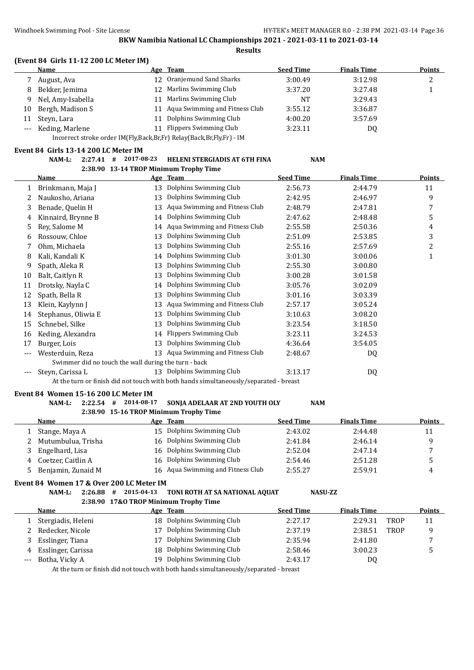**Results**

# **(Event 84 Girls 11-12 200 LC Meter IM)**

|    | <b>Name</b>         | Age Team                          | <b>Seed Time</b> | <b>Finals Time</b> | <b>Points</b> |
|----|---------------------|-----------------------------------|------------------|--------------------|---------------|
|    | August, Ava         | 12 Oranjemund Sand Sharks         | 3:00.49          | 3:12.98            |               |
| 8  | Bekker, Jemima      | Marlins Swimming Club             | 3:37.20          | 3:27.48            |               |
| q  | Nel, Amy-Isabella   | Marlins Swimming Club             | <b>NT</b>        | 3:29.43            |               |
| 10 | Bergh, Madison S    | 11 Aqua Swimming and Fitness Club | 3:55.12          | 3:36.87            |               |
|    | 11 Steyn, Lara      | Dolphins Swimming Club            | 4:00.20          | 3:57.69            |               |
|    | --- Keding, Marlene | Flippers Swimming Club            | 3:23.11          | DQ                 |               |
|    |                     |                                   |                  |                    |               |

Incorrect stroke order IM(Fly,Back,Br,Fr) Relay(Back,Br,Fly,Fr) - IM

## **Event 84 Girls 13-14 200 LC Meter IM**

|    | NAM-L:<br>2:27.41                                    | 2017-08-23<br># | <b>HELENI STERGIADIS AT 6TH FINA</b>                                                  | <b>NAM</b>       |                    |               |
|----|------------------------------------------------------|-----------------|---------------------------------------------------------------------------------------|------------------|--------------------|---------------|
|    |                                                      |                 | 2:38.90 13-14 TROP Minimum Trophy Time                                                |                  |                    |               |
|    | Name                                                 |                 | Age Team                                                                              | <b>Seed Time</b> | <b>Finals Time</b> | <b>Points</b> |
| 1  | Brinkmann, Maja J                                    | 13              | Dolphins Swimming Club                                                                | 2:56.73          | 2:44.79            | 11            |
| 2  | Naukosho, Ariana                                     | 13              | Dolphins Swimming Club                                                                | 2:42.95          | 2:46.97            | 9             |
| 3  | Benade, Quelin H                                     | 13              | Aqua Swimming and Fitness Club                                                        | 2:48.79          | 2:47.81            | 7             |
| 4  | Kinnaird, Brynne B                                   | 14              | Dolphins Swimming Club                                                                | 2:47.62          | 2:48.48            | 5             |
| 5  | Rey, Salome M                                        | 14              | Aqua Swimming and Fitness Club                                                        | 2:55.58          | 2:50.36            | 4             |
| 6  | Rossouw, Chloe                                       | 13              | Dolphins Swimming Club                                                                | 2:51.09          | 2:53.85            | 3             |
|    | Ohm, Michaela                                        | 13              | Dolphins Swimming Club                                                                | 2:55.16          | 2:57.69            | 2             |
| 8  | Kali, Kandali K                                      | 14              | Dolphins Swimming Club                                                                | 3:01.30          | 3:00.06            | 1             |
| 9  | Spath, Aleka R                                       | 13              | Dolphins Swimming Club                                                                | 2:55.30          | 3:00.80            |               |
| 10 | Balt, Caitlyn R                                      | 13              | Dolphins Swimming Club                                                                | 3:00.28          | 3:01.58            |               |
| 11 | Drotsky, Nayla C                                     | 14              | Dolphins Swimming Club                                                                | 3:05.76          | 3:02.09            |               |
| 12 | Spath, Bella R                                       | 13              | Dolphins Swimming Club                                                                | 3:01.16          | 3:03.39            |               |
| 13 | Klein, Kaylynn J                                     | 13              | Aqua Swimming and Fitness Club                                                        | 2:57.17          | 3:05.24            |               |
| 14 | Stephanus, Oliwia E                                  | 13              | Dolphins Swimming Club                                                                | 3:10.63          | 3:08.20            |               |
| 15 | Schnebel, Silke                                      | 13              | Dolphins Swimming Club                                                                | 3:23.54          | 3:18.50            |               |
| 16 | Keding, Alexandra                                    | 14              | <b>Flippers Swimming Club</b>                                                         | 3:23.11          | 3:24.53            |               |
| 17 | Burger, Lois                                         | 13              | Dolphins Swimming Club                                                                | 4:36.64          | 3:54.05            |               |
|    | Westerduin, Reza                                     | 13              | Aqua Swimming and Fitness Club                                                        | 2:48.67          | DQ                 |               |
|    | Swimmer did no touch the wall during the turn - back |                 |                                                                                       |                  |                    |               |
|    | Steyn, Carissa L                                     |                 | 13 Dolphins Swimming Club                                                             | 3:13.17          | DQ                 |               |
|    |                                                      |                 | At the turn or finish did not touch with both hands simultaneously/separated - breast |                  |                    |               |

# **Event 84 Women 15-16 200 LC Meter IM**

# **NAM-L: 2:22.54 # 2014-08-17 SONJA ADELAAR AT 2ND YOUTH OLY NAM**

|  |  |  | 2:38.90 15-16 TROP Minimum Trophy Time |
|--|--|--|----------------------------------------|
|--|--|--|----------------------------------------|

|    | Name                 | Age Team |                                   | <b>Seed Time</b> | <b>Finals Time</b> | <b>Points</b> |
|----|----------------------|----------|-----------------------------------|------------------|--------------------|---------------|
|    | Stange, Maya A       |          | 15 Dolphins Swimming Club         | 2:43.02          | 2:44.48            | 11            |
|    | 2 Mutumbulua, Trisha |          | 16 Dolphins Swimming Club         | 2:41.84          | 2:46.14            |               |
|    | Engelhard, Lisa      |          | 16 Dolphins Swimming Club         | 2:52.04          | 2:47.14            |               |
|    | 4 Coetzer, Caitlin A |          | 16 Dolphins Swimming Club         | 2:54.46          | 2:51.28            |               |
| 5. | Benjamin, Zunaid M   |          | 16 Agua Swimming and Fitness Club | 2:55.27          | 2:59.91            | 4             |

## **Event 84 Women 17 & Over 200 LC Meter IM**

|   | NAM-L:<br>2:26.88    | 2015-04-13<br># | TONI ROTH AT SA NATIONAL AQUAT        | <b>NASU-ZZ</b>   |                    |             |               |
|---|----------------------|-----------------|---------------------------------------|------------------|--------------------|-------------|---------------|
|   |                      |                 | 2:38.90 17&O TROP Minimum Trophy Time |                  |                    |             |               |
|   | Name                 |                 | Age Team                              | <b>Seed Time</b> | <b>Finals Time</b> |             | <b>Points</b> |
|   | Stergiadis, Heleni   |                 | 18 Dolphins Swimming Club             | 2:27.17          | 2:29.31            | <b>TROP</b> | 11            |
|   | 2 Redecker, Nicole   |                 | Dolphins Swimming Club                | 2:37.19          | 2:38.51            | <b>TROP</b> | q             |
| 3 | Esslinger, Tiana     | 17              | Dolphins Swimming Club                | 2:35.94          | 2:41.80            |             |               |
|   | 4 Esslinger, Carissa |                 | 18 Dolphins Swimming Club             | 2:58.46          | 3:00.23            |             |               |
|   | --- Botha, Vicky A   |                 | 19 Dolphins Swimming Club             | 2:43.17          | DQ                 |             |               |
|   |                      |                 |                                       |                  |                    |             |               |

At the turn or finish did not touch with both hands simultaneously/separated - breast